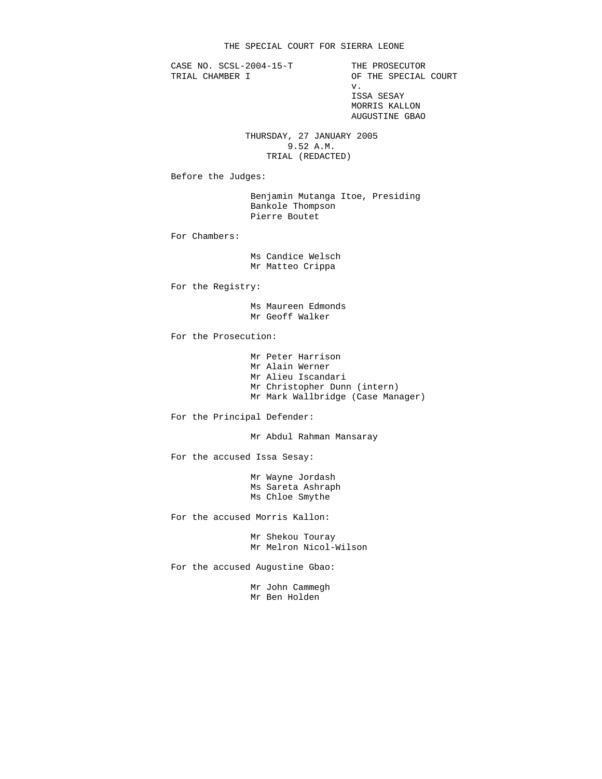CASE NO. SCSL-2004-15-T THE PROSECUTOR<br>TRIAL CHAMBER I OF THE SPECIAL

OF THE SPECIAL COURT v. ISSA SESAY MORRIS KALLON AUGUSTINE GBAO

> THURSDAY, 27 JANUARY 2005 9.52 A.M. TRIAL (REDACTED)

Before the Judges:

 Benjamin Mutanga Itoe, Presiding Bankole Thompson Pierre Boutet

For Chambers:

 Ms Candice Welsch Mr Matteo Crippa

For the Registry:

 Ms Maureen Edmonds Mr Geoff Walker

For the Prosecution:

 Mr Peter Harrison Mr Alain Werner Mr Alieu Iscandari Mr Christopher Dunn (intern) Mr Mark Wallbridge (Case Manager)

For the Principal Defender:

Mr Abdul Rahman Mansaray

For the accused Issa Sesay:

 Mr Wayne Jordash Ms Sareta Ashraph Ms Chloe Smythe

For the accused Morris Kallon:

 Mr Shekou Touray Mr Melron Nicol-Wilson

For the accused Augustine Gbao:

 Mr John Cammegh Mr Ben Holden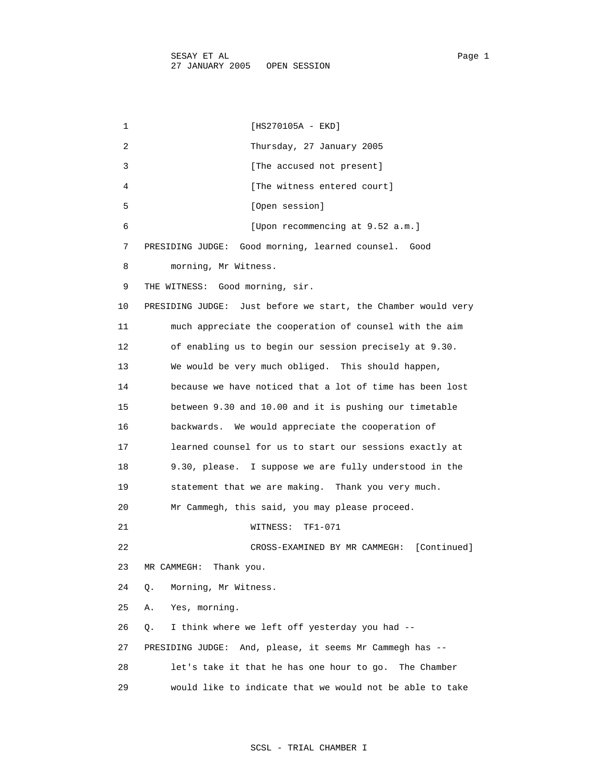1 [HS270105A - EKD] 2 Thursday, 27 January 2005 3 [The accused not present] 4 [The witness entered court] 5 [Open session] 6 [Upon recommencing at 9.52 a.m.] 7 PRESIDING JUDGE: Good morning, learned counsel. Good 8 morning, Mr Witness. 9 THE WITNESS: Good morning, sir. 10 PRESIDING JUDGE: Just before we start, the Chamber would very 11 much appreciate the cooperation of counsel with the aim 12 of enabling us to begin our session precisely at 9.30. 13 We would be very much obliged. This should happen, 14 because we have noticed that a lot of time has been lost 15 between 9.30 and 10.00 and it is pushing our timetable 16 backwards. We would appreciate the cooperation of 17 learned counsel for us to start our sessions exactly at 18 9.30, please. I suppose we are fully understood in the 19 statement that we are making. Thank you very much. 20 Mr Cammegh, this said, you may please proceed. 21 WITNESS: TF1-071 22 CROSS-EXAMINED BY MR CAMMEGH: [Continued] 23 MR CAMMEGH: Thank you. 24 Q. Morning, Mr Witness. 25 A. Yes, morning. 26 Q. I think where we left off yesterday you had -- 27 PRESIDING JUDGE: And, please, it seems Mr Cammegh has -- 28 let's take it that he has one hour to go. The Chamber

29 would like to indicate that we would not be able to take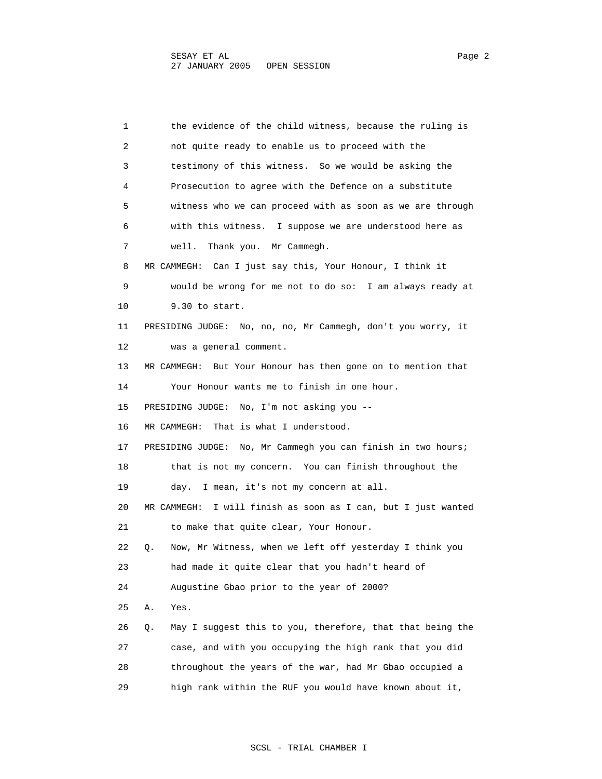1 the evidence of the child witness, because the ruling is 2 not quite ready to enable us to proceed with the 3 testimony of this witness. So we would be asking the 4 Prosecution to agree with the Defence on a substitute 5 witness who we can proceed with as soon as we are through 6 with this witness. I suppose we are understood here as 7 well. Thank you. Mr Cammegh. 8 MR CAMMEGH: Can I just say this, Your Honour, I think it 9 would be wrong for me not to do so: I am always ready at 10 9.30 to start. 11 PRESIDING JUDGE: No, no, no, Mr Cammegh, don't you worry, it 12 was a general comment. 13 MR CAMMEGH: But Your Honour has then gone on to mention that 14 Your Honour wants me to finish in one hour. 15 PRESIDING JUDGE: No, I'm not asking you -- 16 MR CAMMEGH: That is what I understood. 17 PRESIDING JUDGE: No, Mr Cammegh you can finish in two hours; 18 that is not my concern. You can finish throughout the 19 day. I mean, it's not my concern at all. 20 MR CAMMEGH: I will finish as soon as I can, but I just wanted 21 to make that quite clear, Your Honour. 22 Q. Now, Mr Witness, when we left off yesterday I think you 23 had made it quite clear that you hadn't heard of 24 Augustine Gbao prior to the year of 2000? 25 A. Yes. 26 Q. May I suggest this to you, therefore, that that being the 27 case, and with you occupying the high rank that you did 28 throughout the years of the war, had Mr Gbao occupied a 29 high rank within the RUF you would have known about it,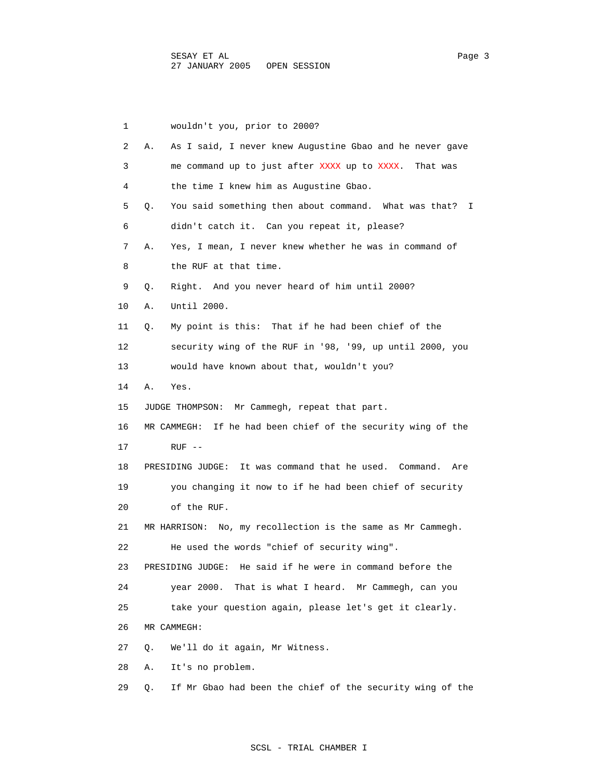1 wouldn't you, prior to 2000? 2 A. As I said, I never knew Augustine Gbao and he never gave 3 me command up to just after XXXX up to XXXX. That was 4 the time I knew him as Augustine Gbao. 5 Q. You said something then about command. What was that? I 6 didn't catch it. Can you repeat it, please? 7 A. Yes, I mean, I never knew whether he was in command of 8 the RUF at that time. 9 Q. Right. And you never heard of him until 2000? 10 A. Until 2000. 11 Q. My point is this: That if he had been chief of the 12 security wing of the RUF in '98, '99, up until 2000, you 13 would have known about that, wouldn't you? 14 A. Yes. 15 JUDGE THOMPSON: Mr Cammegh, repeat that part. 16 MR CAMMEGH: If he had been chief of the security wing of the 17 RUF -- 18 PRESIDING JUDGE: It was command that he used. Command. Are 19 you changing it now to if he had been chief of security 20 of the RUF. 21 MR HARRISON: No, my recollection is the same as Mr Cammegh. 22 He used the words "chief of security wing". 23 PRESIDING JUDGE: He said if he were in command before the 24 year 2000. That is what I heard. Mr Cammegh, can you 25 take your question again, please let's get it clearly. 26 MR CAMMEGH: 27 Q. We'll do it again, Mr Witness. 28 A. It's no problem. 29 Q. If Mr Gbao had been the chief of the security wing of the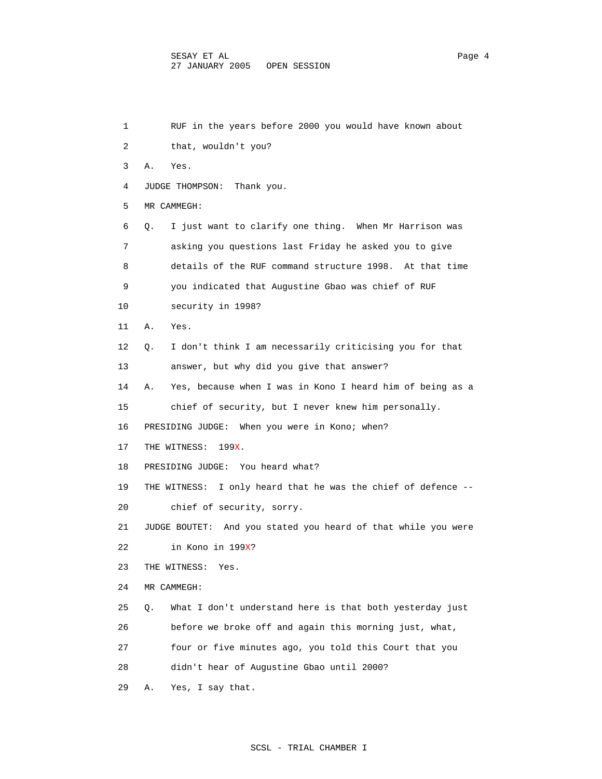| 1  | RUF in the years before 2000 you would have known about          |
|----|------------------------------------------------------------------|
| 2  | that, wouldn't you?                                              |
| 3  | Α.<br>Yes.                                                       |
| 4  | JUDGE THOMPSON:<br>Thank you.                                    |
| 5  | MR CAMMEGH:                                                      |
| 6  | I just want to clarify one thing. When Mr Harrison was<br>Q.     |
| 7  | asking you questions last Friday he asked you to give            |
| 8  | details of the RUF command structure 1998. At that time          |
| 9  | you indicated that Augustine Gbao was chief of RUF               |
| 10 | security in 1998?                                                |
| 11 | Α.<br>Yes.                                                       |
| 12 | I don't think I am necessarily criticising you for that<br>Q.    |
| 13 | answer, but why did you give that answer?                        |
| 14 | Yes, because when I was in Kono I heard him of being as a<br>Α.  |
| 15 | chief of security, but I never knew him personally.              |
| 16 | PRESIDING JUDGE: When you were in Kono; when?                    |
| 17 | THE WITNESS:<br>199X.                                            |
| 18 | PRESIDING JUDGE: You heard what?                                 |
| 19 | THE WITNESS:<br>I only heard that he was the chief of defence -- |
| 20 | chief of security, sorry.                                        |
| 21 | JUDGE BOUTET: And you stated you heard of that while you were    |
| 22 | in Kono in 199X?                                                 |
| 23 | THE WITNESS:<br>Yes.                                             |
| 24 | MR CAMMEGH:                                                      |
| 25 | What I don't understand here is that both yesterday just<br>Q.   |
| 26 | before we broke off and again this morning just, what,           |
| 27 | four or five minutes ago, you told this Court that you           |
| 28 | didn't hear of Augustine Gbao until 2000?                        |
| 29 | Yes, I say that.<br>Α.                                           |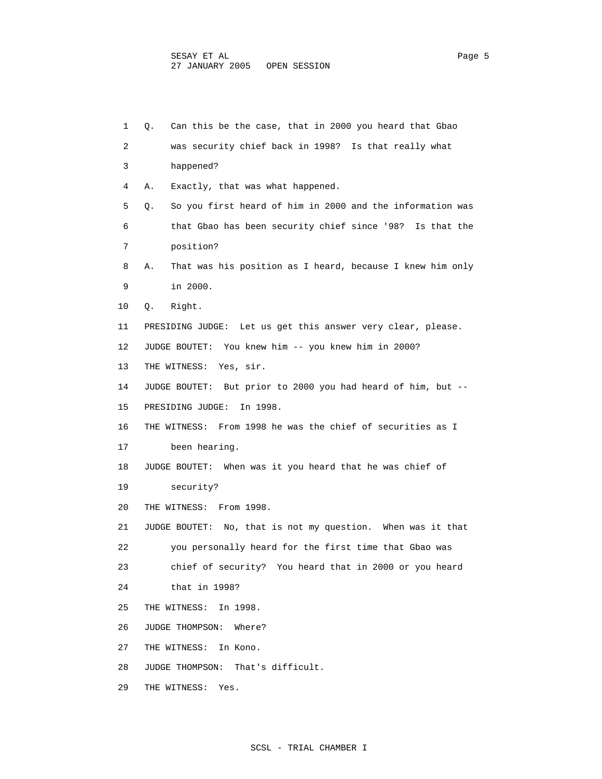| 1  | Can this be the case, that in 2000 you heard that Gbao<br>Q.    |
|----|-----------------------------------------------------------------|
| 2  | was security chief back in 1998? Is that really what            |
| 3  | happened?                                                       |
| 4  | Exactly, that was what happened.<br>Α.                          |
| 5  | So you first heard of him in 2000 and the information was<br>Q. |
| 6  | that Gbao has been security chief since '98? Is that the        |
| 7  | position?                                                       |
| 8  | That was his position as I heard, because I knew him only<br>Α. |
| 9  | in 2000.                                                        |
| 10 | Right.<br>Q.                                                    |
| 11 | PRESIDING JUDGE: Let us get this answer very clear, please.     |
| 12 | JUDGE BOUTET: You knew him -- you knew him in 2000?             |
| 13 | Yes, sir.<br>THE WITNESS:                                       |
| 14 | But prior to 2000 you had heard of him, but --<br>JUDGE BOUTET: |
| 15 | PRESIDING JUDGE:<br>In 1998.                                    |
| 16 | THE WITNESS: From 1998 he was the chief of securities as I      |
| 17 | been hearing.                                                   |
| 18 | When was it you heard that he was chief of<br>JUDGE BOUTET:     |
| 19 | security?                                                       |
| 20 | THE WITNESS: From 1998.                                         |
| 21 | JUDGE BOUTET: No, that is not my question. When was it that     |
| 22 | you personally heard for the first time that Gbao was           |
| 23 | chief of security? You heard that in 2000 or you heard          |
| 24 | that in $1998$ ?                                                |
| 25 | THE WITNESS: In 1998.                                           |
| 26 | JUDGE THOMPSON: Where?                                          |
| 27 | THE WITNESS:<br>In Kono.                                        |
| 28 | JUDGE THOMPSON: That's difficult.                               |
| 29 | THE WITNESS: Yes.                                               |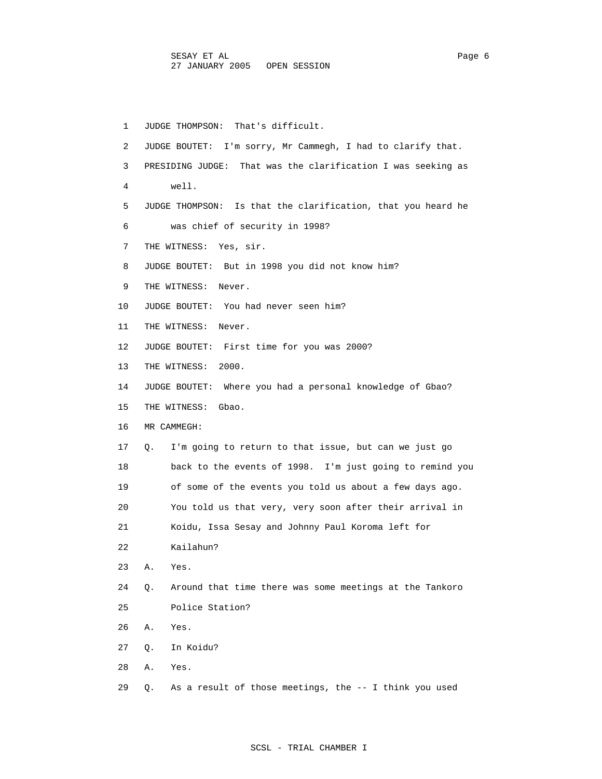1 JUDGE THOMPSON: That's difficult. 2 JUDGE BOUTET: I'm sorry, Mr Cammegh, I had to clarify that. 3 PRESIDING JUDGE: That was the clarification I was seeking as 4 well. 5 JUDGE THOMPSON: Is that the clarification, that you heard he 6 was chief of security in 1998? 7 THE WITNESS: Yes, sir. 8 JUDGE BOUTET: But in 1998 you did not know him? 9 THE WITNESS: Never. 10 JUDGE BOUTET: You had never seen him? 11 THE WITNESS: Never. 12 JUDGE BOUTET: First time for you was 2000? 13 THE WITNESS: 2000. 14 JUDGE BOUTET: Where you had a personal knowledge of Gbao? 15 THE WITNESS: Gbao. 16 MR CAMMEGH: 17 Q. I'm going to return to that issue, but can we just go 18 back to the events of 1998. I'm just going to remind you 19 of some of the events you told us about a few days ago. 20 You told us that very, very soon after their arrival in 21 Koidu, Issa Sesay and Johnny Paul Koroma left for 22 Kailahun? 23 A. Yes. 24 Q. Around that time there was some meetings at the Tankoro 25 Police Station? 26 A. Yes. 27 Q. In Koidu? 28 A. Yes. 29 Q. As a result of those meetings, the -- I think you used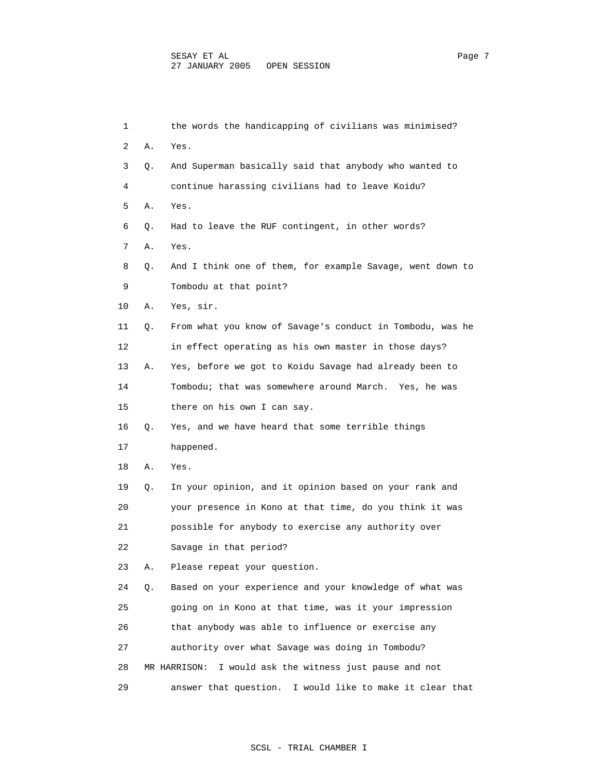| 1  |    | the words the handicapping of civilians was minimised?      |
|----|----|-------------------------------------------------------------|
| 2  | Α. | Yes.                                                        |
| 3  | Q. | And Superman basically said that anybody who wanted to      |
| 4  |    | continue harassing civilians had to leave Koidu?            |
| 5  | Α. | Yes.                                                        |
| 6  | Q. | Had to leave the RUF contingent, in other words?            |
| 7  | Α. | Yes.                                                        |
| 8  | Q. | And I think one of them, for example Savage, went down to   |
| 9  |    | Tombodu at that point?                                      |
| 10 | Α. | Yes, sir.                                                   |
| 11 | Q. | From what you know of Savage's conduct in Tombodu, was he   |
| 12 |    | in effect operating as his own master in those days?        |
| 13 | Α. | Yes, before we got to Koidu Savage had already been to      |
| 14 |    | Tombodu; that was somewhere around March. Yes, he was       |
| 15 |    | there on his own I can say.                                 |
| 16 | Q. | Yes, and we have heard that some terrible things            |
| 17 |    | happened.                                                   |
| 18 | Α. | Yes.                                                        |
| 19 | Q. | In your opinion, and it opinion based on your rank and      |
| 20 |    | your presence in Kono at that time, do you think it was     |
| 21 |    | possible for anybody to exercise any authority over         |
| 22 |    | Savage in that period?                                      |
| 23 | Α. | Please repeat your question.                                |
| 24 | Q. | Based on your experience and your knowledge of what was     |
| 25 |    | going on in Kono at that time, was it your impression       |
| 26 |    | that anybody was able to influence or exercise any          |
| 27 |    | authority over what Savage was doing in Tombodu?            |
| 28 |    | I would ask the witness just pause and not<br>MR HARRISON:  |
| 29 |    | I would like to make it clear that<br>answer that question. |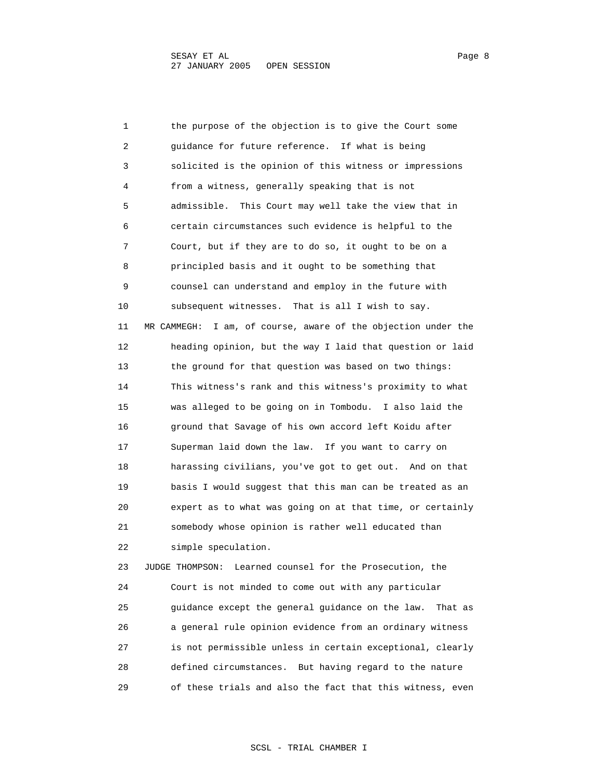1 the purpose of the objection is to give the Court some 2 guidance for future reference. If what is being 3 solicited is the opinion of this witness or impressions 4 from a witness, generally speaking that is not 5 admissible. This Court may well take the view that in 6 certain circumstances such evidence is helpful to the 7 Court, but if they are to do so, it ought to be on a 8 principled basis and it ought to be something that 9 counsel can understand and employ in the future with 10 subsequent witnesses. That is all I wish to say. 11 MR CAMMEGH: I am, of course, aware of the objection under the 12 heading opinion, but the way I laid that question or laid 13 the ground for that question was based on two things: 14 This witness's rank and this witness's proximity to what 15 was alleged to be going on in Tombodu. I also laid the 16 ground that Savage of his own accord left Koidu after 17 Superman laid down the law. If you want to carry on 18 harassing civilians, you've got to get out. And on that 19 basis I would suggest that this man can be treated as an 20 expert as to what was going on at that time, or certainly 21 somebody whose opinion is rather well educated than 22 simple speculation. 23 JUDGE THOMPSON: Learned counsel for the Prosecution, the 24 Court is not minded to come out with any particular 25 guidance except the general guidance on the law. That as 26 a general rule opinion evidence from an ordinary witness

 27 is not permissible unless in certain exceptional, clearly 28 defined circumstances. But having regard to the nature 29 of these trials and also the fact that this witness, even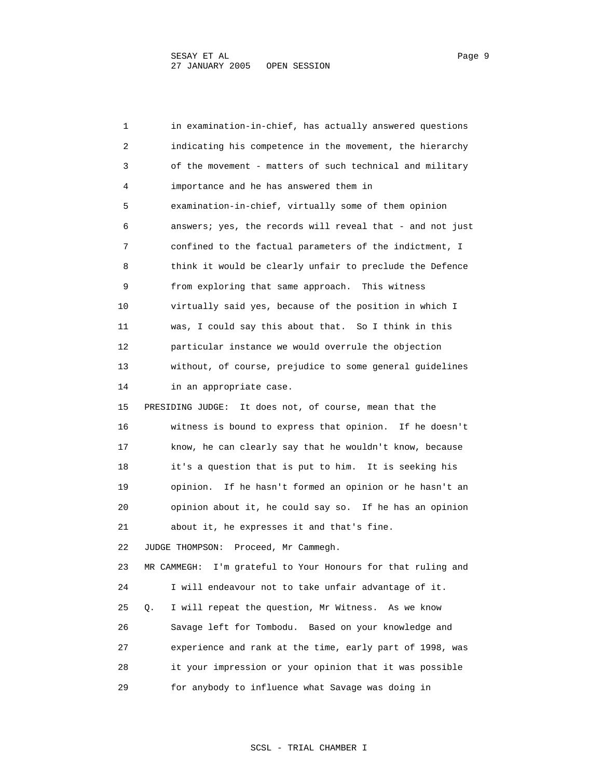1 in examination-in-chief, has actually answered questions 2 indicating his competence in the movement, the hierarchy 3 of the movement - matters of such technical and military 4 importance and he has answered them in 5 examination-in-chief, virtually some of them opinion 6 answers; yes, the records will reveal that - and not just 7 confined to the factual parameters of the indictment, I 8 think it would be clearly unfair to preclude the Defence 9 from exploring that same approach. This witness 10 virtually said yes, because of the position in which I 11 was, I could say this about that. So I think in this 12 particular instance we would overrule the objection 13 without, of course, prejudice to some general guidelines 14 in an appropriate case. 15 PRESIDING JUDGE: It does not, of course, mean that the 16 witness is bound to express that opinion. If he doesn't 17 know, he can clearly say that he wouldn't know, because 18 it's a question that is put to him. It is seeking his 19 opinion. If he hasn't formed an opinion or he hasn't an 20 opinion about it, he could say so. If he has an opinion 21 about it, he expresses it and that's fine. 22 JUDGE THOMPSON: Proceed, Mr Cammegh. 23 MR CAMMEGH: I'm grateful to Your Honours for that ruling and 24 I will endeavour not to take unfair advantage of it. 25 Q. I will repeat the question, Mr Witness. As we know 26 Savage left for Tombodu. Based on your knowledge and 27 experience and rank at the time, early part of 1998, was 28 it your impression or your opinion that it was possible 29 for anybody to influence what Savage was doing in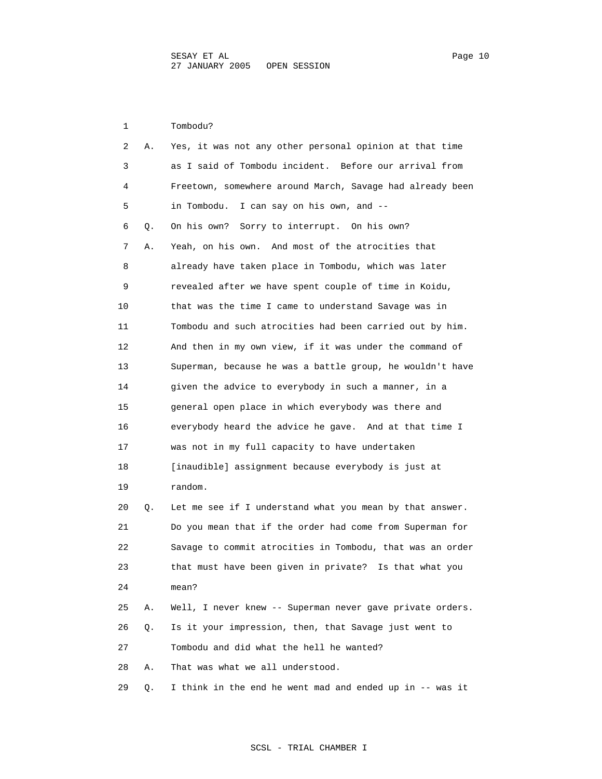1 Tombodu?

| 2  | Α. | Yes, it was not any other personal opinion at that time   |
|----|----|-----------------------------------------------------------|
| 3  |    | as I said of Tombodu incident. Before our arrival from    |
| 4  |    | Freetown, somewhere around March, Savage had already been |
| 5  |    | I can say on his own, and --<br>in Tombodu.               |
| 6  | Q. | Sorry to interrupt. On his own?<br>On his own?            |
| 7  | Α. | Yeah, on his own. And most of the atrocities that         |
| 8  |    | already have taken place in Tombodu, which was later      |
| 9  |    | revealed after we have spent couple of time in Koidu,     |
| 10 |    | that was the time I came to understand Savage was in      |
| 11 |    | Tombodu and such atrocities had been carried out by him.  |
| 12 |    | And then in my own view, if it was under the command of   |
| 13 |    | Superman, because he was a battle group, he wouldn't have |
| 14 |    | given the advice to everybody in such a manner, in a      |
| 15 |    | general open place in which everybody was there and       |
| 16 |    | everybody heard the advice he gave. And at that time I    |
| 17 |    | was not in my full capacity to have undertaken            |
| 18 |    | [inaudible] assignment because everybody is just at       |
| 19 |    | random.                                                   |
| 20 | Q. | Let me see if I understand what you mean by that answer.  |
| 21 |    | Do you mean that if the order had come from Superman for  |
| 22 |    | Savage to commit atrocities in Tombodu, that was an order |
| 23 |    | that must have been given in private? Is that what you    |
| 24 |    | mean?                                                     |
| 25 | Α. | Well, I never knew -- Superman never gave private orders. |
| 26 | О. | Is it your impression, then, that Savage just went to     |
| 27 |    | Tombodu and did what the hell he wanted?                  |
| 28 | Α. | That was what we all understood.                          |
| 29 | Q. | I think in the end he went mad and ended up in -- was it  |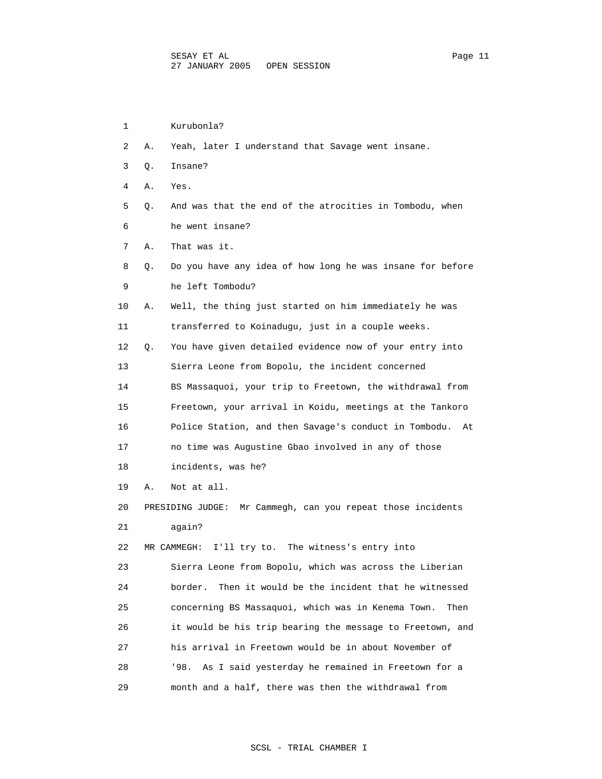| 1  |    | Kurubonla?                                                  |
|----|----|-------------------------------------------------------------|
| 2  | Α. | Yeah, later I understand that Savage went insane.           |
| 3  | Q. | Insane?                                                     |
| 4  | Α. | Yes.                                                        |
| 5  | Q. | And was that the end of the atrocities in Tombodu, when     |
| 6  |    | he went insane?                                             |
| 7  | Α. | That was it.                                                |
| 8  | Q. | Do you have any idea of how long he was insane for before   |
| 9  |    | he left Tombodu?                                            |
| 10 | Α. | Well, the thing just started on him immediately he was      |
| 11 |    | transferred to Koinadugu, just in a couple weeks.           |
| 12 | О. | You have given detailed evidence now of your entry into     |
| 13 |    | Sierra Leone from Bopolu, the incident concerned            |
| 14 |    | BS Massaquoi, your trip to Freetown, the withdrawal from    |
| 15 |    | Freetown, your arrival in Koidu, meetings at the Tankoro    |
| 16 |    | Police Station, and then Savage's conduct in Tombodu.<br>At |
| 17 |    | no time was Augustine Gbao involved in any of those         |
| 18 |    | incidents, was he?                                          |
| 19 | Α. | Not at all.                                                 |
| 20 |    | PRESIDING JUDGE: Mr Cammegh, can you repeat those incidents |
| 21 |    | again?                                                      |
| 22 |    | I'll try to. The witness's entry into<br>MR CAMMEGH:        |
| 23 |    | Sierra Leone from Bopolu, which was across the Liberian     |
| 24 |    | Then it would be the incident that he witnessed<br>border.  |
| 25 |    | concerning BS Massaquoi, which was in Kenema Town.<br>Then  |
| 26 |    | it would be his trip bearing the message to Freetown, and   |
| 27 |    | his arrival in Freetown would be in about November of       |
| 28 |    | '98.<br>As I said yesterday he remained in Freetown for a   |
| 29 |    | month and a half, there was then the withdrawal from        |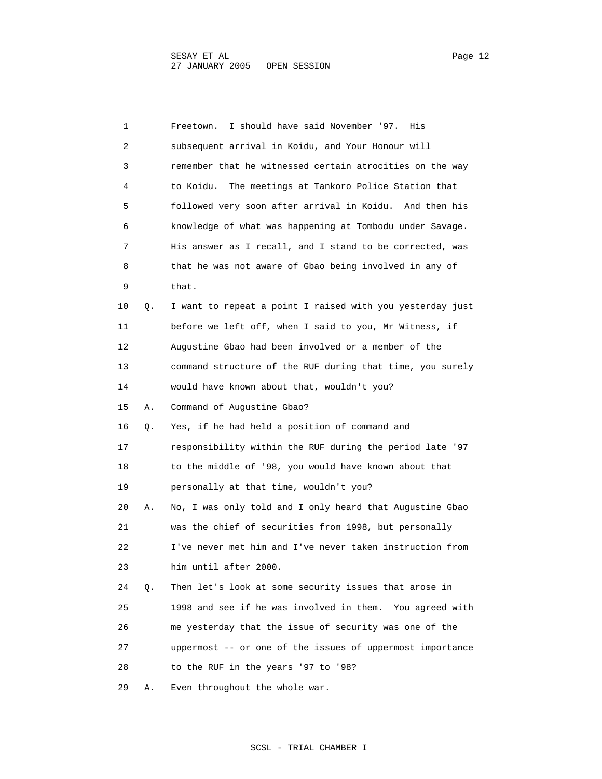1 Freetown. I should have said November '97. His 2 subsequent arrival in Koidu, and Your Honour will 3 remember that he witnessed certain atrocities on the way 4 to Koidu. The meetings at Tankoro Police Station that 5 followed very soon after arrival in Koidu. And then his 6 knowledge of what was happening at Tombodu under Savage. 7 His answer as I recall, and I stand to be corrected, was 8 that he was not aware of Gbao being involved in any of 9 that. 10 Q. I want to repeat a point I raised with you yesterday just 11 before we left off, when I said to you, Mr Witness, if 12 Augustine Gbao had been involved or a member of the 13 command structure of the RUF during that time, you surely 14 would have known about that, wouldn't you? 15 A. Command of Augustine Gbao? 16 Q. Yes, if he had held a position of command and 17 responsibility within the RUF during the period late '97 18 to the middle of '98, you would have known about that 19 personally at that time, wouldn't you? 20 A. No, I was only told and I only heard that Augustine Gbao 21 was the chief of securities from 1998, but personally 22 I've never met him and I've never taken instruction from 23 him until after 2000. 24 Q. Then let's look at some security issues that arose in 25 1998 and see if he was involved in them. You agreed with 26 me yesterday that the issue of security was one of the 27 uppermost -- or one of the issues of uppermost importance 28 to the RUF in the years '97 to '98? 29 A. Even throughout the whole war.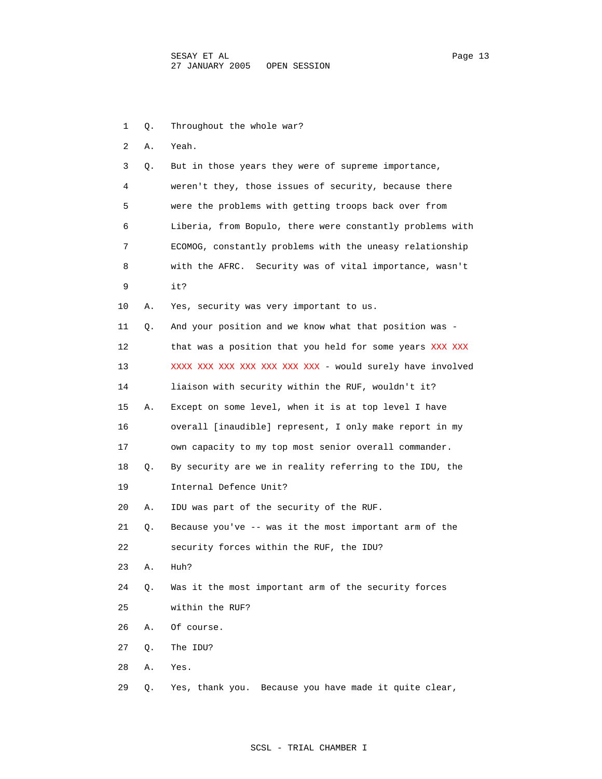| 1  | Q. | Throughout the whole war?                                 |
|----|----|-----------------------------------------------------------|
| 2  | Α. | Yeah.                                                     |
| 3  | Q. | But in those years they were of supreme importance,       |
| 4  |    | weren't they, those issues of security, because there     |
| 5  |    | were the problems with getting troops back over from      |
| 6  |    | Liberia, from Bopulo, there were constantly problems with |
| 7  |    | ECOMOG, constantly problems with the uneasy relationship  |
| 8  |    | with the AFRC. Security was of vital importance, wasn't   |
| 9  |    | it?                                                       |
| 10 | Α. | Yes, security was very important to us.                   |
| 11 | Q. | And your position and we know what that position was -    |
| 12 |    | that was a position that you held for some years XXX XXX  |
| 13 |    | XXXX XXX XXX XXX XXX XXX XXX - would surely have involved |
| 14 |    | liaison with security within the RUF, wouldn't it?        |
| 15 | Α. | Except on some level, when it is at top level I have      |
| 16 |    | overall [inaudible] represent, I only make report in my   |
| 17 |    | own capacity to my top most senior overall commander.     |
| 18 | Q. | By security are we in reality referring to the IDU, the   |
| 19 |    | Internal Defence Unit?                                    |
| 20 | Α. | IDU was part of the security of the RUF.                  |
| 21 | Q. | Because you've -- was it the most important arm of the    |
| 22 |    | security forces within the RUF, the IDU?                  |
| 23 | Α. | Huh?                                                      |
| 24 | Q. | Was it the most important arm of the security forces      |
| 25 |    | within the RUF?                                           |
| 26 | Α. | Of course.                                                |
| 27 | Q. | The IDU?                                                  |
| 28 | Α. | Yes.                                                      |
| 29 | Q. | Yes, thank you. Because you have made it quite clear,     |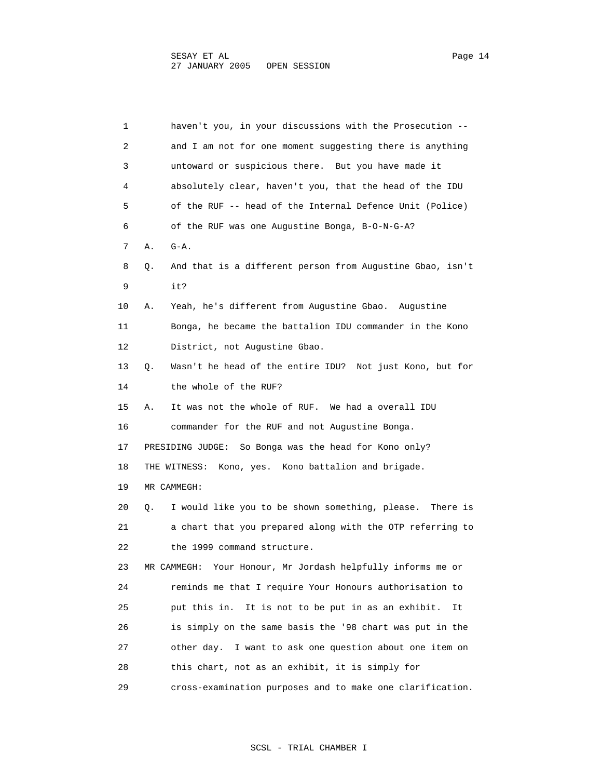| 1  | haven't you, in your discussions with the Prosecution --        |
|----|-----------------------------------------------------------------|
| 2  | and I am not for one moment suggesting there is anything        |
| 3  | untoward or suspicious there. But you have made it              |
| 4  | absolutely clear, haven't you, that the head of the IDU         |
| 5  | of the RUF -- head of the Internal Defence Unit (Police)        |
| 6  | of the RUF was one Augustine Bonga, B-O-N-G-A?                  |
| 7  | $G - A$ .<br>Α.                                                 |
| 8  | And that is a different person from Augustine Gbao, isn't<br>О. |
| 9  | it?                                                             |
| 10 | Yeah, he's different from Augustine Gbao. Augustine<br>Α.       |
| 11 | Bonga, he became the battalion IDU commander in the Kono        |
| 12 | District, not Augustine Gbao.                                   |
| 13 | Wasn't he head of the entire IDU? Not just Kono, but for<br>Q.  |
| 14 | the whole of the RUF?                                           |
| 15 | It was not the whole of RUF. We had a overall IDU<br>А.         |
| 16 | commander for the RUF and not Augustine Bonga.                  |
| 17 | PRESIDING JUDGE: So Bonga was the head for Kono only?           |
| 18 | Kono, yes. Kono battalion and brigade.<br>THE WITNESS:          |
| 19 | MR CAMMEGH:                                                     |
| 20 | I would like you to be shown something, please. There is<br>Q.  |
| 21 | a chart that you prepared along with the OTP referring to       |
| 22 | the 1999 command structure.                                     |
| 23 | Your Honour, Mr Jordash helpfully informs me or<br>MR CAMMEGH:  |
| 24 | reminds me that I require Your Honours authorisation to         |
| 25 | put this in. It is not to be put in as an exhibit.<br>It        |
| 26 | is simply on the same basis the '98 chart was put in the        |
| 27 | other day. I want to ask one question about one item on         |
| 28 | this chart, not as an exhibit, it is simply for                 |
| 29 | cross-examination purposes and to make one clarification.       |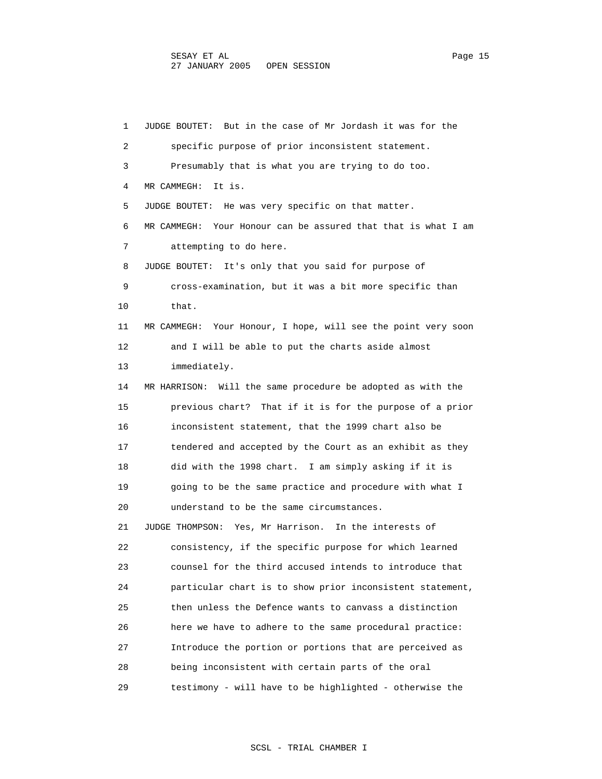1 JUDGE BOUTET: But in the case of Mr Jordash it was for the 2 specific purpose of prior inconsistent statement. 3 Presumably that is what you are trying to do too. 4 MR CAMMEGH: It is. 5 JUDGE BOUTET: He was very specific on that matter. 6 MR CAMMEGH: Your Honour can be assured that that is what I am 7 attempting to do here. 8 JUDGE BOUTET: It's only that you said for purpose of 9 cross-examination, but it was a bit more specific than 10 that. 11 MR CAMMEGH: Your Honour, I hope, will see the point very soon 12 and I will be able to put the charts aside almost 13 immediately. 14 MR HARRISON: Will the same procedure be adopted as with the 15 previous chart? That if it is for the purpose of a prior 16 inconsistent statement, that the 1999 chart also be 17 tendered and accepted by the Court as an exhibit as they 18 did with the 1998 chart. I am simply asking if it is 19 going to be the same practice and procedure with what I 20 understand to be the same circumstances. 21 JUDGE THOMPSON: Yes, Mr Harrison. In the interests of 22 consistency, if the specific purpose for which learned 23 counsel for the third accused intends to introduce that 24 particular chart is to show prior inconsistent statement, 25 then unless the Defence wants to canvass a distinction 26 here we have to adhere to the same procedural practice: 27 Introduce the portion or portions that are perceived as 28 being inconsistent with certain parts of the oral 29 testimony - will have to be highlighted - otherwise the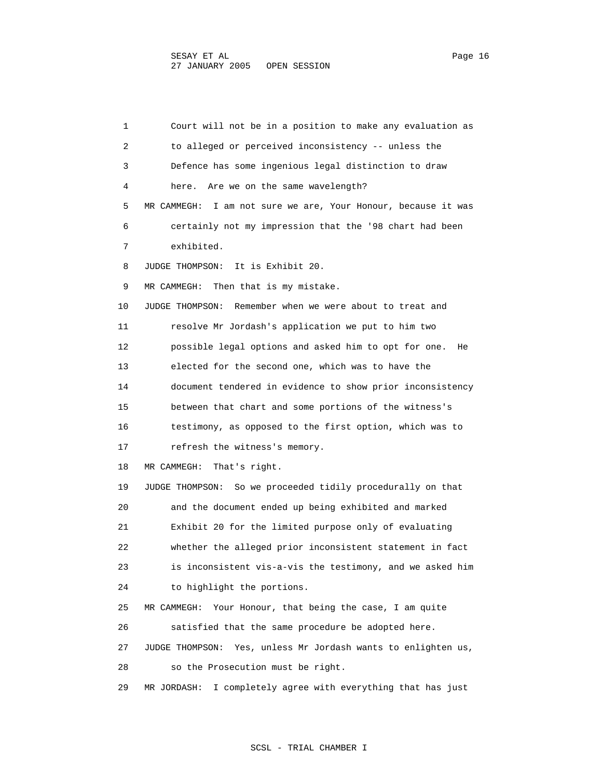1 Court will not be in a position to make any evaluation as 2 to alleged or perceived inconsistency -- unless the 3 Defence has some ingenious legal distinction to draw 4 here. Are we on the same wavelength? 5 MR CAMMEGH: I am not sure we are, Your Honour, because it was 6 certainly not my impression that the '98 chart had been 7 exhibited. 8 JUDGE THOMPSON: It is Exhibit 20. 9 MR CAMMEGH: Then that is my mistake. 10 JUDGE THOMPSON: Remember when we were about to treat and 11 resolve Mr Jordash's application we put to him two 12 possible legal options and asked him to opt for one. He 13 elected for the second one, which was to have the 14 document tendered in evidence to show prior inconsistency 15 between that chart and some portions of the witness's 16 testimony, as opposed to the first option, which was to 17 refresh the witness's memory. 18 MR CAMMEGH: That's right. 19 JUDGE THOMPSON: So we proceeded tidily procedurally on that 20 and the document ended up being exhibited and marked 21 Exhibit 20 for the limited purpose only of evaluating 22 whether the alleged prior inconsistent statement in fact 23 is inconsistent vis-a-vis the testimony, and we asked him 24 to highlight the portions. 25 MR CAMMEGH: Your Honour, that being the case, I am quite 26 satisfied that the same procedure be adopted here. 27 JUDGE THOMPSON: Yes, unless Mr Jordash wants to enlighten us, 28 so the Prosecution must be right. 29 MR JORDASH: I completely agree with everything that has just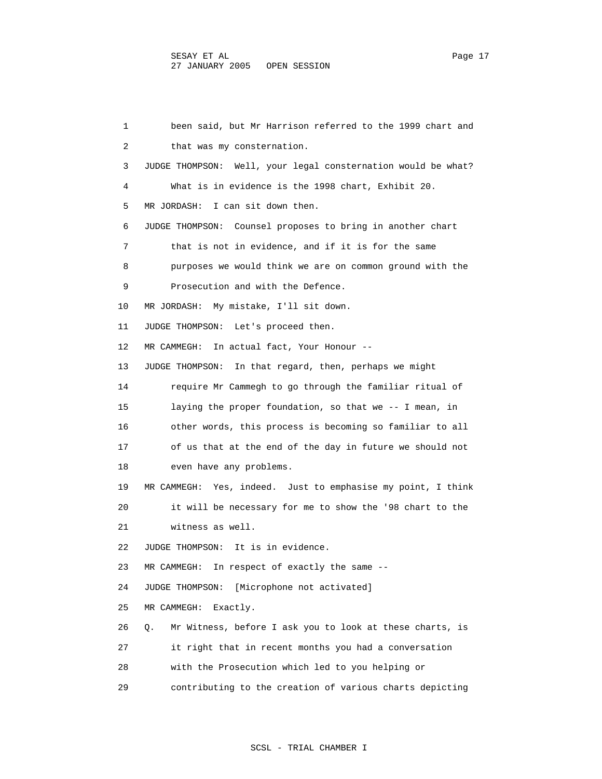1 been said, but Mr Harrison referred to the 1999 chart and 2 that was my consternation. 3 JUDGE THOMPSON: Well, your legal consternation would be what? 4 What is in evidence is the 1998 chart, Exhibit 20. 5 MR JORDASH: I can sit down then. 6 JUDGE THOMPSON: Counsel proposes to bring in another chart 7 that is not in evidence, and if it is for the same 8 purposes we would think we are on common ground with the 9 Prosecution and with the Defence. 10 MR JORDASH: My mistake, I'll sit down. 11 JUDGE THOMPSON: Let's proceed then. 12 MR CAMMEGH: In actual fact, Your Honour -- 13 JUDGE THOMPSON: In that regard, then, perhaps we might 14 require Mr Cammegh to go through the familiar ritual of 15 laying the proper foundation, so that we -- I mean, in 16 other words, this process is becoming so familiar to all 17 of us that at the end of the day in future we should not 18 even have any problems. 19 MR CAMMEGH: Yes, indeed. Just to emphasise my point, I think 20 it will be necessary for me to show the '98 chart to the 21 witness as well. 22 JUDGE THOMPSON: It is in evidence. 23 MR CAMMEGH: In respect of exactly the same -- 24 JUDGE THOMPSON: [Microphone not activated] 25 MR CAMMEGH: Exactly. 26 Q. Mr Witness, before I ask you to look at these charts, is 27 it right that in recent months you had a conversation 28 with the Prosecution which led to you helping or 29 contributing to the creation of various charts depicting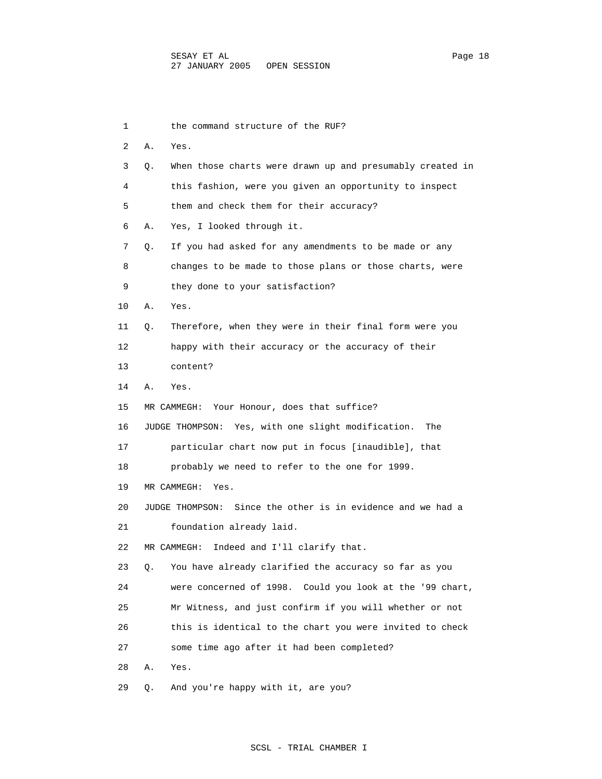1 the command structure of the RUF? 2 A. Yes. 3 Q. When those charts were drawn up and presumably created in 4 this fashion, were you given an opportunity to inspect 5 them and check them for their accuracy? 6 A. Yes, I looked through it. 7 Q. If you had asked for any amendments to be made or any 8 changes to be made to those plans or those charts, were 9 they done to your satisfaction? 10 A. Yes. 11 Q. Therefore, when they were in their final form were you 12 happy with their accuracy or the accuracy of their 13 content? 14 A. Yes. 15 MR CAMMEGH: Your Honour, does that suffice? 16 JUDGE THOMPSON: Yes, with one slight modification. The 17 particular chart now put in focus [inaudible], that 18 probably we need to refer to the one for 1999. 19 MR CAMMEGH: Yes. 20 JUDGE THOMPSON: Since the other is in evidence and we had a 21 foundation already laid. 22 MR CAMMEGH: Indeed and I'll clarify that. 23 Q. You have already clarified the accuracy so far as you 24 were concerned of 1998. Could you look at the '99 chart, 25 Mr Witness, and just confirm if you will whether or not 26 this is identical to the chart you were invited to check 27 some time ago after it had been completed? 28 A. Yes. 29 Q. And you're happy with it, are you?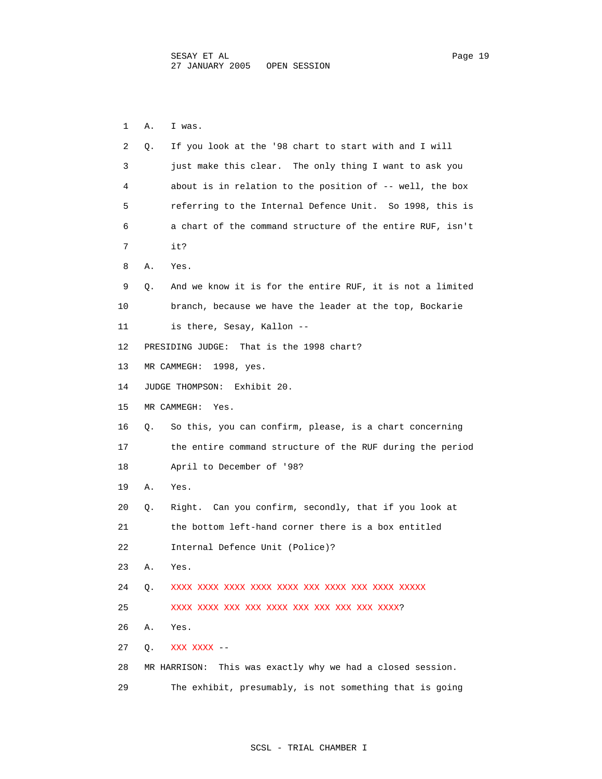1 A. I was. 2 Q. If you look at the '98 chart to start with and I will 3 just make this clear. The only thing I want to ask you 4 about is in relation to the position of -- well, the box 5 referring to the Internal Defence Unit. So 1998, this is 6 a chart of the command structure of the entire RUF, isn't 7 it? 8 A. Yes. 9 Q. And we know it is for the entire RUF, it is not a limited 10 branch, because we have the leader at the top, Bockarie 11 is there, Sesay, Kallon -- 12 PRESIDING JUDGE: That is the 1998 chart? 13 MR CAMMEGH: 1998, yes. 14 JUDGE THOMPSON: Exhibit 20. 15 MR CAMMEGH: Yes. 16 Q. So this, you can confirm, please, is a chart concerning 17 the entire command structure of the RUF during the period 18 April to December of '98? 19 A. Yes. 20 Q. Right. Can you confirm, secondly, that if you look at 21 the bottom left-hand corner there is a box entitled 22 Internal Defence Unit (Police)? 23 A. Yes. 24 Q. XXXX XXXX XXXX XXXX XXXX XXX XXXX XXX XXXX XXXXX 25 XXXX XXXX XXX XXX XXXX XXX XXX XXX XXX XXXX? 26 A. Yes. 27 Q. XXX XXXX -- 28 MR HARRISON: This was exactly why we had a closed session. 29 The exhibit, presumably, is not something that is going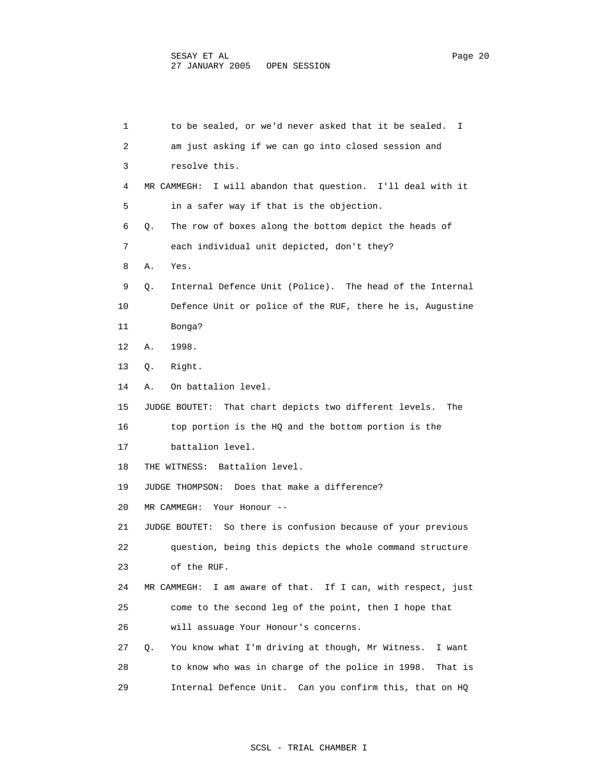1 to be sealed, or we'd never asked that it be sealed. I 2 am just asking if we can go into closed session and 3 resolve this. 4 MR CAMMEGH: I will abandon that question. I'll deal with it 5 in a safer way if that is the objection. 6 Q. The row of boxes along the bottom depict the heads of 7 each individual unit depicted, don't they? 8 A. Yes. 9 Q. Internal Defence Unit (Police). The head of the Internal 10 Defence Unit or police of the RUF, there he is, Augustine 11 Bonga? 12 A. 1998. 13 Q. Right. 14 A. On battalion level. 15 JUDGE BOUTET: That chart depicts two different levels. The 16 top portion is the HQ and the bottom portion is the 17 battalion level. 18 THE WITNESS: Battalion level. 19 JUDGE THOMPSON: Does that make a difference? 20 MR CAMMEGH: Your Honour -- 21 JUDGE BOUTET: So there is confusion because of your previous 22 question, being this depicts the whole command structure 23 of the RUF. 24 MR CAMMEGH: I am aware of that. If I can, with respect, just 25 come to the second leg of the point, then I hope that 26 will assuage Your Honour's concerns. 27 Q. You know what I'm driving at though, Mr Witness. I want 28 to know who was in charge of the police in 1998. That is 29 Internal Defence Unit. Can you confirm this, that on HQ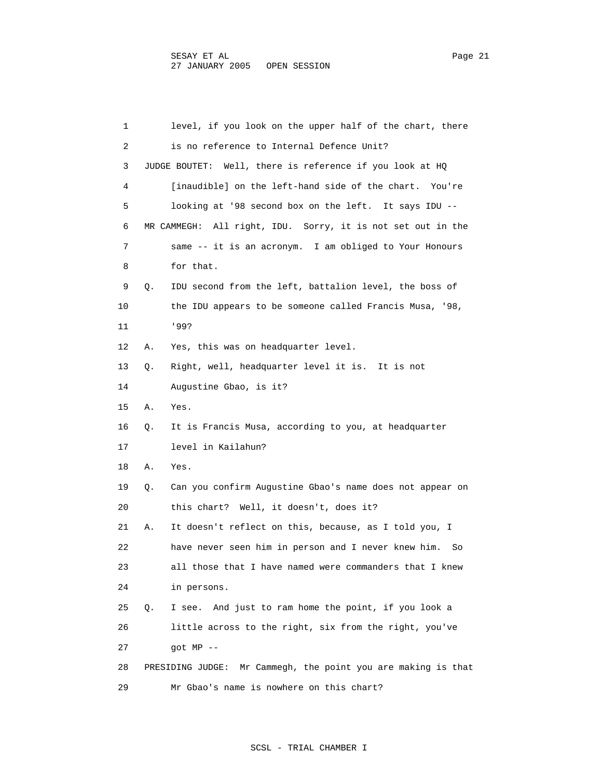| 1  | level, if you look on the upper half of the chart, there         |
|----|------------------------------------------------------------------|
| 2  | is no reference to Internal Defence Unit?                        |
| 3  | JUDGE BOUTET: Well, there is reference if you look at HQ         |
| 4  | [inaudible] on the left-hand side of the chart.<br>You're        |
| 5  | looking at '98 second box on the left. It says IDU --            |
| 6  | MR CAMMEGH: All right, IDU. Sorry, it is not set out in the      |
| 7  | same -- it is an acronym. I am obliged to Your Honours           |
| 8  | for that.                                                        |
| 9  | IDU second from the left, battalion level, the boss of<br>Q.     |
| 10 | the IDU appears to be someone called Francis Musa, '98,          |
| 11 | 199?                                                             |
| 12 | Α.<br>Yes, this was on headquarter level.                        |
| 13 | Right, well, headquarter level it is. It is not<br>Q.            |
| 14 | Augustine Gbao, is it?                                           |
| 15 | Α.<br>Yes.                                                       |
| 16 | It is Francis Musa, according to you, at headquarter<br>Q.       |
| 17 | level in Kailahun?                                               |
| 18 | Yes.<br>Α.                                                       |
| 19 | Q.<br>Can you confirm Augustine Gbao's name does not appear on   |
| 20 | this chart? Well, it doesn't, does it?                           |
| 21 | It doesn't reflect on this, because, as I told you, I<br>Α.      |
| 22 | have never seen him in person and I never knew him.<br>So        |
| 23 | all those that I have named were commanders that I knew          |
| 24 | in persons.                                                      |
| 25 | And just to ram home the point, if you look a<br>Q.<br>I see.    |
| 26 | little across to the right, six from the right, you've           |
| 27 | $qot MP$ --                                                      |
| 28 | Mr Cammegh, the point you are making is that<br>PRESIDING JUDGE: |
| 29 | Mr Gbao's name is nowhere on this chart?                         |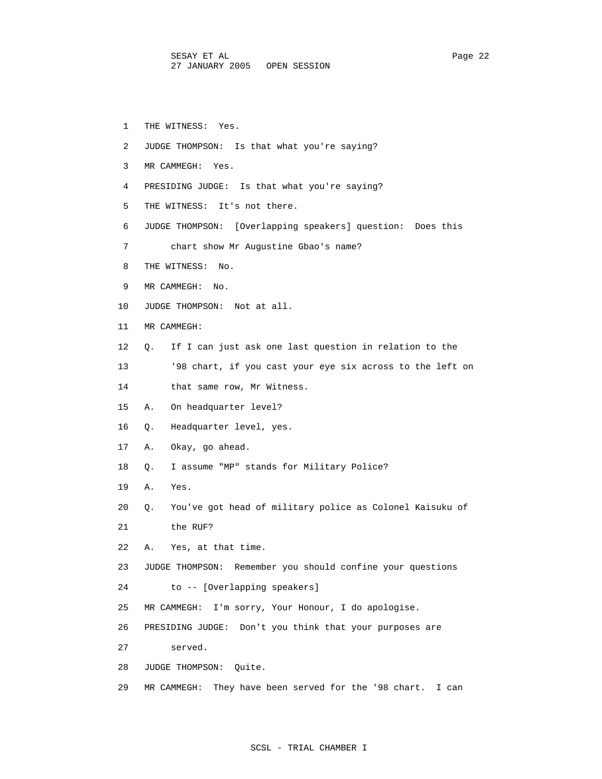- 1 THE WITNESS: Yes.
- 2 JUDGE THOMPSON: Is that what you're saying?
- 3 MR CAMMEGH: Yes.
- 4 PRESIDING JUDGE: Is that what you're saying?
- 5 THE WITNESS: It's not there.
- 6 JUDGE THOMPSON: [Overlapping speakers] question: Does this
- 7 chart show Mr Augustine Gbao's name?
- 8 THE WITNESS: No.
- 9 MR CAMMEGH: No.
- 10 JUDGE THOMPSON: Not at all.
- 11 MR CAMMEGH:
- 12 Q. If I can just ask one last question in relation to the
- 13 '98 chart, if you cast your eye six across to the left on
- 14 that same row, Mr Witness.
- 15 A. On headquarter level?
- 16 Q. Headquarter level, yes.
- 17 A. Okay, go ahead.
- 18 Q. I assume "MP" stands for Military Police?
- 19 A. Yes.
- 20 Q. You've got head of military police as Colonel Kaisuku of 21 the RUF?
- 22 A. Yes, at that time.
- 23 JUDGE THOMPSON: Remember you should confine your questions
- 24 to -- [Overlapping speakers]
- 25 MR CAMMEGH: I'm sorry, Your Honour, I do apologise.
- 26 PRESIDING JUDGE: Don't you think that your purposes are
- 27 served.
- 28 JUDGE THOMPSON: Quite.
- 29 MR CAMMEGH: They have been served for the '98 chart. I can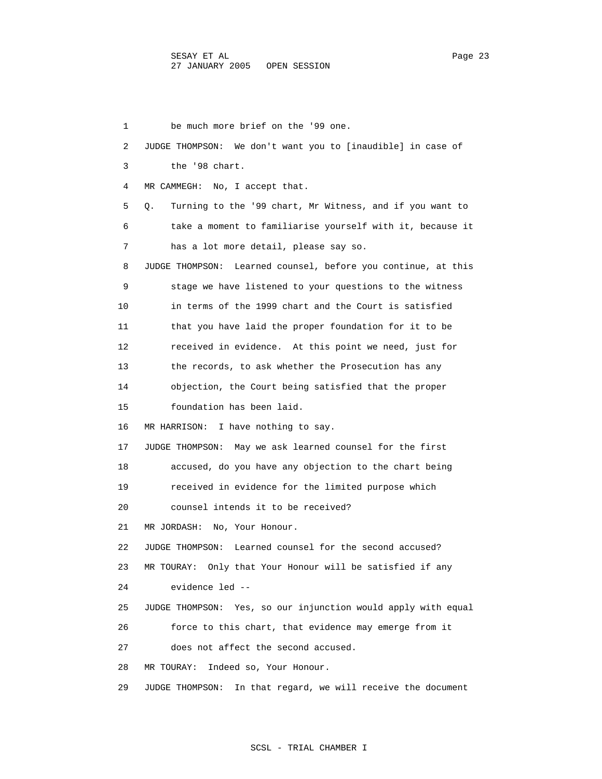1 be much more brief on the '99 one. 2 JUDGE THOMPSON: We don't want you to [inaudible] in case of 3 the '98 chart. 4 MR CAMMEGH: No, I accept that. 5 Q. Turning to the '99 chart, Mr Witness, and if you want to 6 take a moment to familiarise yourself with it, because it 7 has a lot more detail, please say so. 8 JUDGE THOMPSON: Learned counsel, before you continue, at this 9 stage we have listened to your questions to the witness 10 in terms of the 1999 chart and the Court is satisfied 11 that you have laid the proper foundation for it to be 12 received in evidence. At this point we need, just for 13 the records, to ask whether the Prosecution has any 14 objection, the Court being satisfied that the proper 15 foundation has been laid. 16 MR HARRISON: I have nothing to say. 17 JUDGE THOMPSON: May we ask learned counsel for the first 18 accused, do you have any objection to the chart being 19 received in evidence for the limited purpose which 20 counsel intends it to be received? 21 MR JORDASH: No, Your Honour. 22 JUDGE THOMPSON: Learned counsel for the second accused? 23 MR TOURAY: Only that Your Honour will be satisfied if any 24 evidence led -- 25 JUDGE THOMPSON: Yes, so our injunction would apply with equal 26 force to this chart, that evidence may emerge from it 27 does not affect the second accused. 28 MR TOURAY: Indeed so, Your Honour. 29 JUDGE THOMPSON: In that regard, we will receive the document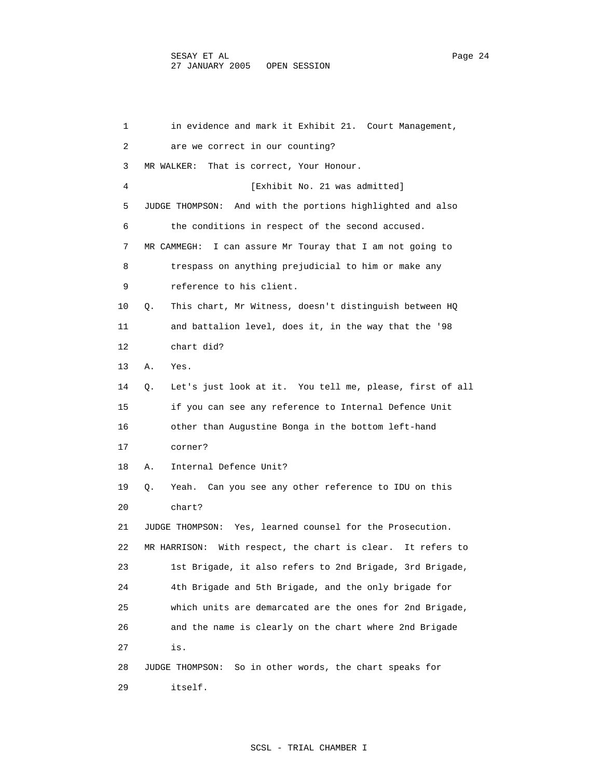1 in evidence and mark it Exhibit 21. Court Management, 2 are we correct in our counting? 3 MR WALKER: That is correct, Your Honour. 4 [Exhibit No. 21 was admitted] 5 JUDGE THOMPSON: And with the portions highlighted and also 6 the conditions in respect of the second accused. 7 MR CAMMEGH: I can assure Mr Touray that I am not going to 8 trespass on anything prejudicial to him or make any 9 reference to his client. 10 Q. This chart, Mr Witness, doesn't distinguish between HQ 11 and battalion level, does it, in the way that the '98 12 chart did? 13 A. Yes. 14 Q. Let's just look at it. You tell me, please, first of all 15 if you can see any reference to Internal Defence Unit 16 other than Augustine Bonga in the bottom left-hand 17 corner? 18 A. Internal Defence Unit? 19 Q. Yeah. Can you see any other reference to IDU on this 20 chart? 21 JUDGE THOMPSON: Yes, learned counsel for the Prosecution. 22 MR HARRISON: With respect, the chart is clear. It refers to 23 1st Brigade, it also refers to 2nd Brigade, 3rd Brigade, 24 4th Brigade and 5th Brigade, and the only brigade for 25 which units are demarcated are the ones for 2nd Brigade, 26 and the name is clearly on the chart where 2nd Brigade 27 is. 28 JUDGE THOMPSON: So in other words, the chart speaks for 29 itself.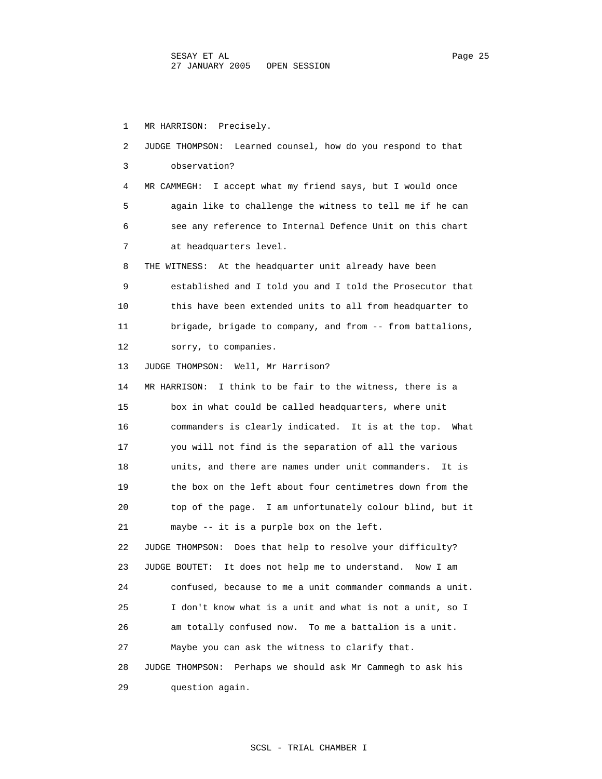1 MR HARRISON: Precisely. 2 JUDGE THOMPSON: Learned counsel, how do you respond to that 3 observation? 4 MR CAMMEGH: I accept what my friend says, but I would once 5 again like to challenge the witness to tell me if he can 6 see any reference to Internal Defence Unit on this chart 7 at headquarters level. 8 THE WITNESS: At the headquarter unit already have been 9 established and I told you and I told the Prosecutor that 10 this have been extended units to all from headquarter to 11 brigade, brigade to company, and from -- from battalions, 12 sorry, to companies. 13 JUDGE THOMPSON: Well, Mr Harrison? 14 MR HARRISON: I think to be fair to the witness, there is a 15 box in what could be called headquarters, where unit 16 commanders is clearly indicated. It is at the top. What 17 you will not find is the separation of all the various 18 units, and there are names under unit commanders. It is 19 the box on the left about four centimetres down from the 20 top of the page. I am unfortunately colour blind, but it 21 maybe -- it is a purple box on the left. 22 JUDGE THOMPSON: Does that help to resolve your difficulty? 23 JUDGE BOUTET: It does not help me to understand. Now I am 24 confused, because to me a unit commander commands a unit. 25 I don't know what is a unit and what is not a unit, so I 26 am totally confused now. To me a battalion is a unit. 27 Maybe you can ask the witness to clarify that. 28 JUDGE THOMPSON: Perhaps we should ask Mr Cammegh to ask his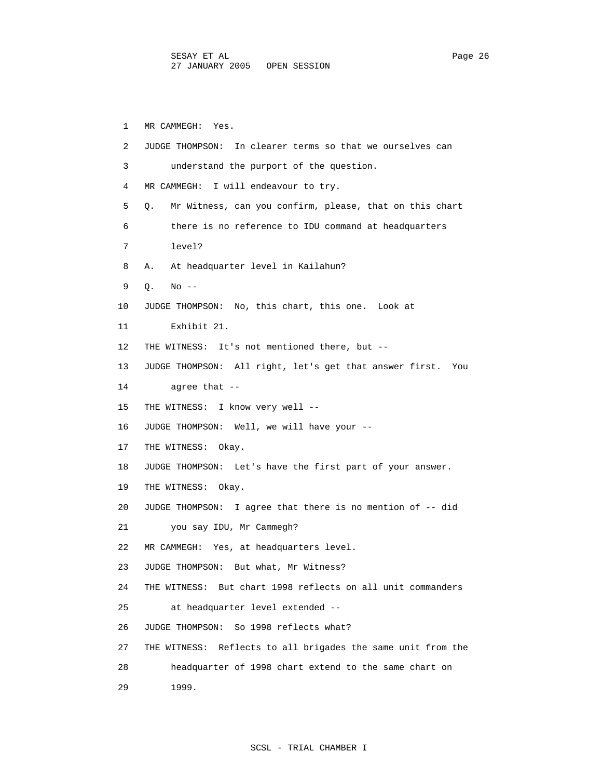1 MR CAMMEGH: Yes. 2 JUDGE THOMPSON: In clearer terms so that we ourselves can 3 understand the purport of the question. 4 MR CAMMEGH: I will endeavour to try. 5 Q. Mr Witness, can you confirm, please, that on this chart 6 there is no reference to IDU command at headquarters 7 level? 8 A. At headquarter level in Kailahun? 9 Q. No -- 10 JUDGE THOMPSON: No, this chart, this one. Look at 11 Exhibit 21. 12 THE WITNESS: It's not mentioned there, but -- 13 JUDGE THOMPSON: All right, let's get that answer first. You 14 agree that -- 15 THE WITNESS: I know very well -- 16 JUDGE THOMPSON: Well, we will have your -- 17 THE WITNESS: Okay. 18 JUDGE THOMPSON: Let's have the first part of your answer. 19 THE WITNESS: Okay. 20 JUDGE THOMPSON: I agree that there is no mention of -- did 21 you say IDU, Mr Cammegh? 22 MR CAMMEGH: Yes, at headquarters level. 23 JUDGE THOMPSON: But what, Mr Witness? 24 THE WITNESS: But chart 1998 reflects on all unit commanders 25 at headquarter level extended -- 26 JUDGE THOMPSON: So 1998 reflects what? 27 THE WITNESS: Reflects to all brigades the same unit from the 28 headquarter of 1998 chart extend to the same chart on 29 1999.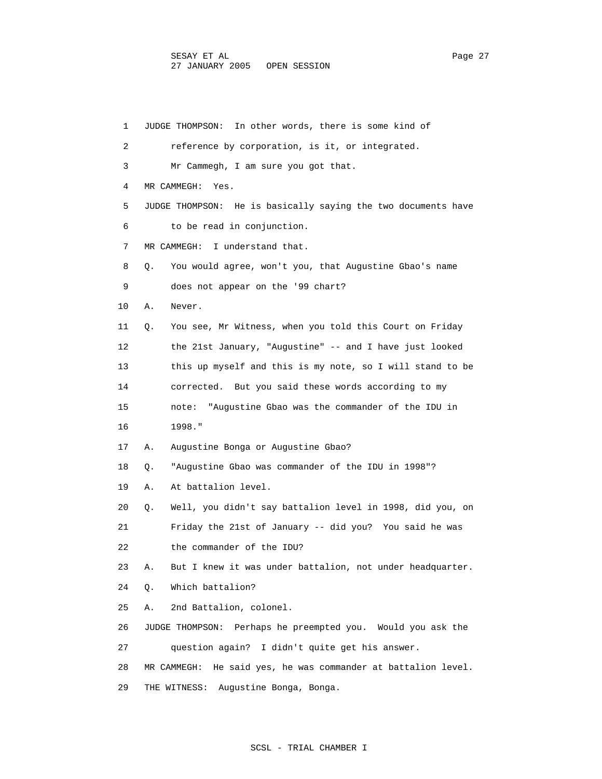| 1  | JUDGE THOMPSON: In other words, there is some kind of            |
|----|------------------------------------------------------------------|
| 2  | reference by corporation, is it, or integrated.                  |
| 3  | Mr Cammegh, I am sure you got that.                              |
| 4  | MR CAMMEGH:<br>Yes.                                              |
| 5  | JUDGE THOMPSON: He is basically saying the two documents have    |
| 6  | to be read in conjunction.                                       |
| 7  | MR CAMMEGH:<br>I understand that.                                |
| 8  | You would agree, won't you, that Augustine Gbao's name<br>Q.     |
| 9  | does not appear on the '99 chart?                                |
| 10 | Never.<br>Α.                                                     |
| 11 | You see, Mr Witness, when you told this Court on Friday<br>Q.    |
| 12 | the 21st January, "Augustine" -- and I have just looked          |
| 13 | this up myself and this is my note, so I will stand to be        |
| 14 | corrected. But you said these words according to my              |
| 15 | "Augustine Gbao was the commander of the IDU in<br>note:         |
| 16 | 1998."                                                           |
| 17 | Augustine Bonga or Augustine Gbao?<br>Α.                         |
| 18 | "Augustine Gbao was commander of the IDU in 1998"?<br>Q.         |
| 19 | At battalion level.<br>Α.                                        |
| 20 | Well, you didn't say battalion level in 1998, did you, on<br>Q.  |
| 21 | Friday the 21st of January -- did you? You said he was           |
| 22 | the commander of the IDU?                                        |
| 23 | But I knew it was under battalion, not under headquarter.<br>Α.  |
| 24 | Which battalion?<br>Q.                                           |
| 25 | 2nd Battalion, colonel.<br>Α.                                    |
| 26 | Perhaps he preempted you. Would you ask the<br>JUDGE THOMPSON:   |
| 27 | question again? I didn't quite get his answer.                   |
| 28 | He said yes, he was commander at battalion level.<br>MR CAMMEGH: |
| 29 | THE WITNESS:<br>Augustine Bonga, Bonga.                          |

## SCSL - TRIAL CHAMBER I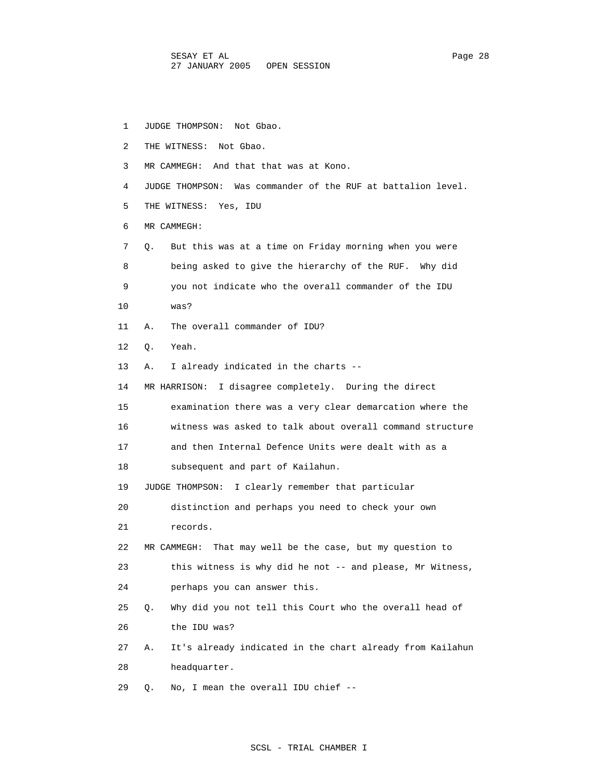SESAY ET AL PAGE 28 PAGE 28 27 JANUARY 2005 OPEN SESSION

 1 JUDGE THOMPSON: Not Gbao. 2 THE WITNESS: Not Gbao. 3 MR CAMMEGH: And that that was at Kono. 4 JUDGE THOMPSON: Was commander of the RUF at battalion level. 5 THE WITNESS: Yes, IDU 6 MR CAMMEGH: 7 Q. But this was at a time on Friday morning when you were 8 being asked to give the hierarchy of the RUF. Why did 9 you not indicate who the overall commander of the IDU 10 was? 11 A. The overall commander of IDU? 12 Q. Yeah. 13 A. I already indicated in the charts -- 14 MR HARRISON: I disagree completely. During the direct 15 examination there was a very clear demarcation where the 16 witness was asked to talk about overall command structure 17 and then Internal Defence Units were dealt with as a 18 subsequent and part of Kailahun. 19 JUDGE THOMPSON: I clearly remember that particular 20 distinction and perhaps you need to check your own 21 records. 22 MR CAMMEGH: That may well be the case, but my question to 23 this witness is why did he not -- and please, Mr Witness, 24 perhaps you can answer this. 25 Q. Why did you not tell this Court who the overall head of 26 the IDU was? 27 A. It's already indicated in the chart already from Kailahun 28 headquarter. 29 Q. No, I mean the overall IDU chief --

SCSL - TRIAL CHAMBER I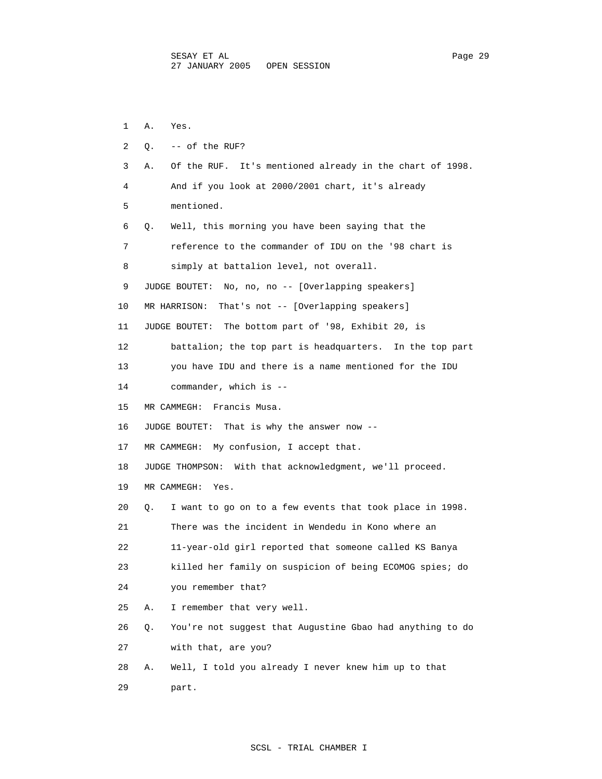1 A. Yes. 2 Q. -- of the RUF? 3 A. Of the RUF. It's mentioned already in the chart of 1998. 4 And if you look at 2000/2001 chart, it's already 5 mentioned. 6 Q. Well, this morning you have been saying that the 7 reference to the commander of IDU on the '98 chart is 8 simply at battalion level, not overall. 9 JUDGE BOUTET: No, no, no -- [Overlapping speakers] 10 MR HARRISON: That's not -- [Overlapping speakers] 11 JUDGE BOUTET: The bottom part of '98, Exhibit 20, is 12 battalion; the top part is headquarters. In the top part 13 you have IDU and there is a name mentioned for the IDU 14 commander, which is -- 15 MR CAMMEGH: Francis Musa. 16 JUDGE BOUTET: That is why the answer now -- 17 MR CAMMEGH: My confusion, I accept that. 18 JUDGE THOMPSON: With that acknowledgment, we'll proceed. 19 MR CAMMEGH: Yes. 20 Q. I want to go on to a few events that took place in 1998. 21 There was the incident in Wendedu in Kono where an 22 11-year-old girl reported that someone called KS Banya 23 killed her family on suspicion of being ECOMOG spies; do 24 you remember that? 25 A. I remember that very well. 26 Q. You're not suggest that Augustine Gbao had anything to do 27 with that, are you? 28 A. Well, I told you already I never knew him up to that 29 part.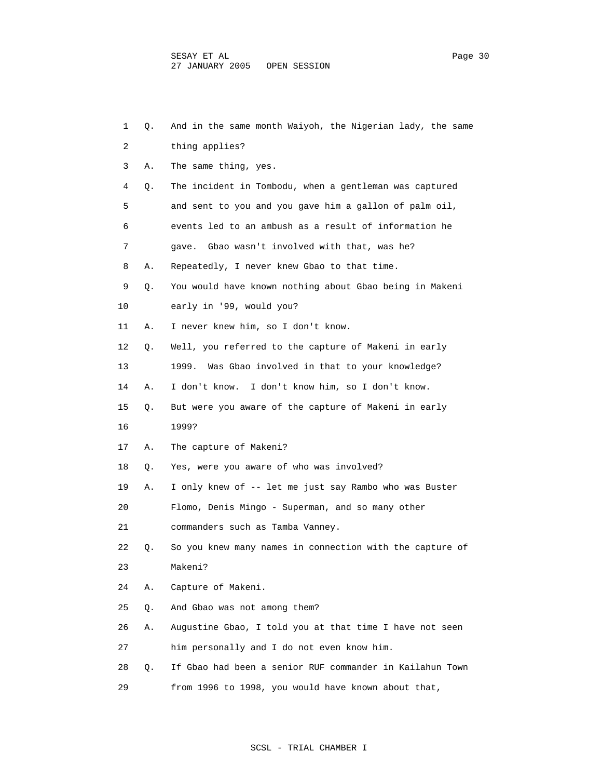| 1  | Q. | And in the same month Waiyoh, the Nigerian lady, the same |
|----|----|-----------------------------------------------------------|
| 2  |    | thing applies?                                            |
| 3  | Α. | The same thing, yes.                                      |
| 4  | Q. | The incident in Tombodu, when a gentleman was captured    |
| 5  |    | and sent to you and you gave him a gallon of palm oil,    |
| 6  |    | events led to an ambush as a result of information he     |
| 7  |    | Gbao wasn't involved with that, was he?<br>qave.          |
| 8  | Α. | Repeatedly, I never knew Gbao to that time.               |
| 9  | Q. | You would have known nothing about Gbao being in Makeni   |
| 10 |    | early in '99, would you?                                  |
| 11 | Α. | I never knew him, so I don't know.                        |
| 12 | Q. | Well, you referred to the capture of Makeni in early      |
| 13 |    | Was Gbao involved in that to your knowledge?<br>1999.     |
| 14 | Α. | I don't know. I don't know him, so I don't know.          |
| 15 | Q. | But were you aware of the capture of Makeni in early      |
| 16 |    | 1999?                                                     |
| 17 | Α. | The capture of Makeni?                                    |
| 18 | Q. | Yes, were you aware of who was involved?                  |
| 19 | Α. | I only knew of -- let me just say Rambo who was Buster    |
| 20 |    | Flomo, Denis Mingo - Superman, and so many other          |
| 21 |    | commanders such as Tamba Vanney.                          |
| 22 | О. | So you knew many names in connection with the capture of  |
| 23 |    | Makeni?                                                   |
| 24 | Α. | Capture of Makeni.                                        |
| 25 | Q. | And Gbao was not among them?                              |
| 26 | Α. | Augustine Gbao, I told you at that time I have not seen   |
| 27 |    | him personally and I do not even know him.                |
| 28 | Q. | If Gbao had been a senior RUF commander in Kailahun Town  |
| 29 |    | from 1996 to 1998, you would have known about that,       |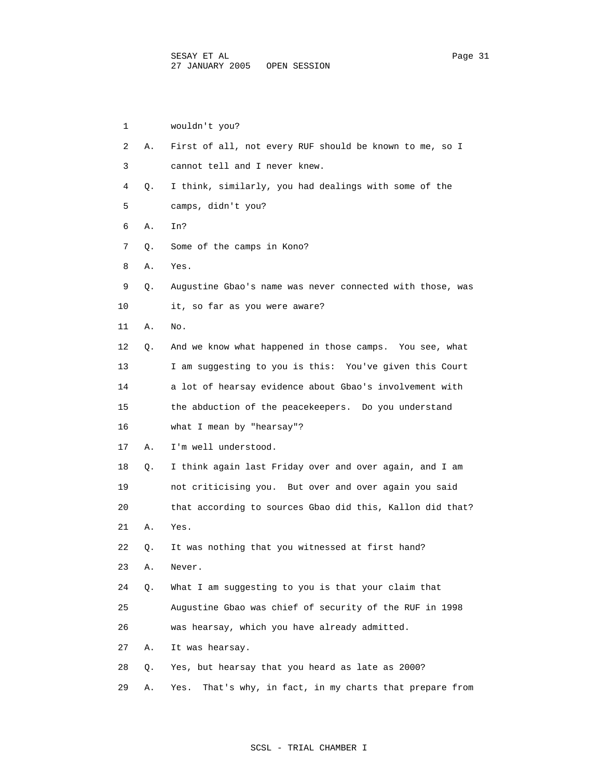| 1  |    | wouldn't you?                                               |
|----|----|-------------------------------------------------------------|
| 2  | Α. | First of all, not every RUF should be known to me, so I     |
| 3  |    | cannot tell and I never knew.                               |
| 4  | Q. | I think, similarly, you had dealings with some of the       |
| 5  |    | camps, didn't you?                                          |
| 6  | Α. | In?                                                         |
| 7  | Q. | Some of the camps in Kono?                                  |
| 8  | Α. | Yes.                                                        |
| 9  | Q. | Augustine Gbao's name was never connected with those, was   |
| 10 |    | it, so far as you were aware?                               |
| 11 | Α. | No.                                                         |
| 12 | Q. | And we know what happened in those camps. You see, what     |
| 13 |    | I am suggesting to you is this: You've given this Court     |
| 14 |    | a lot of hearsay evidence about Gbao's involvement with     |
| 15 |    | the abduction of the peacekeepers. Do you understand        |
| 16 |    | what I mean by "hearsay"?                                   |
| 17 | Α. | I'm well understood.                                        |
| 18 | Q. | I think again last Friday over and over again, and I am     |
| 19 |    | not criticising you. But over and over again you said       |
| 20 |    | that according to sources Gbao did this, Kallon did that?   |
| 21 | Α. | Yes.                                                        |
| 22 | Q. | It was nothing that you witnessed at first hand?            |
| 23 | Α. | Never.                                                      |
| 24 | Q. | What I am suggesting to you is that your claim that         |
| 25 |    | Augustine Gbao was chief of security of the RUF in 1998     |
| 26 |    | was hearsay, which you have already admitted.               |
| 27 | Α. | It was hearsay.                                             |
| 28 | Q. | Yes, but hearsay that you heard as late as 2000?            |
| 29 | Α. | Yes.<br>That's why, in fact, in my charts that prepare from |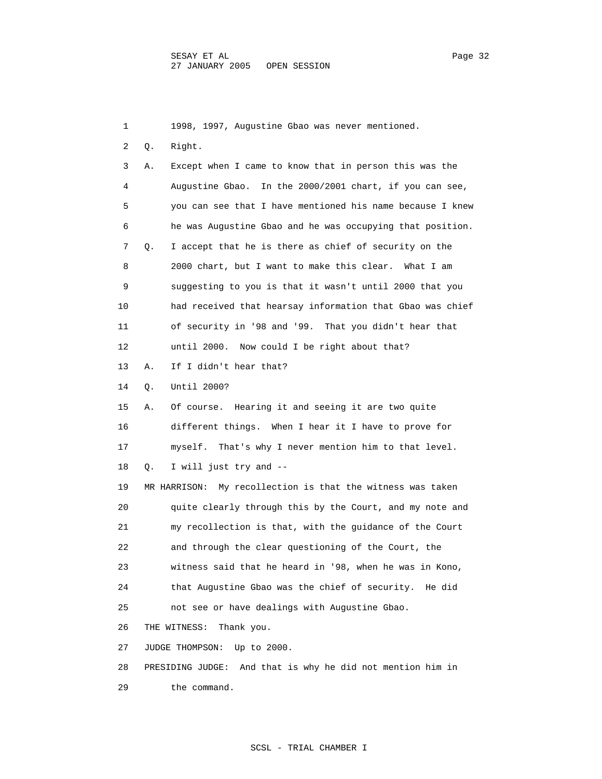1 1998, 1997, Augustine Gbao was never mentioned. 2 Q. Right. 3 A. Except when I came to know that in person this was the 4 Augustine Gbao. In the 2000/2001 chart, if you can see, 5 you can see that I have mentioned his name because I knew 6 he was Augustine Gbao and he was occupying that position. 7 Q. I accept that he is there as chief of security on the 8 2000 chart, but I want to make this clear. What I am 9 suggesting to you is that it wasn't until 2000 that you 10 had received that hearsay information that Gbao was chief 11 of security in '98 and '99. That you didn't hear that 12 until 2000. Now could I be right about that? 13 A. If I didn't hear that? 14 Q. Until 2000? 15 A. Of course. Hearing it and seeing it are two quite 16 different things. When I hear it I have to prove for 17 myself. That's why I never mention him to that level. 18 Q. I will just try and -- 19 MR HARRISON: My recollection is that the witness was taken 20 quite clearly through this by the Court, and my note and 21 my recollection is that, with the guidance of the Court 22 and through the clear questioning of the Court, the 23 witness said that he heard in '98, when he was in Kono, 24 that Augustine Gbao was the chief of security. He did 25 not see or have dealings with Augustine Gbao. 26 THE WITNESS: Thank you. 27 JUDGE THOMPSON: Up to 2000. 28 PRESIDING JUDGE: And that is why he did not mention him in 29 the command.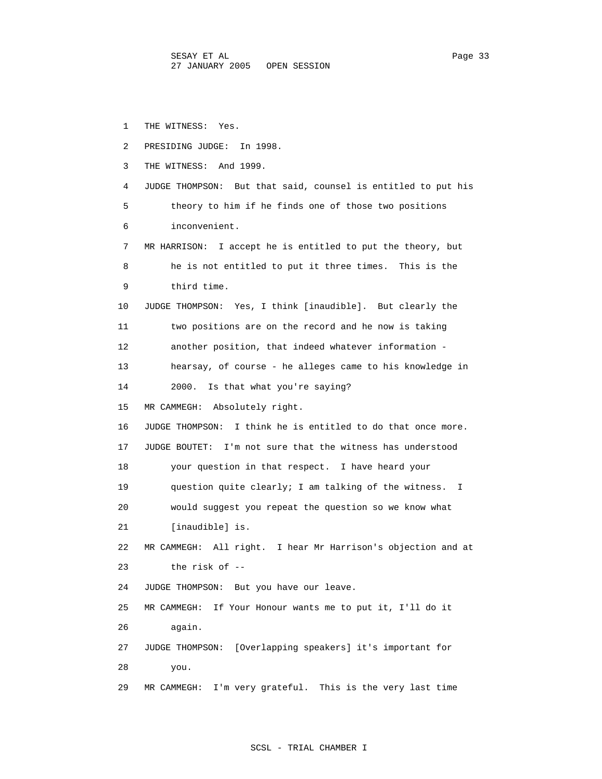1 THE WITNESS: Yes. 2 PRESIDING JUDGE: In 1998. 3 THE WITNESS: And 1999. 4 JUDGE THOMPSON: But that said, counsel is entitled to put his 5 theory to him if he finds one of those two positions 6 inconvenient. 7 MR HARRISON: I accept he is entitled to put the theory, but 8 he is not entitled to put it three times. This is the 9 third time. 10 JUDGE THOMPSON: Yes, I think [inaudible]. But clearly the 11 two positions are on the record and he now is taking 12 another position, that indeed whatever information - 13 hearsay, of course - he alleges came to his knowledge in 14 2000. Is that what you're saying? 15 MR CAMMEGH: Absolutely right. 16 JUDGE THOMPSON: I think he is entitled to do that once more. 17 JUDGE BOUTET: I'm not sure that the witness has understood 18 your question in that respect. I have heard your 19 question quite clearly; I am talking of the witness. I 20 would suggest you repeat the question so we know what 21 [inaudible] is. 22 MR CAMMEGH: All right. I hear Mr Harrison's objection and at 23 the risk of -- 24 JUDGE THOMPSON: But you have our leave. 25 MR CAMMEGH: If Your Honour wants me to put it, I'll do it 26 again. 27 JUDGE THOMPSON: [Overlapping speakers] it's important for 28 you. 29 MR CAMMEGH: I'm very grateful. This is the very last time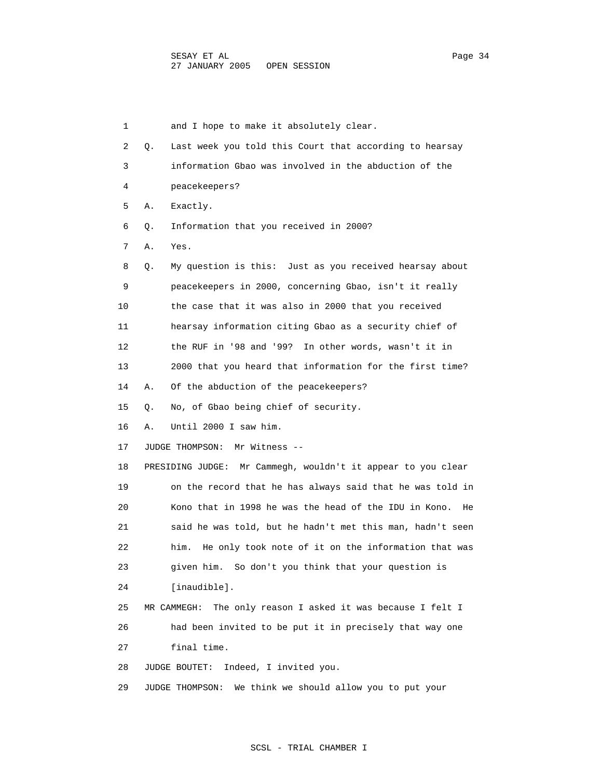1 and I hope to make it absolutely clear. 2 Q. Last week you told this Court that according to hearsay 3 information Gbao was involved in the abduction of the 4 peacekeepers? 5 A. Exactly. 6 Q. Information that you received in 2000? 7 A. Yes. 8 Q. My question is this: Just as you received hearsay about 9 peacekeepers in 2000, concerning Gbao, isn't it really 10 the case that it was also in 2000 that you received 11 hearsay information citing Gbao as a security chief of 12 the RUF in '98 and '99? In other words, wasn't it in 13 2000 that you heard that information for the first time? 14 A. Of the abduction of the peacekeepers? 15 Q. No, of Gbao being chief of security. 16 A. Until 2000 I saw him. 17 JUDGE THOMPSON: Mr Witness -- 18 PRESIDING JUDGE: Mr Cammegh, wouldn't it appear to you clear 19 on the record that he has always said that he was told in 20 Kono that in 1998 he was the head of the IDU in Kono. He 21 said he was told, but he hadn't met this man, hadn't seen 22 him. He only took note of it on the information that was 23 given him. So don't you think that your question is 24 [inaudible]. 25 MR CAMMEGH: The only reason I asked it was because I felt I 26 had been invited to be put it in precisely that way one 27 final time. 28 JUDGE BOUTET: Indeed, I invited you.

29 JUDGE THOMPSON: We think we should allow you to put your

## SCSL - TRIAL CHAMBER I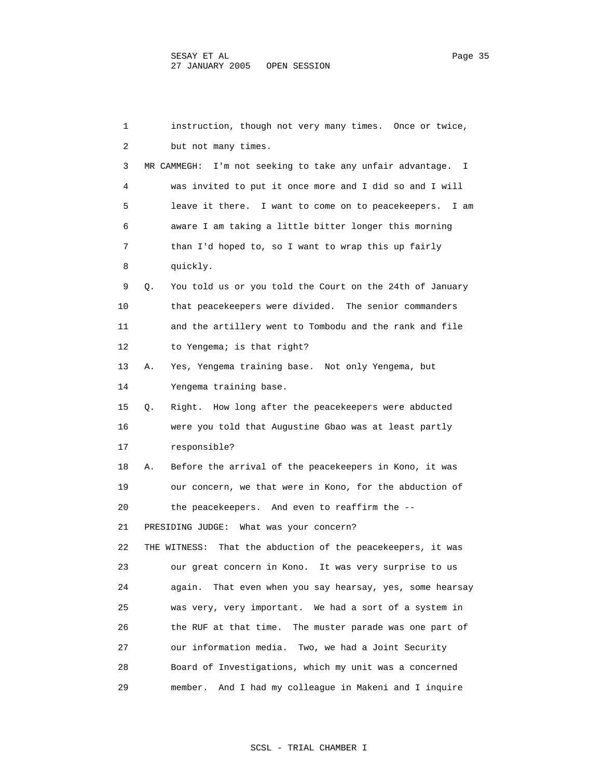1 instruction, though not very many times. Once or twice, 2 but not many times. 3 MR CAMMEGH: I'm not seeking to take any unfair advantage. I 4 was invited to put it once more and I did so and I will 5 leave it there. I want to come on to peacekeepers. I am 6 aware I am taking a little bitter longer this morning 7 than I'd hoped to, so I want to wrap this up fairly 8 quickly. 9 Q. You told us or you told the Court on the 24th of January 10 that peacekeepers were divided. The senior commanders 11 and the artillery went to Tombodu and the rank and file 12 to Yengema; is that right? 13 A. Yes, Yengema training base. Not only Yengema, but 14 Yengema training base. 15 Q. Right. How long after the peacekeepers were abducted 16 were you told that Augustine Gbao was at least partly 17 responsible? 18 A. Before the arrival of the peacekeepers in Kono, it was 19 our concern, we that were in Kono, for the abduction of 20 the peacekeepers. And even to reaffirm the -- 21 PRESIDING JUDGE: What was your concern? 22 THE WITNESS: That the abduction of the peacekeepers, it was 23 our great concern in Kono. It was very surprise to us 24 again. That even when you say hearsay, yes, some hearsay 25 was very, very important. We had a sort of a system in 26 the RUF at that time. The muster parade was one part of 27 our information media. Two, we had a Joint Security 28 Board of Investigations, which my unit was a concerned 29 member. And I had my colleague in Makeni and I inquire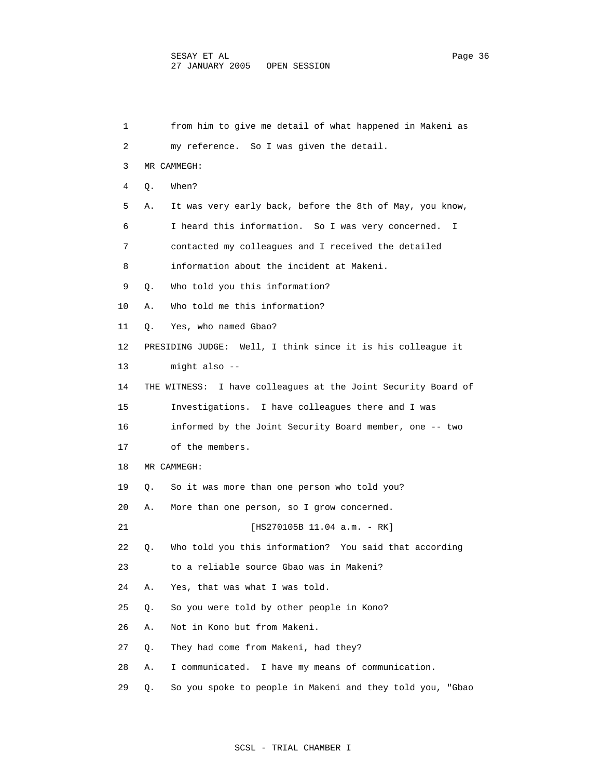1 from him to give me detail of what happened in Makeni as 2 my reference. So I was given the detail. 3 MR CAMMEGH: 4 Q. When? 5 A. It was very early back, before the 8th of May, you know, 6 I heard this information. So I was very concerned. I 7 contacted my colleagues and I received the detailed 8 information about the incident at Makeni. 9 Q. Who told you this information? 10 A. Who told me this information? 11 Q. Yes, who named Gbao? 12 PRESIDING JUDGE: Well, I think since it is his colleague it 13 might also -- 14 THE WITNESS: I have colleagues at the Joint Security Board of 15 Investigations. I have colleagues there and I was 16 informed by the Joint Security Board member, one -- two 17 of the members. 18 MR CAMMEGH: 19 Q. So it was more than one person who told you? 20 A. More than one person, so I grow concerned. 21 [HS270105B 11.04 a.m. - RK] 22 Q. Who told you this information? You said that according 23 to a reliable source Gbao was in Makeni? 24 A. Yes, that was what I was told. 25 Q. So you were told by other people in Kono? 26 A. Not in Kono but from Makeni. 27 Q. They had come from Makeni, had they? 28 A. I communicated. I have my means of communication. 29 Q. So you spoke to people in Makeni and they told you, "Gbao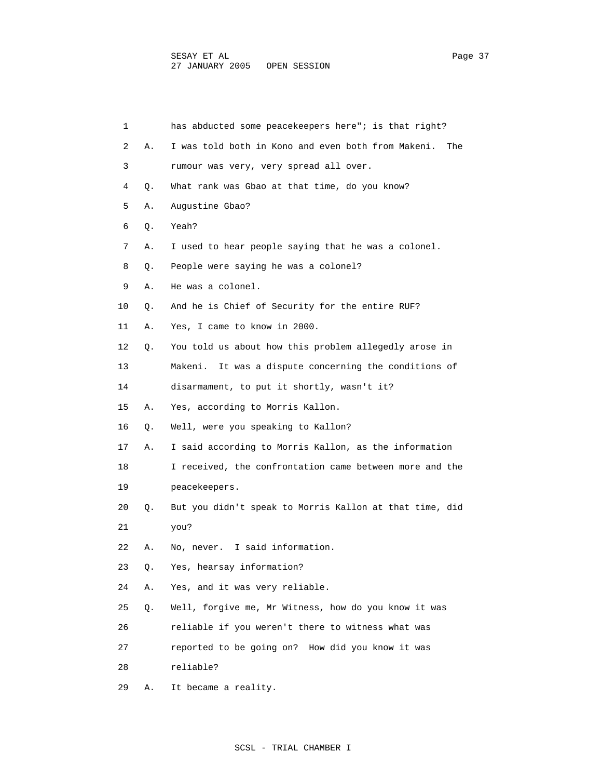| 1  |    | has abducted some peacekeepers here"; is that right?      |
|----|----|-----------------------------------------------------------|
| 2  | Α. | I was told both in Kono and even both from Makeni.<br>The |
| 3  |    | rumour was very, very spread all over.                    |
| 4  | Q. | What rank was Gbao at that time, do you know?             |
| 5  | Α. | Augustine Gbao?                                           |
| 6  | Q. | Yeah?                                                     |
| 7  | Α. | I used to hear people saying that he was a colonel.       |
| 8  | Q. | People were saying he was a colonel?                      |
| 9  | Α. | He was a colonel.                                         |
| 10 | Q. | And he is Chief of Security for the entire RUF?           |
| 11 | Α. | Yes, I came to know in 2000.                              |
| 12 | Q. | You told us about how this problem allegedly arose in     |
| 13 |    | Makeni. It was a dispute concerning the conditions of     |
| 14 |    | disarmament, to put it shortly, wasn't it?                |
| 15 | Α. | Yes, according to Morris Kallon.                          |
| 16 | Q. | Well, were you speaking to Kallon?                        |
| 17 | Α. | I said according to Morris Kallon, as the information     |
| 18 |    | I received, the confrontation came between more and the   |
| 19 |    | peacekeepers.                                             |
| 20 | Q. | But you didn't speak to Morris Kallon at that time, did   |
| 21 |    | you?                                                      |
| 22 | Α. | I said information.<br>No, never.                         |
| 23 | Q. | Yes, hearsay information?                                 |
| 24 | Α. | Yes, and it was very reliable.                            |
| 25 | Q. | Well, forgive me, Mr Witness, how do you know it was      |
| 26 |    | reliable if you weren't there to witness what was         |
| 27 |    | reported to be going on? How did you know it was          |
| 28 |    | reliable?                                                 |
| 29 | Α. | It became a reality.                                      |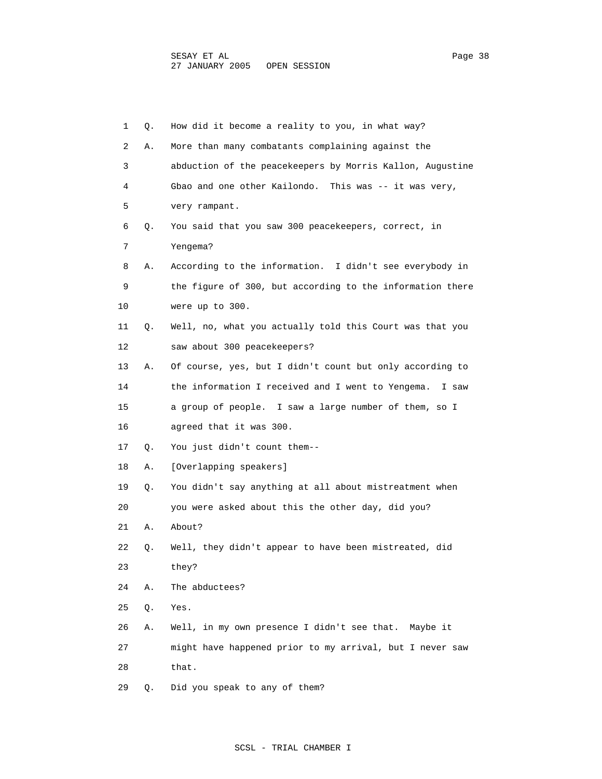| 1  | Q. | How did it become a reality to you, in what way?           |
|----|----|------------------------------------------------------------|
| 2  | Α. | More than many combatants complaining against the          |
| 3  |    | abduction of the peacekeepers by Morris Kallon, Augustine  |
| 4  |    | Gbao and one other Kailondo. This was -- it was very,      |
| 5  |    | very rampant.                                              |
| 6  | Q. | You said that you saw 300 peacekeepers, correct, in        |
| 7  |    | Yengema?                                                   |
| 8  | Α. | According to the information. I didn't see everybody in    |
| 9  |    | the figure of 300, but according to the information there  |
| 10 |    | were up to 300.                                            |
| 11 | Q. | Well, no, what you actually told this Court was that you   |
| 12 |    | saw about 300 peacekeepers?                                |
| 13 | Α. | Of course, yes, but I didn't count but only according to   |
| 14 |    | the information I received and I went to Yengema.<br>I saw |
| 15 |    | a group of people. I saw a large number of them, so I      |
| 16 |    | agreed that it was 300.                                    |
| 17 | Q. | You just didn't count them--                               |
| 18 | Α. | [Overlapping speakers]                                     |
| 19 | Q. | You didn't say anything at all about mistreatment when     |
| 20 |    | you were asked about this the other day, did you?          |
| 21 | Α. | About?                                                     |
| 22 | Q. | Well, they didn't appear to have been mistreated, did      |
| 23 |    | they?                                                      |
| 24 | Α. | The abductees?                                             |
| 25 | Q. | Yes.                                                       |
| 26 | Α. | Well, in my own presence I didn't see that. Maybe it       |
| 27 |    | might have happened prior to my arrival, but I never saw   |
| 28 |    | that.                                                      |
| 29 | Q. | Did you speak to any of them?                              |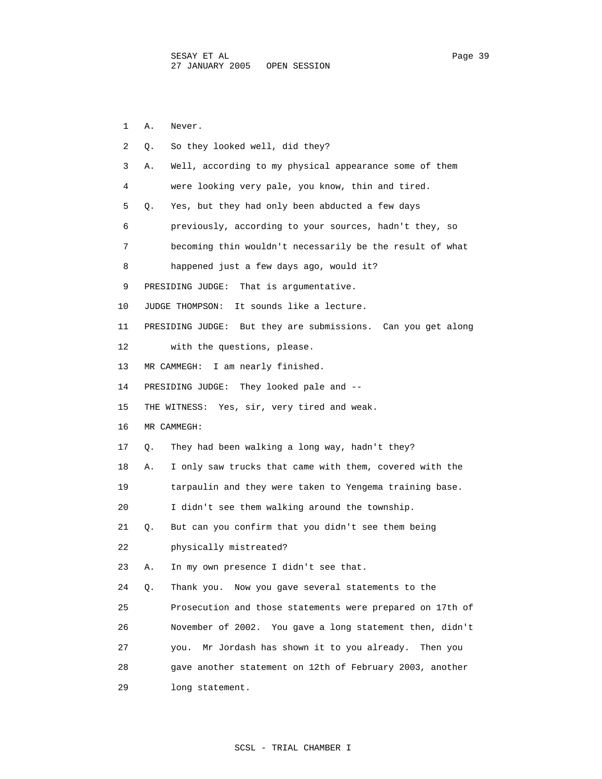1 A. Never. 2 Q. So they looked well, did they? 3 A. Well, according to my physical appearance some of them 4 were looking very pale, you know, thin and tired. 5 Q. Yes, but they had only been abducted a few days 6 previously, according to your sources, hadn't they, so 7 becoming thin wouldn't necessarily be the result of what 8 happened just a few days ago, would it? 9 PRESIDING JUDGE: That is argumentative. 10 JUDGE THOMPSON: It sounds like a lecture. 11 PRESIDING JUDGE: But they are submissions. Can you get along 12 with the questions, please. 13 MR CAMMEGH: I am nearly finished. 14 PRESIDING JUDGE: They looked pale and -- 15 THE WITNESS: Yes, sir, very tired and weak. 16 MR CAMMEGH: 17 Q. They had been walking a long way, hadn't they? 18 A. I only saw trucks that came with them, covered with the 19 tarpaulin and they were taken to Yengema training base. 20 I didn't see them walking around the township. 21 Q. But can you confirm that you didn't see them being 22 physically mistreated? 23 A. In my own presence I didn't see that. 24 Q. Thank you. Now you gave several statements to the 25 Prosecution and those statements were prepared on 17th of 26 November of 2002. You gave a long statement then, didn't 27 you. Mr Jordash has shown it to you already. Then you 28 gave another statement on 12th of February 2003, another 29 long statement.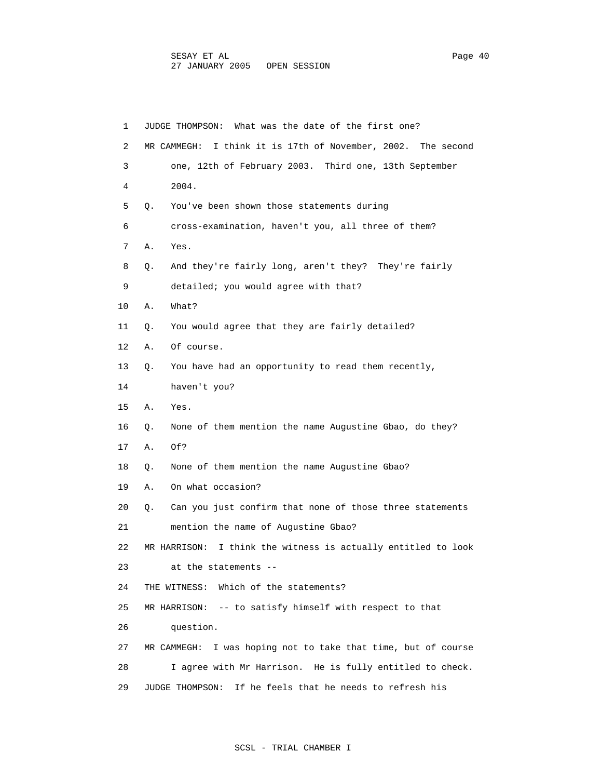| 1  | JUDGE THOMPSON: What was the date of the first one?              |
|----|------------------------------------------------------------------|
| 2  | MR CAMMEGH: I think it is 17th of November, 2002. The second     |
| 3  | one, 12th of February 2003. Third one, 13th September            |
| 4  | 2004.                                                            |
| 5  | You've been shown those statements during<br>О.                  |
| 6  | cross-examination, haven't you, all three of them?               |
| 7  | Α.<br>Yes.                                                       |
| 8  | And they're fairly long, aren't they? They're fairly<br>Q.       |
| 9  | detailed; you would agree with that?                             |
| 10 | What?<br>Α.                                                      |
| 11 | You would agree that they are fairly detailed?<br>Q.             |
| 12 | Α.<br>Of course.                                                 |
| 13 | You have had an opportunity to read them recently,<br>Q.         |
| 14 | haven't you?                                                     |
| 15 | Α.<br>Yes.                                                       |
| 16 | None of them mention the name Augustine Gbao, do they?<br>Q.     |
| 17 | Α.<br>Of?                                                        |
| 18 | None of them mention the name Augustine Gbao?<br>Q.              |
| 19 | On what occasion?<br>Α.                                          |
| 20 | Can you just confirm that none of those three statements<br>Q.   |
| 21 | mention the name of Augustine Gbao?                              |
| 22 | I think the witness is actually entitled to look<br>MR HARRISON: |
| 23 | at the statements --                                             |
| 24 | Which of the statements?<br>THE WITNESS:                         |
| 25 | MR HARRISON: $-$ - to satisfy himself with respect to that       |
| 26 | question.                                                        |
| 27 | I was hoping not to take that time, but of course<br>MR CAMMEGH: |
| 28 | I agree with Mr Harrison. He is fully entitled to check.         |
| 29 | If he feels that he needs to refresh his<br>JUDGE THOMPSON:      |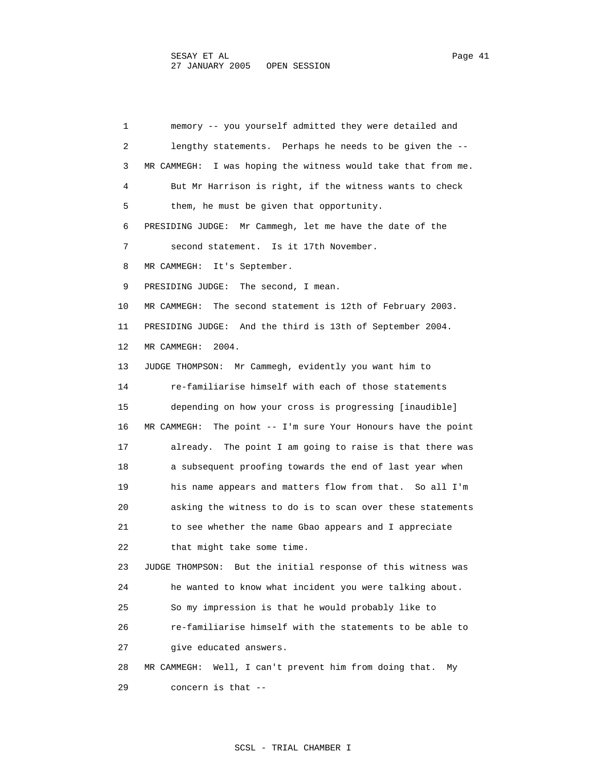1 memory -- you yourself admitted they were detailed and 2 lengthy statements. Perhaps he needs to be given the -- 3 MR CAMMEGH: I was hoping the witness would take that from me. 4 But Mr Harrison is right, if the witness wants to check 5 them, he must be given that opportunity. 6 PRESIDING JUDGE: Mr Cammegh, let me have the date of the 7 second statement. Is it 17th November. 8 MR CAMMEGH: It's September. 9 PRESIDING JUDGE: The second, I mean. 10 MR CAMMEGH: The second statement is 12th of February 2003. 11 PRESIDING JUDGE: And the third is 13th of September 2004. 12 MR CAMMEGH: 2004. 13 JUDGE THOMPSON: Mr Cammegh, evidently you want him to 14 re-familiarise himself with each of those statements 15 depending on how your cross is progressing [inaudible] 16 MR CAMMEGH: The point -- I'm sure Your Honours have the point 17 already. The point I am going to raise is that there was 18 a subsequent proofing towards the end of last year when 19 his name appears and matters flow from that. So all I'm 20 asking the witness to do is to scan over these statements 21 to see whether the name Gbao appears and I appreciate 22 that might take some time. 23 JUDGE THOMPSON: But the initial response of this witness was 24 he wanted to know what incident you were talking about. 25 So my impression is that he would probably like to 26 re-familiarise himself with the statements to be able to 27 give educated answers. 28 MR CAMMEGH: Well, I can't prevent him from doing that. My 29 concern is that --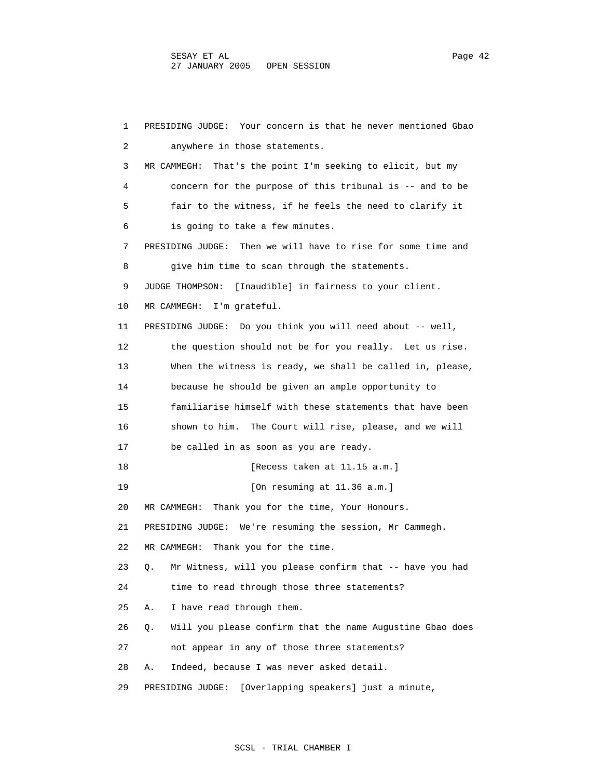1 PRESIDING JUDGE: Your concern is that he never mentioned Gbao 2 anywhere in those statements. 3 MR CAMMEGH: That's the point I'm seeking to elicit, but my 4 concern for the purpose of this tribunal is -- and to be 5 fair to the witness, if he feels the need to clarify it 6 is going to take a few minutes. 7 PRESIDING JUDGE: Then we will have to rise for some time and 8 give him time to scan through the statements. 9 JUDGE THOMPSON: [Inaudible] in fairness to your client. 10 MR CAMMEGH: I'm grateful. 11 PRESIDING JUDGE: Do you think you will need about -- well, 12 the question should not be for you really. Let us rise. 13 When the witness is ready, we shall be called in, please, 14 because he should be given an ample opportunity to 15 familiarise himself with these statements that have been 16 shown to him. The Court will rise, please, and we will 17 be called in as soon as you are ready. 18 **I**Recess taken at 11.15 a.m.] 19 **[On resuming at 11.36 a.m.]**  20 MR CAMMEGH: Thank you for the time, Your Honours. 21 PRESIDING JUDGE: We're resuming the session, Mr Cammegh. 22 MR CAMMEGH: Thank you for the time. 23 Q. Mr Witness, will you please confirm that -- have you had 24 time to read through those three statements? 25 A. I have read through them. 26 Q. Will you please confirm that the name Augustine Gbao does 27 not appear in any of those three statements? 28 A. Indeed, because I was never asked detail. 29 PRESIDING JUDGE: [Overlapping speakers] just a minute,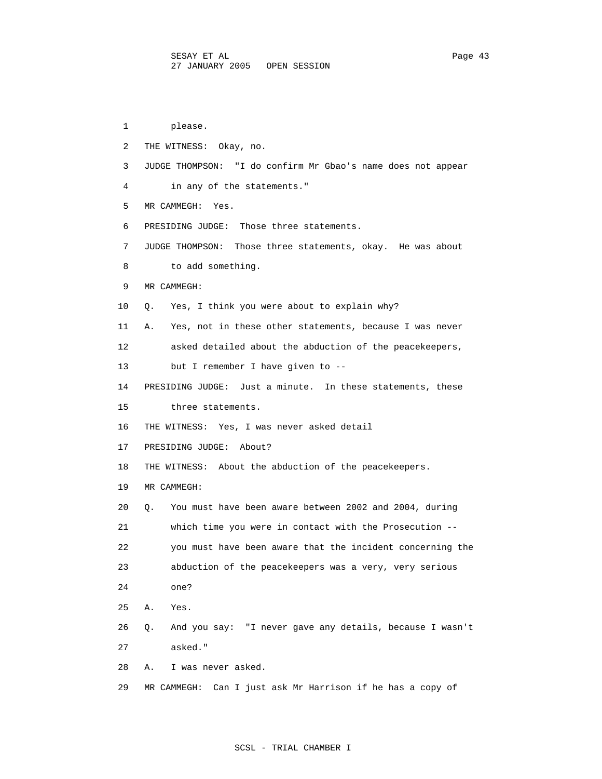1 please. 2 THE WITNESS: Okay, no. 3 JUDGE THOMPSON: "I do confirm Mr Gbao's name does not appear 4 in any of the statements." 5 MR CAMMEGH: Yes. 6 PRESIDING JUDGE: Those three statements. 7 JUDGE THOMPSON: Those three statements, okay. He was about 8 to add something. 9 MR CAMMEGH: 10 Q. Yes, I think you were about to explain why? 11 A. Yes, not in these other statements, because I was never 12 asked detailed about the abduction of the peacekeepers, 13 but I remember I have given to -- 14 PRESIDING JUDGE: Just a minute. In these statements, these 15 three statements. 16 THE WITNESS: Yes, I was never asked detail 17 PRESIDING JUDGE: About? 18 THE WITNESS: About the abduction of the peacekeepers. 19 MR CAMMEGH: 20 Q. You must have been aware between 2002 and 2004, during 21 which time you were in contact with the Prosecution -- 22 you must have been aware that the incident concerning the 23 abduction of the peacekeepers was a very, very serious 24 one? 25 A. Yes. 26 Q. And you say: "I never gave any details, because I wasn't 27 asked." 28 A. I was never asked. 29 MR CAMMEGH: Can I just ask Mr Harrison if he has a copy of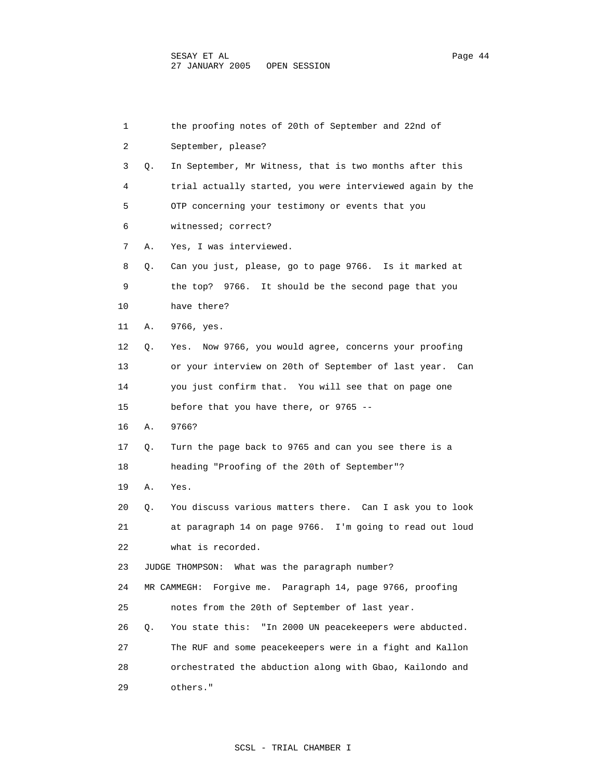1 the proofing notes of 20th of September and 22nd of 2 September, please? 3 Q. In September, Mr Witness, that is two months after this 4 trial actually started, you were interviewed again by the 5 OTP concerning your testimony or events that you 6 witnessed; correct? 7 A. Yes, I was interviewed. 8 Q. Can you just, please, go to page 9766. Is it marked at 9 the top? 9766. It should be the second page that you 10 have there? 11 A. 9766, yes. 12 Q. Yes. Now 9766, you would agree, concerns your proofing 13 or your interview on 20th of September of last year. Can 14 you just confirm that. You will see that on page one 15 before that you have there, or 9765 -- 16 A. 9766? 17 Q. Turn the page back to 9765 and can you see there is a 18 heading "Proofing of the 20th of September"? 19 A. Yes. 20 Q. You discuss various matters there. Can I ask you to look 21 at paragraph 14 on page 9766. I'm going to read out loud 22 what is recorded. 23 JUDGE THOMPSON: What was the paragraph number? 24 MR CAMMEGH: Forgive me. Paragraph 14, page 9766, proofing 25 notes from the 20th of September of last year. 26 Q. You state this: "In 2000 UN peacekeepers were abducted. 27 The RUF and some peacekeepers were in a fight and Kallon 28 orchestrated the abduction along with Gbao, Kailondo and 29 others."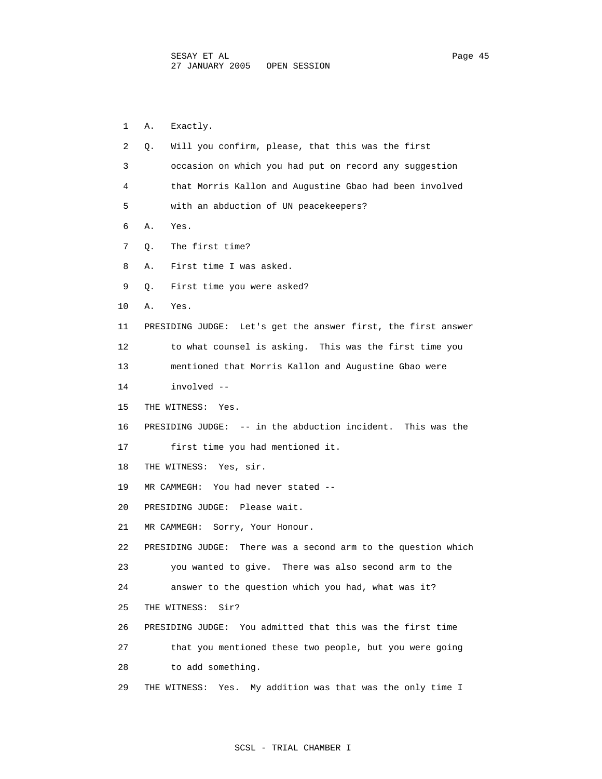1 A. Exactly. 2 Q. Will you confirm, please, that this was the first 3 occasion on which you had put on record any suggestion 4 that Morris Kallon and Augustine Gbao had been involved 5 with an abduction of UN peacekeepers? 6 A. Yes. 7 Q. The first time? 8 A. First time I was asked. 9 Q. First time you were asked? 10 A. Yes. 11 PRESIDING JUDGE: Let's get the answer first, the first answer 12 to what counsel is asking. This was the first time you 13 mentioned that Morris Kallon and Augustine Gbao were 14 involved -- 15 THE WITNESS: Yes. 16 PRESIDING JUDGE: -- in the abduction incident. This was the 17 first time you had mentioned it. 18 THE WITNESS: Yes, sir. 19 MR CAMMEGH: You had never stated -- 20 PRESIDING JUDGE: Please wait. 21 MR CAMMEGH: Sorry, Your Honour. 22 PRESIDING JUDGE: There was a second arm to the question which 23 you wanted to give. There was also second arm to the 24 answer to the question which you had, what was it? 25 THE WITNESS: Sir? 26 PRESIDING JUDGE: You admitted that this was the first time 27 that you mentioned these two people, but you were going 28 to add something. 29 THE WITNESS: Yes. My addition was that was the only time I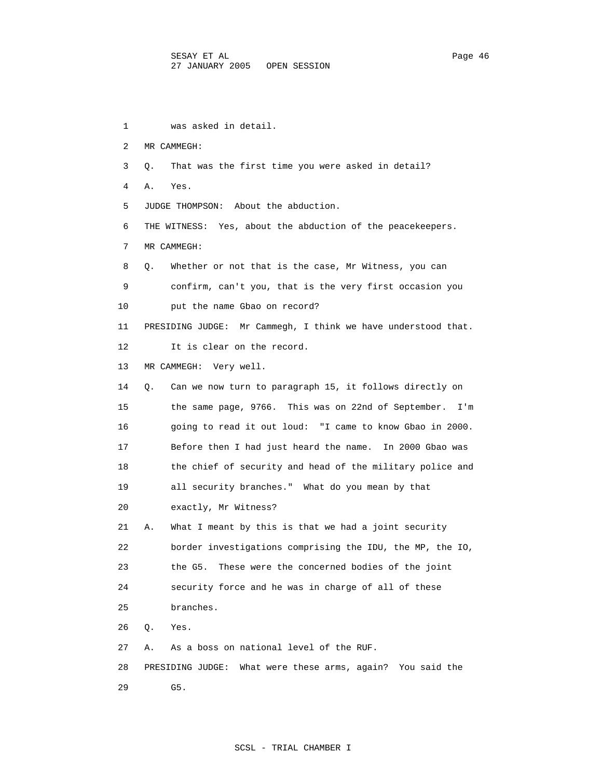1 was asked in detail. 2 MR CAMMEGH: 3 Q. That was the first time you were asked in detail? 4 A. Yes. 5 JUDGE THOMPSON: About the abduction. 6 THE WITNESS: Yes, about the abduction of the peacekeepers. 7 MR CAMMEGH: 8 Q. Whether or not that is the case, Mr Witness, you can 9 confirm, can't you, that is the very first occasion you 10 put the name Gbao on record? 11 PRESIDING JUDGE: Mr Cammegh, I think we have understood that. 12 It is clear on the record. 13 MR CAMMEGH: Very well. 14 Q. Can we now turn to paragraph 15, it follows directly on 15 the same page, 9766. This was on 22nd of September. I'm 16 going to read it out loud: "I came to know Gbao in 2000. 17 Before then I had just heard the name. In 2000 Gbao was 18 the chief of security and head of the military police and 19 all security branches." What do you mean by that 20 exactly, Mr Witness? 21 A. What I meant by this is that we had a joint security 22 border investigations comprising the IDU, the MP, the IO, 23 the G5. These were the concerned bodies of the joint 24 security force and he was in charge of all of these 25 branches. 26 Q. Yes. 27 A. As a boss on national level of the RUF. 28 PRESIDING JUDGE: What were these arms, again? You said the 29 G5.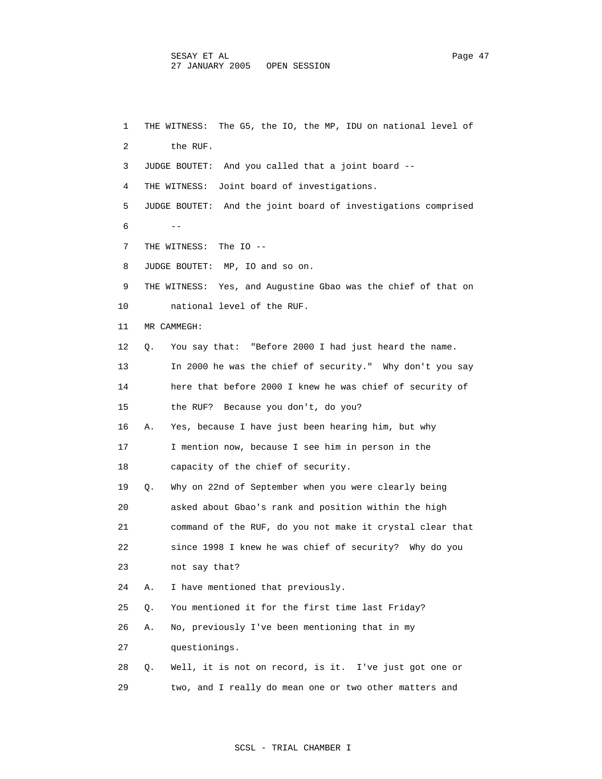1 THE WITNESS: The G5, the IO, the MP, IDU on national level of 2 the RUF. 3 JUDGE BOUTET: And you called that a joint board -- 4 THE WITNESS: Joint board of investigations. 5 JUDGE BOUTET: And the joint board of investigations comprised  $6$  -- 7 THE WITNESS: The IO -- 8 JUDGE BOUTET: MP, IO and so on. 9 THE WITNESS: Yes, and Augustine Gbao was the chief of that on 10 national level of the RUF. 11 MR CAMMEGH: 12 Q. You say that: "Before 2000 I had just heard the name. 13 In 2000 he was the chief of security." Why don't you say 14 here that before 2000 I knew he was chief of security of 15 the RUF? Because you don't, do you? 16 A. Yes, because I have just been hearing him, but why 17 I mention now, because I see him in person in the 18 capacity of the chief of security. 19 Q. Why on 22nd of September when you were clearly being 20 asked about Gbao's rank and position within the high 21 command of the RUF, do you not make it crystal clear that 22 since 1998 I knew he was chief of security? Why do you 23 not say that? 24 A. I have mentioned that previously. 25 Q. You mentioned it for the first time last Friday? 26 A. No, previously I've been mentioning that in my 27 questionings. 28 Q. Well, it is not on record, is it. I've just got one or 29 two, and I really do mean one or two other matters and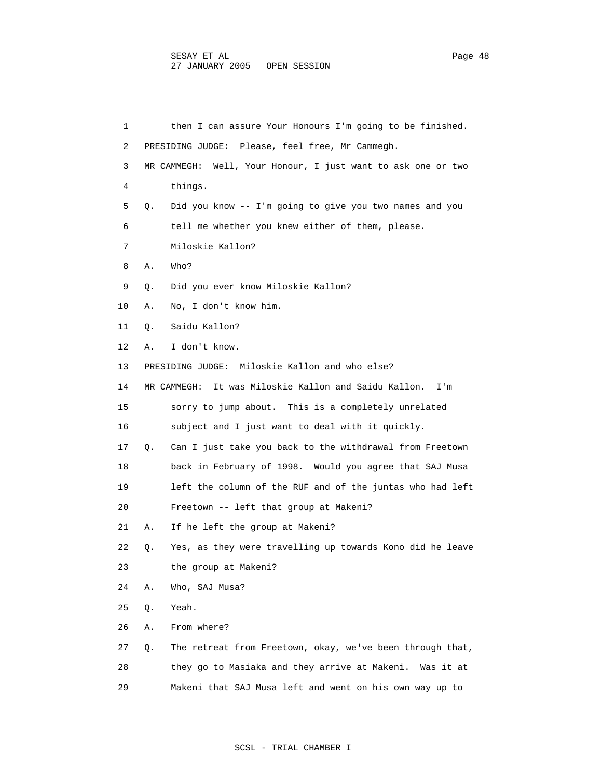| 1  |    | then I can assure Your Honours I'm going to be finished.       |
|----|----|----------------------------------------------------------------|
| 2  |    | PRESIDING JUDGE: Please, feel free, Mr Cammegh.                |
| 3  |    | MR CAMMEGH: Well, Your Honour, I just want to ask one or two   |
| 4  |    | things.                                                        |
| 5  | Q. | Did you know -- I'm going to give you two names and you        |
| 6  |    | tell me whether you knew either of them, please.               |
| 7  |    | Miloskie Kallon?                                               |
| 8  | Α. | Who?                                                           |
| 9  | О. | Did you ever know Miloskie Kallon?                             |
| 10 | Α. | No, I don't know him.                                          |
| 11 | Q. | Saidu Kallon?                                                  |
| 12 | Α. | I don't know.                                                  |
| 13 |    | PRESIDING JUDGE: Miloskie Kallon and who else?                 |
| 14 |    | It was Miloskie Kallon and Saidu Kallon.<br>MR CAMMEGH:<br>I'm |
| 15 |    | sorry to jump about. This is a completely unrelated            |
| 16 |    | subject and I just want to deal with it quickly.               |
| 17 | Q. | Can I just take you back to the withdrawal from Freetown       |
| 18 |    | back in February of 1998. Would you agree that SAJ Musa        |
| 19 |    | left the column of the RUF and of the juntas who had left      |
| 20 |    | Freetown -- left that group at Makeni?                         |
| 21 | А. | If he left the group at Makeni?                                |
| 22 | Q. | Yes, as they were travelling up towards Kono did he leave      |
| 23 |    | the group at Makeni?                                           |
| 24 | Α. | Who, SAJ Musa?                                                 |
| 25 | Q. | Yeah.                                                          |
| 26 | Α. | From where?                                                    |
| 27 | Q. | The retreat from Freetown, okay, we've been through that,      |
| 28 |    | they go to Masiaka and they arrive at Makeni.<br>Was it at     |
| 29 |    | Makeni that SAJ Musa left and went on his own way up to        |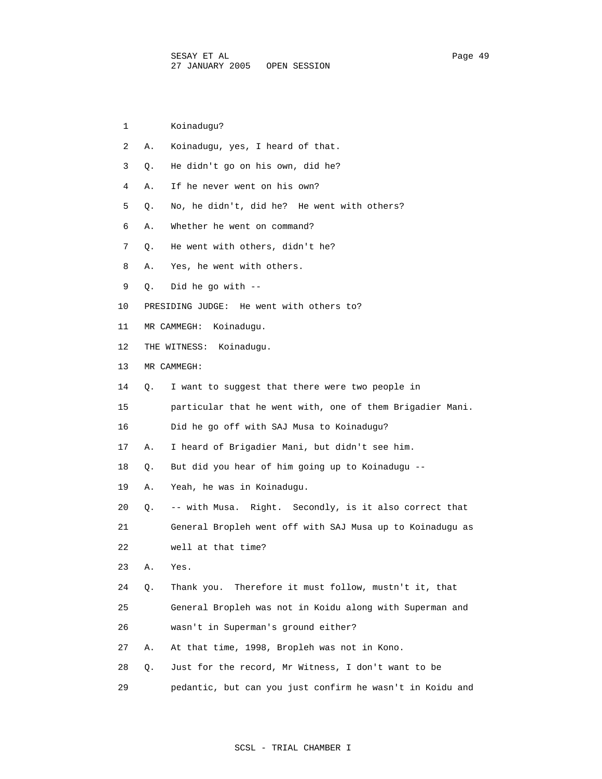| 1  |           | Koinadugu?                                                |
|----|-----------|-----------------------------------------------------------|
| 2  | Α.        | Koinadugu, yes, I heard of that.                          |
| 3  | Q.        | He didn't go on his own, did he?                          |
| 4  | Α.        | If he never went on his own?                              |
| 5  | Q.        | No, he didn't, did he? He went with others?               |
| 6  | Α.        | Whether he went on command?                               |
| 7  | Q.        | He went with others, didn't he?                           |
| 8  | Α.        | Yes, he went with others.                                 |
| 9  | $\circ$ . | Did he go with --                                         |
| 10 |           | PRESIDING JUDGE: He went with others to?                  |
| 11 |           | MR CAMMEGH:<br>Koinaduqu.                                 |
| 12 |           | THE WITNESS: Koinadugu.                                   |
| 13 |           | MR CAMMEGH:                                               |
| 14 | О.        | I want to suggest that there were two people in           |
| 15 |           | particular that he went with, one of them Brigadier Mani. |
| 16 |           | Did he go off with SAJ Musa to Koinadugu?                 |
| 17 | Α.        | I heard of Brigadier Mani, but didn't see him.            |
| 18 | Q.        | But did you hear of him going up to Koinadugu --          |
| 19 | Α.        | Yeah, he was in Koinadugu.                                |
| 20 | Q.        | -- with Musa. Right. Secondly, is it also correct that    |
| 21 |           | General Bropleh went off with SAJ Musa up to Koinaduqu as |
| 22 |           | well at that time?                                        |
| 23 | Α.        | Yes.                                                      |
| 24 | Q.        | Therefore it must follow, mustn't it, that<br>Thank you.  |
| 25 |           | General Bropleh was not in Koidu along with Superman and  |
| 26 |           | wasn't in Superman's ground either?                       |
| 27 | Α.        | At that time, 1998, Bropleh was not in Kono.              |
| 28 | Q.        | Just for the record, Mr Witness, I don't want to be       |
| 29 |           | pedantic, but can you just confirm he wasn't in Koidu and |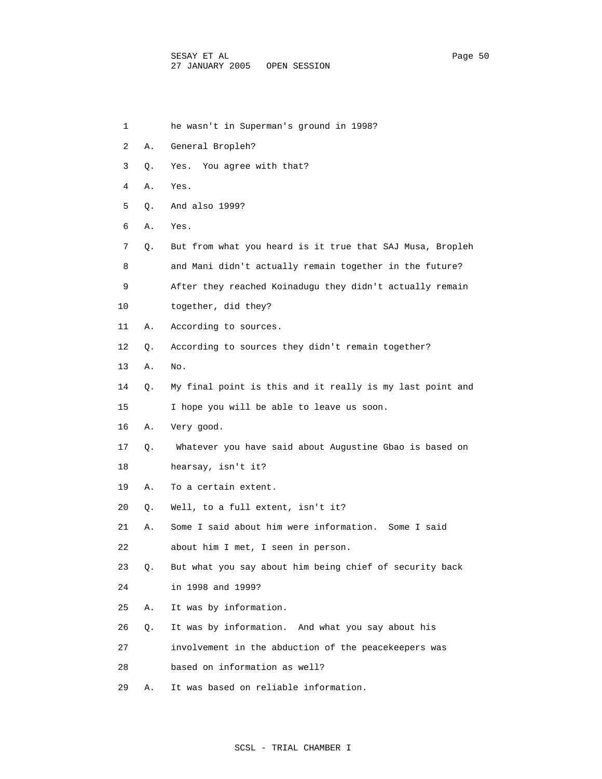1 he wasn't in Superman's ground in 1998?

| 2  | Α. | General Bropleh?                                          |
|----|----|-----------------------------------------------------------|
| 3  | Q. | You agree with that?<br>Yes.                              |
| 4  | Α. | Yes.                                                      |
| 5  | Q. | And also 1999?                                            |
| 6  | Α. | Yes.                                                      |
| 7  | Q. | But from what you heard is it true that SAJ Musa, Bropleh |
| 8  |    | and Mani didn't actually remain together in the future?   |
| 9  |    | After they reached Koinadugu they didn't actually remain  |
| 10 |    | together, did they?                                       |
| 11 | Α. | According to sources.                                     |
| 12 | Q. | According to sources they didn't remain together?         |
| 13 | Α. | No.                                                       |
| 14 | Q. | My final point is this and it really is my last point and |
| 15 |    | I hope you will be able to leave us soon.                 |
| 16 | Α. | Very good.                                                |
| 17 | Q. | Whatever you have said about Augustine Gbao is based on   |
| 18 |    | hearsay, isn't it?                                        |
| 19 | Α. | To a certain extent.                                      |
| 20 | Q. | Well, to a full extent, isn't it?                         |
| 21 | Α. | Some I said about him were information. Some I said       |
| 22 |    | about him I met, I seen in person.                        |
| 23 | О. | But what you say about him being chief of security back   |
| 24 |    | in 1998 and 1999?                                         |
| 25 | Α. | It was by information.                                    |
| 26 | Q. | It was by information. And what you say about his         |
| 27 |    | involvement in the abduction of the peacekeepers was      |
| 28 |    | based on information as well?                             |
| 29 | Α. | It was based on reliable information.                     |

# SCSL - TRIAL CHAMBER I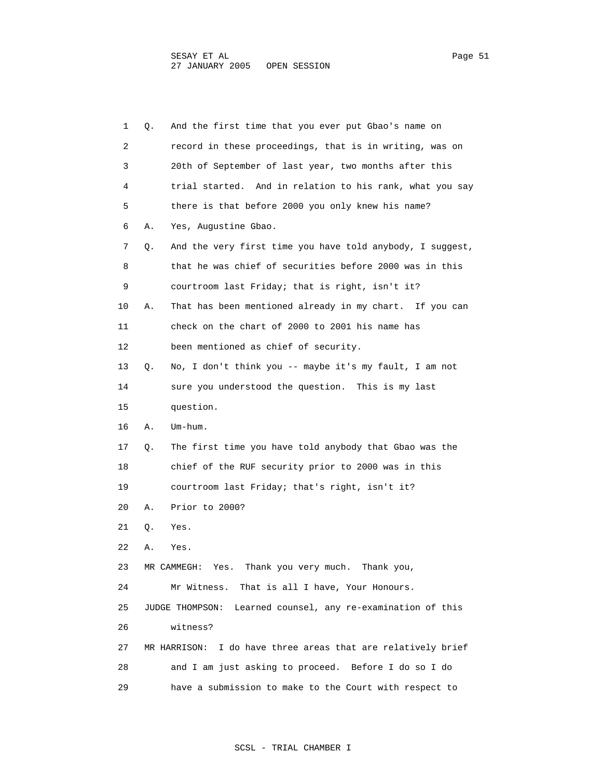1 Q. And the first time that you ever put Gbao's name on 2 record in these proceedings, that is in writing, was on 3 20th of September of last year, two months after this 4 trial started. And in relation to his rank, what you say 5 there is that before 2000 you only knew his name? 6 A. Yes, Augustine Gbao. 7 Q. And the very first time you have told anybody, I suggest, 8 that he was chief of securities before 2000 was in this 9 courtroom last Friday; that is right, isn't it? 10 A. That has been mentioned already in my chart. If you can 11 check on the chart of 2000 to 2001 his name has 12 been mentioned as chief of security. 13 Q. No, I don't think you -- maybe it's my fault, I am not 14 sure you understood the question. This is my last 15 question. 16 A. Um-hum. 17 Q. The first time you have told anybody that Gbao was the 18 chief of the RUF security prior to 2000 was in this 19 courtroom last Friday; that's right, isn't it? 20 A. Prior to 2000? 21 Q. Yes. 22 A. Yes. 23 MR CAMMEGH: Yes. Thank you very much. Thank you, 24 Mr Witness. That is all I have, Your Honours. 25 JUDGE THOMPSON: Learned counsel, any re-examination of this 26 witness? 27 MR HARRISON: I do have three areas that are relatively brief 28 and I am just asking to proceed. Before I do so I do 29 have a submission to make to the Court with respect to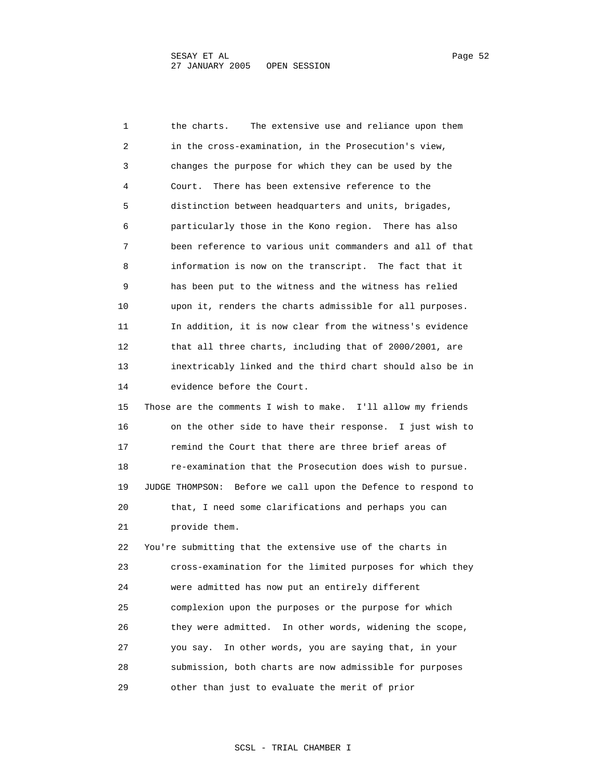1 the charts. The extensive use and reliance upon them 2 in the cross-examination, in the Prosecution's view, 3 changes the purpose for which they can be used by the 4 Court. There has been extensive reference to the 5 distinction between headquarters and units, brigades, 6 particularly those in the Kono region. There has also 7 been reference to various unit commanders and all of that 8 information is now on the transcript. The fact that it 9 has been put to the witness and the witness has relied 10 upon it, renders the charts admissible for all purposes. 11 In addition, it is now clear from the witness's evidence 12 that all three charts, including that of 2000/2001, are 13 inextricably linked and the third chart should also be in 14 evidence before the Court. 15 Those are the comments I wish to make. I'll allow my friends 16 on the other side to have their response. I just wish to 17 remind the Court that there are three brief areas of 18 re-examination that the Prosecution does wish to pursue. 19 JUDGE THOMPSON: Before we call upon the Defence to respond to 20 that, I need some clarifications and perhaps you can 21 provide them. 22 You're submitting that the extensive use of the charts in 23 cross-examination for the limited purposes for which they 24 were admitted has now put an entirely different 25 complexion upon the purposes or the purpose for which 26 they were admitted. In other words, widening the scope, 27 you say. In other words, you are saying that, in your 28 submission, both charts are now admissible for purposes 29 other than just to evaluate the merit of prior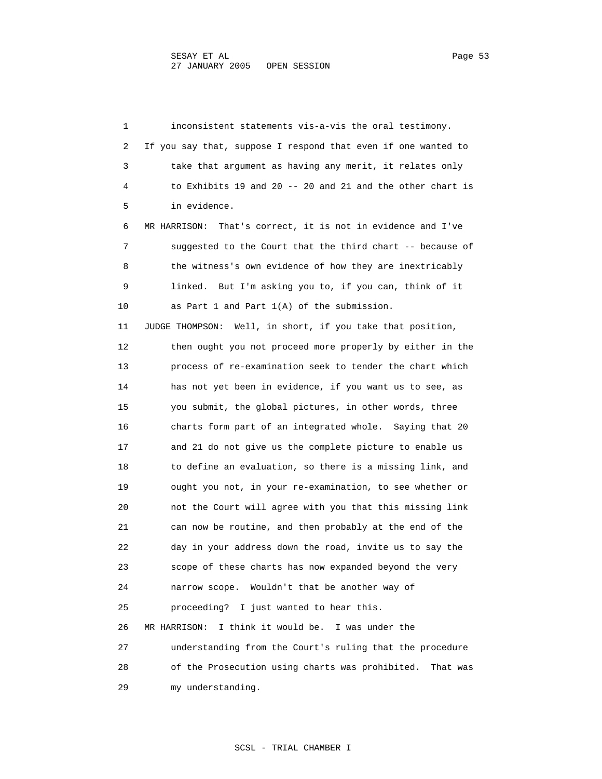1 inconsistent statements vis-a-vis the oral testimony. 2 If you say that, suppose I respond that even if one wanted to 3 take that argument as having any merit, it relates only 4 to Exhibits 19 and 20 -- 20 and 21 and the other chart is 5 in evidence. 6 MR HARRISON: That's correct, it is not in evidence and I've 7 suggested to the Court that the third chart -- because of 8 the witness's own evidence of how they are inextricably 9 linked. But I'm asking you to, if you can, think of it 10 as Part 1 and Part 1(A) of the submission. 11 JUDGE THOMPSON: Well, in short, if you take that position, 12 then ought you not proceed more properly by either in the 13 process of re-examination seek to tender the chart which 14 has not yet been in evidence, if you want us to see, as 15 you submit, the global pictures, in other words, three 16 charts form part of an integrated whole. Saying that 20 17 and 21 do not give us the complete picture to enable us 18 to define an evaluation, so there is a missing link, and 19 ought you not, in your re-examination, to see whether or 20 not the Court will agree with you that this missing link 21 can now be routine, and then probably at the end of the 22 day in your address down the road, invite us to say the 23 scope of these charts has now expanded beyond the very 24 narrow scope. Wouldn't that be another way of 25 proceeding? I just wanted to hear this. 26 MR HARRISON: I think it would be. I was under the 27 understanding from the Court's ruling that the procedure 28 of the Prosecution using charts was prohibited. That was 29 my understanding.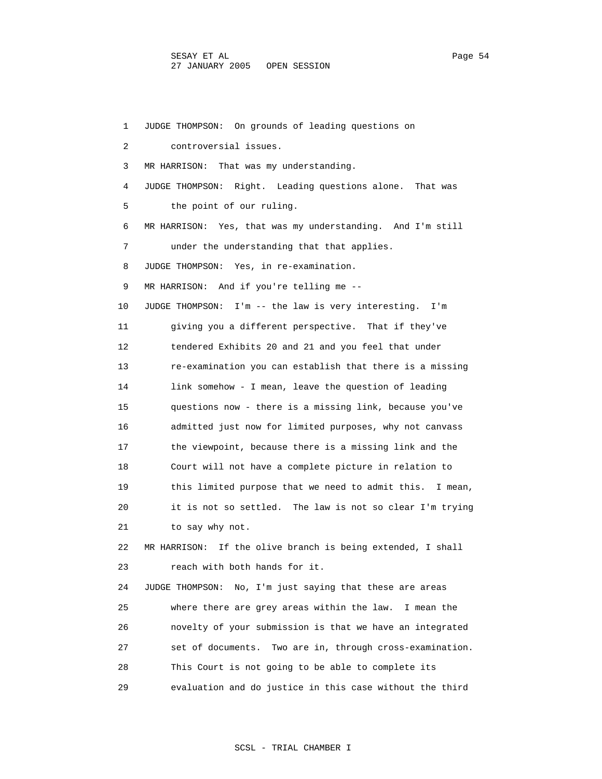1 JUDGE THOMPSON: On grounds of leading questions on 2 controversial issues. 3 MR HARRISON: That was my understanding. 4 JUDGE THOMPSON: Right. Leading questions alone. That was 5 the point of our ruling. 6 MR HARRISON: Yes, that was my understanding. And I'm still 7 under the understanding that that applies. 8 JUDGE THOMPSON: Yes, in re-examination. 9 MR HARRISON: And if you're telling me -- 10 JUDGE THOMPSON: I'm -- the law is very interesting. I'm 11 giving you a different perspective. That if they've 12 tendered Exhibits 20 and 21 and you feel that under 13 re-examination you can establish that there is a missing 14 link somehow - I mean, leave the question of leading 15 questions now - there is a missing link, because you've 16 admitted just now for limited purposes, why not canvass 17 the viewpoint, because there is a missing link and the 18 Court will not have a complete picture in relation to 19 this limited purpose that we need to admit this. I mean, 20 it is not so settled. The law is not so clear I'm trying 21 to say why not. 22 MR HARRISON: If the olive branch is being extended, I shall 23 reach with both hands for it. 24 JUDGE THOMPSON: No, I'm just saying that these are areas 25 where there are grey areas within the law. I mean the 26 novelty of your submission is that we have an integrated 27 set of documents. Two are in, through cross-examination. 28 This Court is not going to be able to complete its 29 evaluation and do justice in this case without the third

## SCSL - TRIAL CHAMBER I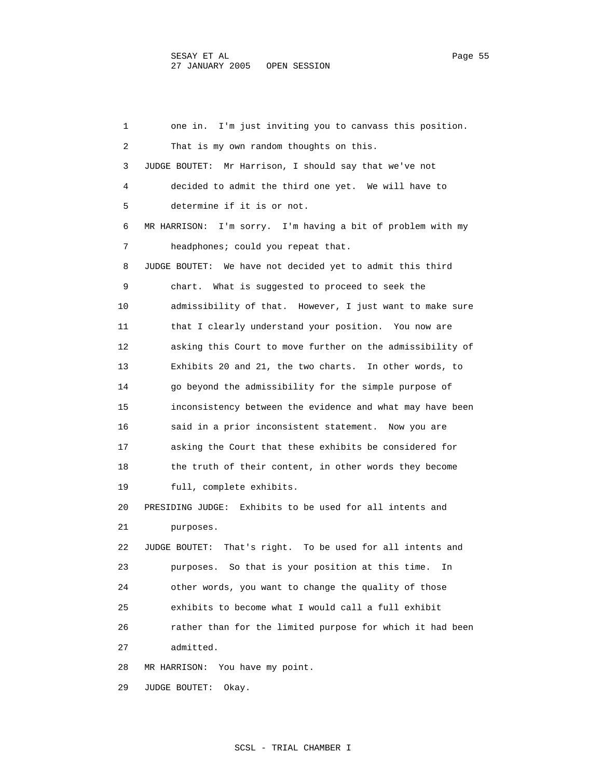1 one in. I'm just inviting you to canvass this position. 2 That is my own random thoughts on this. 3 JUDGE BOUTET: Mr Harrison, I should say that we've not 4 decided to admit the third one yet. We will have to 5 determine if it is or not. 6 MR HARRISON: I'm sorry. I'm having a bit of problem with my 7 headphones; could you repeat that. 8 JUDGE BOUTET: We have not decided yet to admit this third 9 chart. What is suggested to proceed to seek the 10 admissibility of that. However, I just want to make sure 11 that I clearly understand your position. You now are 12 asking this Court to move further on the admissibility of 13 Exhibits 20 and 21, the two charts. In other words, to 14 go beyond the admissibility for the simple purpose of 15 inconsistency between the evidence and what may have been 16 said in a prior inconsistent statement. Now you are 17 asking the Court that these exhibits be considered for 18 the truth of their content, in other words they become 19 full, complete exhibits. 20 PRESIDING JUDGE: Exhibits to be used for all intents and 21 purposes. 22 JUDGE BOUTET: That's right. To be used for all intents and 23 purposes. So that is your position at this time. In 24 other words, you want to change the quality of those 25 exhibits to become what I would call a full exhibit 26 rather than for the limited purpose for which it had been 27 admitted. 28 MR HARRISON: You have my point. 29 JUDGE BOUTET: Okay.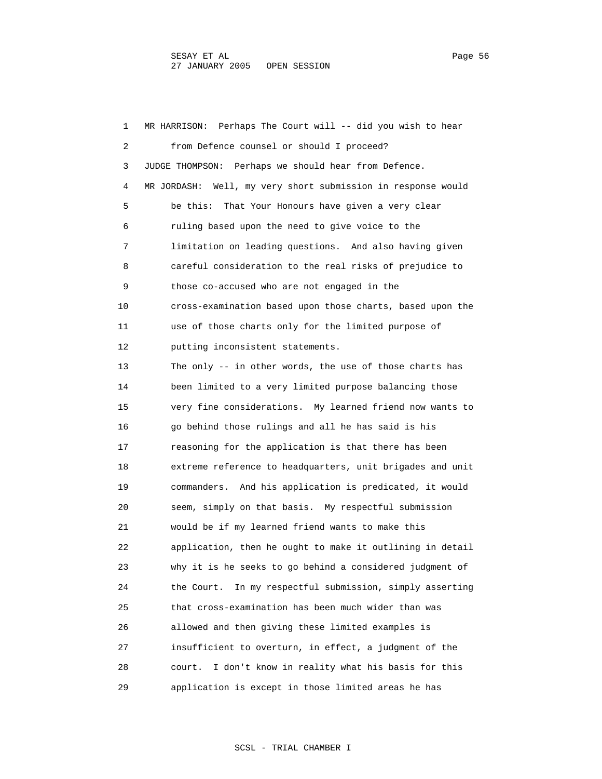1 MR HARRISON: Perhaps The Court will -- did you wish to hear 2 from Defence counsel or should I proceed? 3 JUDGE THOMPSON: Perhaps we should hear from Defence. 4 MR JORDASH: Well, my very short submission in response would 5 be this: That Your Honours have given a very clear 6 ruling based upon the need to give voice to the 7 limitation on leading questions. And also having given 8 careful consideration to the real risks of prejudice to 9 those co-accused who are not engaged in the 10 cross-examination based upon those charts, based upon the 11 use of those charts only for the limited purpose of 12 putting inconsistent statements. 13 The only -- in other words, the use of those charts has 14 been limited to a very limited purpose balancing those 15 very fine considerations. My learned friend now wants to 16 go behind those rulings and all he has said is his 17 reasoning for the application is that there has been 18 extreme reference to headquarters, unit brigades and unit 19 commanders. And his application is predicated, it would 20 seem, simply on that basis. My respectful submission 21 would be if my learned friend wants to make this 22 application, then he ought to make it outlining in detail 23 why it is he seeks to go behind a considered judgment of 24 the Court. In my respectful submission, simply asserting 25 that cross-examination has been much wider than was 26 allowed and then giving these limited examples is 27 insufficient to overturn, in effect, a judgment of the 28 court. I don't know in reality what his basis for this 29 application is except in those limited areas he has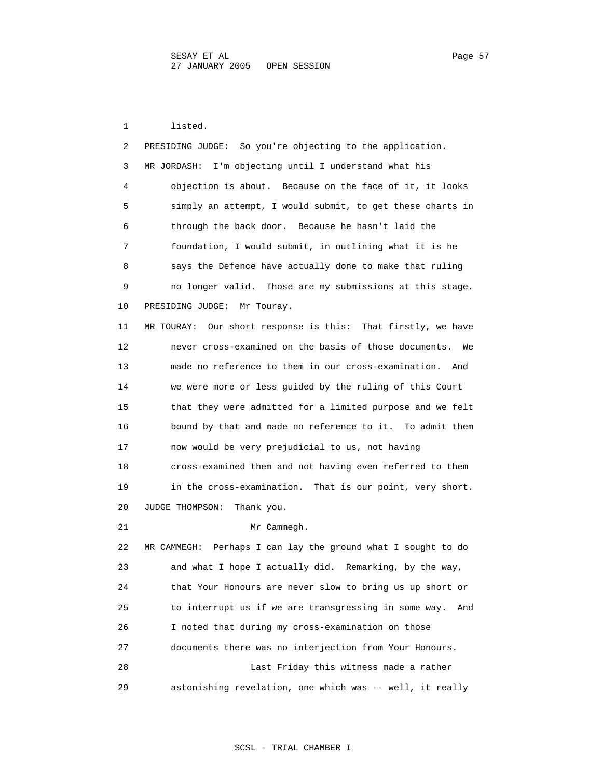1 listed.

| 2  | PRESIDING JUDGE: So you're objecting to the application.     |
|----|--------------------------------------------------------------|
| 3  | I'm objecting until I understand what his<br>MR JORDASH:     |
| 4  | objection is about. Because on the face of it, it looks      |
| 5  | simply an attempt, I would submit, to get these charts in    |
| 6  | through the back door. Because he hasn't laid the            |
| 7  | foundation, I would submit, in outlining what it is he       |
| 8  | says the Defence have actually done to make that ruling      |
| 9  | no longer valid. Those are my submissions at this stage.     |
| 10 | PRESIDING JUDGE: Mr Touray.                                  |
| 11 | MR TOURAY: Our short response is this: That firstly, we have |
| 12 | never cross-examined on the basis of those documents.<br>We  |
| 13 | made no reference to them in our cross-examination. And      |
| 14 | we were more or less guided by the ruling of this Court      |
| 15 | that they were admitted for a limited purpose and we felt    |
| 16 | bound by that and made no reference to it. To admit them     |
| 17 | now would be very prejudicial to us, not having              |
| 18 | cross-examined them and not having even referred to them     |
| 19 | in the cross-examination. That is our point, very short.     |
| 20 | JUDGE THOMPSON:<br>Thank you.                                |
| 21 | Mr Cammegh.                                                  |
| 22 | MR CAMMEGH: Perhaps I can lay the ground what I sought to do |
| 23 | and what I hope I actually did. Remarking, by the way,       |
| 24 | that Your Honours are never slow to bring us up short or     |
| 25 | to interrupt us if we are transgressing in some way.<br>And  |
| 26 | I noted that during my cross-examination on those            |
| 27 | documents there was no interjection from Your Honours.       |
| 28 | Last Friday this witness made a rather                       |
| 29 | astonishing revelation, one which was -- well, it really     |

## SCSL - TRIAL CHAMBER I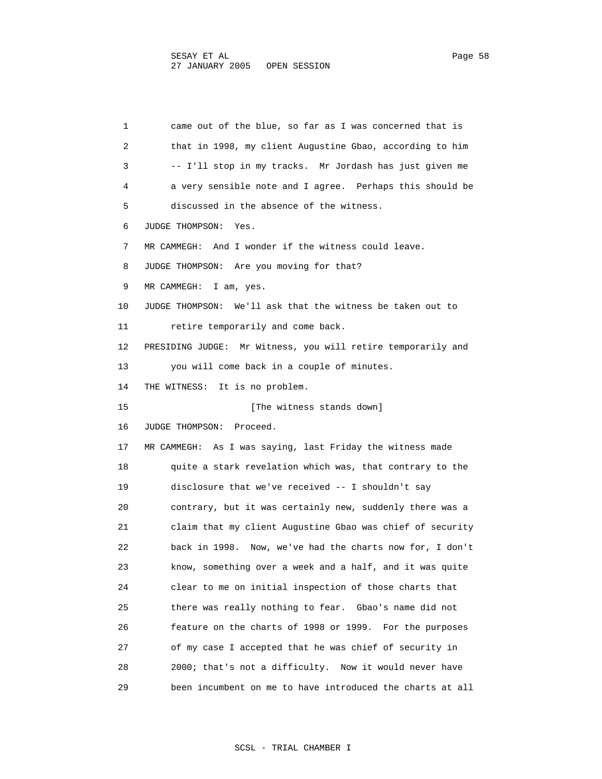1 came out of the blue, so far as I was concerned that is 2 that in 1998, my client Augustine Gbao, according to him 3 -- I'll stop in my tracks. Mr Jordash has just given me 4 a very sensible note and I agree. Perhaps this should be 5 discussed in the absence of the witness. 6 JUDGE THOMPSON: Yes. 7 MR CAMMEGH: And I wonder if the witness could leave. 8 JUDGE THOMPSON: Are you moving for that? 9 MR CAMMEGH: I am, yes. 10 JUDGE THOMPSON: We'll ask that the witness be taken out to 11 retire temporarily and come back. 12 PRESIDING JUDGE: Mr Witness, you will retire temporarily and 13 you will come back in a couple of minutes. 14 THE WITNESS: It is no problem. 15 [The witness stands down] 16 JUDGE THOMPSON: Proceed. 17 MR CAMMEGH: As I was saying, last Friday the witness made 18 quite a stark revelation which was, that contrary to the 19 disclosure that we've received -- I shouldn't say 20 contrary, but it was certainly new, suddenly there was a 21 claim that my client Augustine Gbao was chief of security 22 back in 1998. Now, we've had the charts now for, I don't 23 know, something over a week and a half, and it was quite 24 clear to me on initial inspection of those charts that 25 there was really nothing to fear. Gbao's name did not 26 feature on the charts of 1998 or 1999. For the purposes 27 of my case I accepted that he was chief of security in 28 2000; that's not a difficulty. Now it would never have 29 been incumbent on me to have introduced the charts at all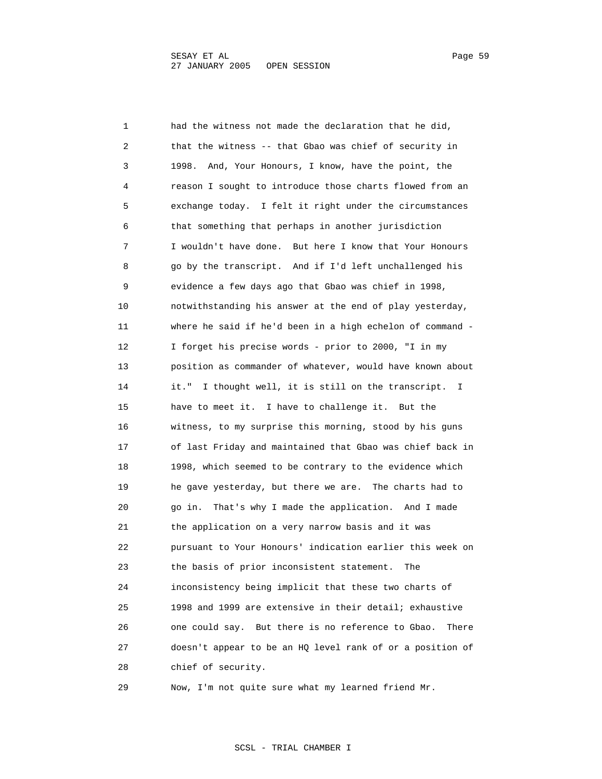1 had the witness not made the declaration that he did, 2 that the witness -- that Gbao was chief of security in 3 1998. And, Your Honours, I know, have the point, the 4 reason I sought to introduce those charts flowed from an 5 exchange today. I felt it right under the circumstances 6 that something that perhaps in another jurisdiction 7 I wouldn't have done. But here I know that Your Honours 8 go by the transcript. And if I'd left unchallenged his 9 evidence a few days ago that Gbao was chief in 1998, 10 notwithstanding his answer at the end of play yesterday, 11 where he said if he'd been in a high echelon of command - 12 I forget his precise words - prior to 2000, "I in my 13 position as commander of whatever, would have known about 14 it." I thought well, it is still on the transcript. I 15 have to meet it. I have to challenge it. But the 16 witness, to my surprise this morning, stood by his guns 17 of last Friday and maintained that Gbao was chief back in 18 1998, which seemed to be contrary to the evidence which 19 he gave yesterday, but there we are. The charts had to 20 go in. That's why I made the application. And I made 21 the application on a very narrow basis and it was 22 pursuant to Your Honours' indication earlier this week on 23 the basis of prior inconsistent statement. The 24 inconsistency being implicit that these two charts of 25 1998 and 1999 are extensive in their detail; exhaustive 26 one could say. But there is no reference to Gbao. There 27 doesn't appear to be an HQ level rank of or a position of 28 chief of security.

29 Now, I'm not quite sure what my learned friend Mr.

SCSL - TRIAL CHAMBER I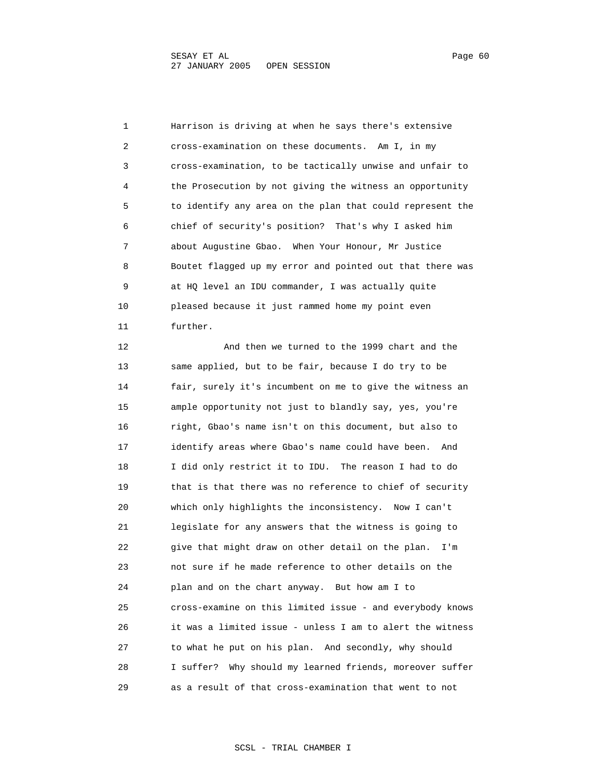1 Harrison is driving at when he says there's extensive 2 cross-examination on these documents. Am I, in my 3 cross-examination, to be tactically unwise and unfair to 4 the Prosecution by not giving the witness an opportunity 5 to identify any area on the plan that could represent the 6 chief of security's position? That's why I asked him 7 about Augustine Gbao. When Your Honour, Mr Justice 8 Boutet flagged up my error and pointed out that there was 9 at HQ level an IDU commander, I was actually quite 10 pleased because it just rammed home my point even 11 further.

 12 And then we turned to the 1999 chart and the 13 same applied, but to be fair, because I do try to be 14 fair, surely it's incumbent on me to give the witness an 15 ample opportunity not just to blandly say, yes, you're 16 right, Gbao's name isn't on this document, but also to 17 identify areas where Gbao's name could have been. And 18 I did only restrict it to IDU. The reason I had to do 19 that is that there was no reference to chief of security 20 which only highlights the inconsistency. Now I can't 21 legislate for any answers that the witness is going to 22 give that might draw on other detail on the plan. I'm 23 not sure if he made reference to other details on the 24 plan and on the chart anyway. But how am I to 25 cross-examine on this limited issue - and everybody knows 26 it was a limited issue - unless I am to alert the witness 27 to what he put on his plan. And secondly, why should 28 I suffer? Why should my learned friends, moreover suffer 29 as a result of that cross-examination that went to not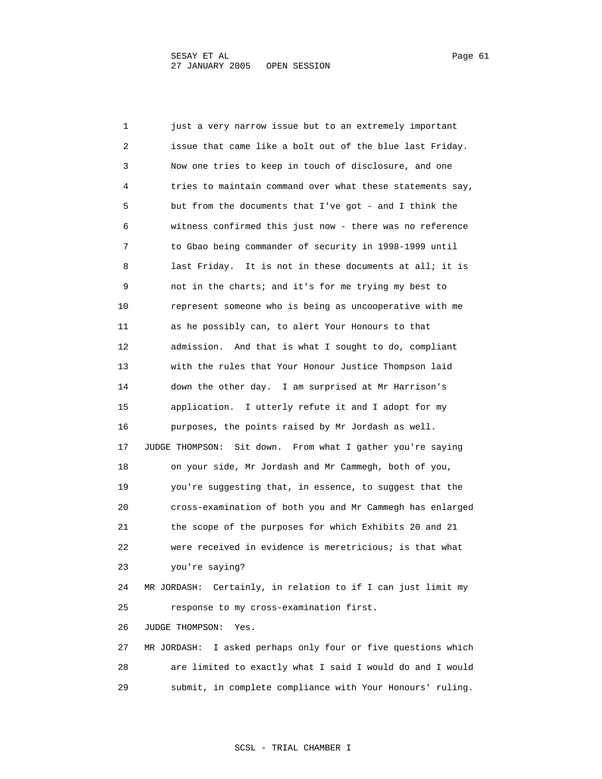1 just a very narrow issue but to an extremely important 2 issue that came like a bolt out of the blue last Friday. 3 Now one tries to keep in touch of disclosure, and one 4 tries to maintain command over what these statements say, 5 but from the documents that I've got - and I think the 6 witness confirmed this just now - there was no reference 7 to Gbao being commander of security in 1998-1999 until 8 last Friday. It is not in these documents at all; it is 9 not in the charts; and it's for me trying my best to 10 represent someone who is being as uncooperative with me 11 as he possibly can, to alert Your Honours to that 12 admission. And that is what I sought to do, compliant 13 with the rules that Your Honour Justice Thompson laid 14 down the other day. I am surprised at Mr Harrison's 15 application. I utterly refute it and I adopt for my 16 purposes, the points raised by Mr Jordash as well. 17 JUDGE THOMPSON: Sit down. From what I gather you're saying 18 on your side, Mr Jordash and Mr Cammegh, both of you, 19 you're suggesting that, in essence, to suggest that the 20 cross-examination of both you and Mr Cammegh has enlarged 21 the scope of the purposes for which Exhibits 20 and 21 22 were received in evidence is meretricious; is that what 23 you're saying? 24 MR JORDASH: Certainly, in relation to if I can just limit my 25 response to my cross-examination first. 26 JUDGE THOMPSON: Yes. 27 MR JORDASH: I asked perhaps only four or five questions which 28 are limited to exactly what I said I would do and I would 29 submit, in complete compliance with Your Honours' ruling.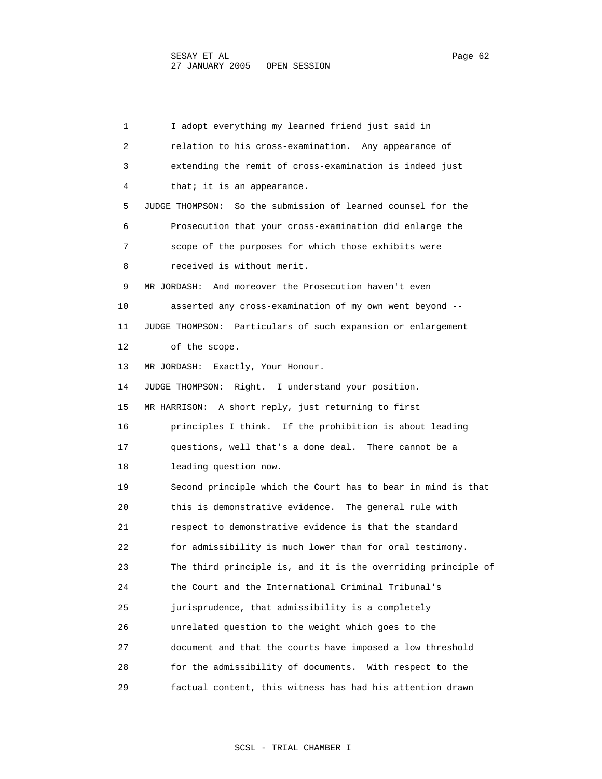1 I adopt everything my learned friend just said in 2 relation to his cross-examination. Any appearance of 3 extending the remit of cross-examination is indeed just 4 that; it is an appearance. 5 JUDGE THOMPSON: So the submission of learned counsel for the 6 Prosecution that your cross-examination did enlarge the 7 scope of the purposes for which those exhibits were 8 received is without merit. 9 MR JORDASH: And moreover the Prosecution haven't even 10 asserted any cross-examination of my own went beyond -- 11 JUDGE THOMPSON: Particulars of such expansion or enlargement 12 of the scope. 13 MR JORDASH: Exactly, Your Honour. 14 JUDGE THOMPSON: Right. I understand your position. 15 MR HARRISON: A short reply, just returning to first 16 principles I think. If the prohibition is about leading 17 questions, well that's a done deal. There cannot be a 18 leading question now. 19 Second principle which the Court has to bear in mind is that 20 this is demonstrative evidence. The general rule with 21 respect to demonstrative evidence is that the standard 22 for admissibility is much lower than for oral testimony. 23 The third principle is, and it is the overriding principle of 24 the Court and the International Criminal Tribunal's 25 jurisprudence, that admissibility is a completely 26 unrelated question to the weight which goes to the 27 document and that the courts have imposed a low threshold 28 for the admissibility of documents. With respect to the 29 factual content, this witness has had his attention drawn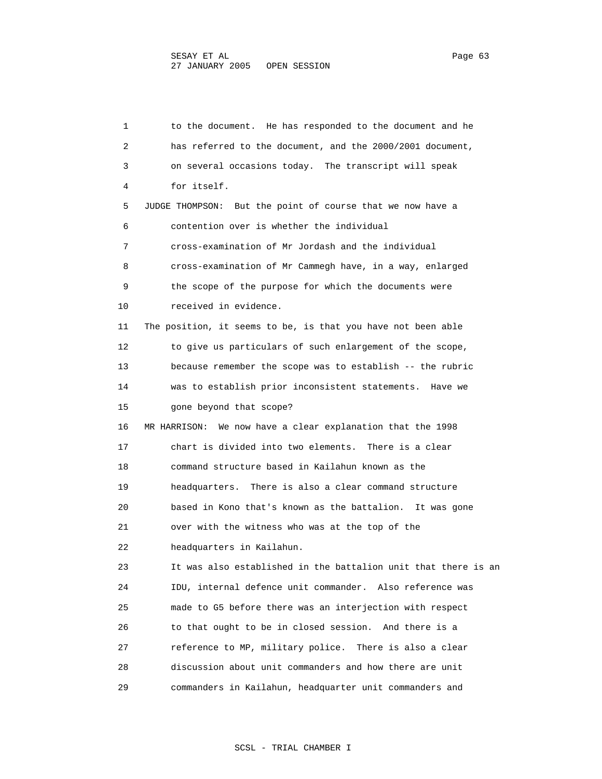1 to the document. He has responded to the document and he 2 has referred to the document, and the 2000/2001 document, 3 on several occasions today. The transcript will speak 4 for itself. 5 JUDGE THOMPSON: But the point of course that we now have a 6 contention over is whether the individual 7 cross-examination of Mr Jordash and the individual 8 cross-examination of Mr Cammegh have, in a way, enlarged 9 the scope of the purpose for which the documents were 10 received in evidence. 11 The position, it seems to be, is that you have not been able 12 to give us particulars of such enlargement of the scope, 13 because remember the scope was to establish -- the rubric 14 was to establish prior inconsistent statements. Have we 15 gone beyond that scope? 16 MR HARRISON: We now have a clear explanation that the 1998 17 chart is divided into two elements. There is a clear 18 command structure based in Kailahun known as the 19 headquarters. There is also a clear command structure 20 based in Kono that's known as the battalion. It was gone 21 over with the witness who was at the top of the 22 headquarters in Kailahun. 23 It was also established in the battalion unit that there is an 24 IDU, internal defence unit commander. Also reference was 25 made to G5 before there was an interjection with respect 26 to that ought to be in closed session. And there is a 27 reference to MP, military police. There is also a clear 28 discussion about unit commanders and how there are unit 29 commanders in Kailahun, headquarter unit commanders and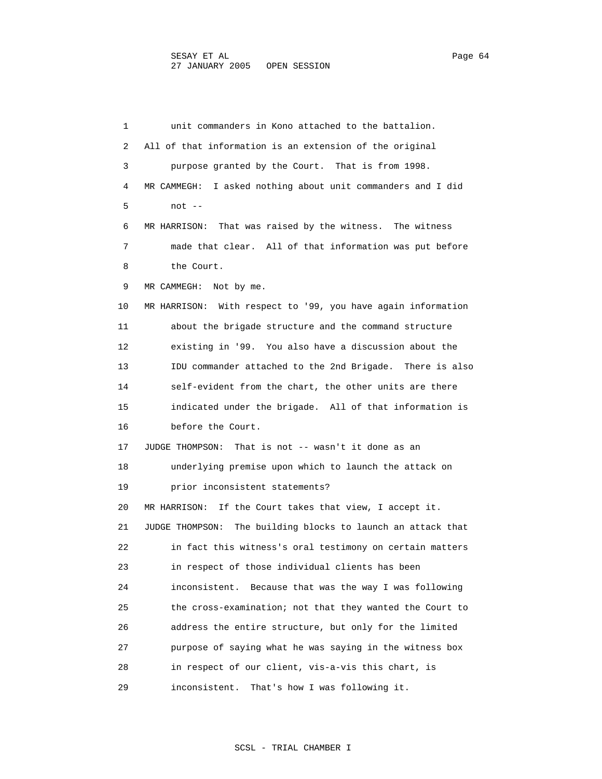1 unit commanders in Kono attached to the battalion. 2 All of that information is an extension of the original 3 purpose granted by the Court. That is from 1998. 4 MR CAMMEGH: I asked nothing about unit commanders and I did 5 not -- 6 MR HARRISON: That was raised by the witness. The witness 7 made that clear. All of that information was put before 8 the Court. 9 MR CAMMEGH: Not by me. 10 MR HARRISON: With respect to '99, you have again information 11 about the brigade structure and the command structure 12 existing in '99. You also have a discussion about the 13 IDU commander attached to the 2nd Brigade. There is also 14 self-evident from the chart, the other units are there 15 indicated under the brigade. All of that information is 16 before the Court. 17 JUDGE THOMPSON: That is not -- wasn't it done as an 18 underlying premise upon which to launch the attack on 19 prior inconsistent statements? 20 MR HARRISON: If the Court takes that view, I accept it. 21 JUDGE THOMPSON: The building blocks to launch an attack that 22 in fact this witness's oral testimony on certain matters 23 in respect of those individual clients has been 24 inconsistent. Because that was the way I was following 25 the cross-examination; not that they wanted the Court to 26 address the entire structure, but only for the limited 27 purpose of saying what he was saying in the witness box 28 in respect of our client, vis-a-vis this chart, is 29 inconsistent. That's how I was following it.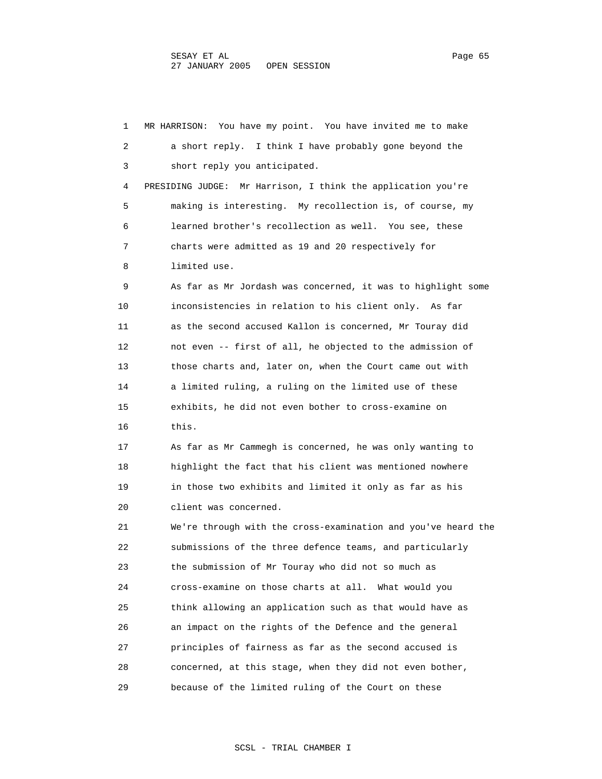1 MR HARRISON: You have my point. You have invited me to make 2 a short reply. I think I have probably gone beyond the 3 short reply you anticipated. 4 PRESIDING JUDGE: Mr Harrison, I think the application you're 5 making is interesting. My recollection is, of course, my 6 learned brother's recollection as well. You see, these 7 charts were admitted as 19 and 20 respectively for 8 limited use. 9 As far as Mr Jordash was concerned, it was to highlight some 10 inconsistencies in relation to his client only. As far 11 as the second accused Kallon is concerned, Mr Touray did 12 not even -- first of all, he objected to the admission of 13 those charts and, later on, when the Court came out with 14 a limited ruling, a ruling on the limited use of these 15 exhibits, he did not even bother to cross-examine on 16 this. 17 As far as Mr Cammegh is concerned, he was only wanting to 18 highlight the fact that his client was mentioned nowhere 19 in those two exhibits and limited it only as far as his 20 client was concerned. 21 We're through with the cross-examination and you've heard the 22 submissions of the three defence teams, and particularly 23 the submission of Mr Touray who did not so much as 24 cross-examine on those charts at all. What would you 25 think allowing an application such as that would have as 26 an impact on the rights of the Defence and the general 27 principles of fairness as far as the second accused is 28 concerned, at this stage, when they did not even bother, 29 because of the limited ruling of the Court on these

### SCSL - TRIAL CHAMBER I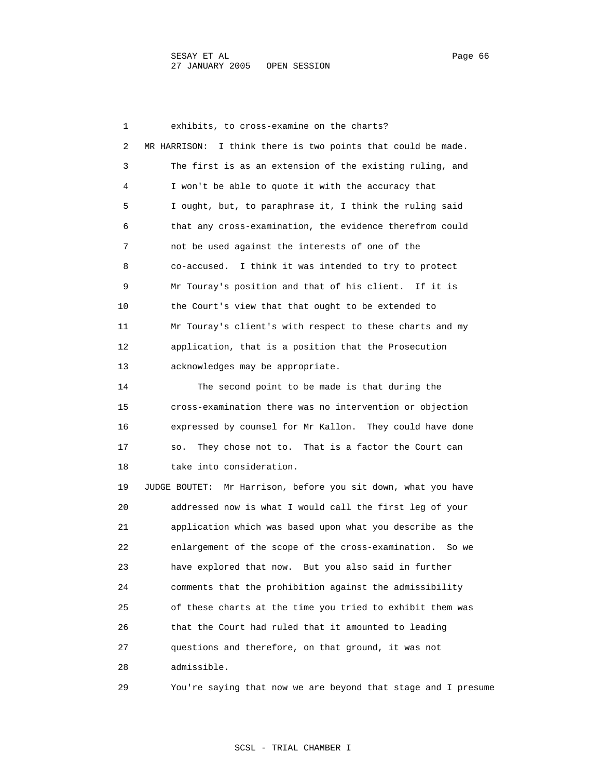1 exhibits, to cross-examine on the charts? 2 MR HARRISON: I think there is two points that could be made. 3 The first is as an extension of the existing ruling, and 4 I won't be able to quote it with the accuracy that 5 I ought, but, to paraphrase it, I think the ruling said 6 that any cross-examination, the evidence therefrom could 7 not be used against the interests of one of the 8 co-accused. I think it was intended to try to protect 9 Mr Touray's position and that of his client. If it is 10 the Court's view that that ought to be extended to 11 Mr Touray's client's with respect to these charts and my 12 application, that is a position that the Prosecution 13 acknowledges may be appropriate. 14 The second point to be made is that during the 15 cross-examination there was no intervention or objection 16 expressed by counsel for Mr Kallon. They could have done 17 so. They chose not to. That is a factor the Court can 18 take into consideration. 19 JUDGE BOUTET: Mr Harrison, before you sit down, what you have 20 addressed now is what I would call the first leg of your 21 application which was based upon what you describe as the 22 enlargement of the scope of the cross-examination. So we 23 have explored that now. But you also said in further 24 comments that the prohibition against the admissibility 25 of these charts at the time you tried to exhibit them was 26 that the Court had ruled that it amounted to leading 27 questions and therefore, on that ground, it was not

28 admissible.

29 You're saying that now we are beyond that stage and I presume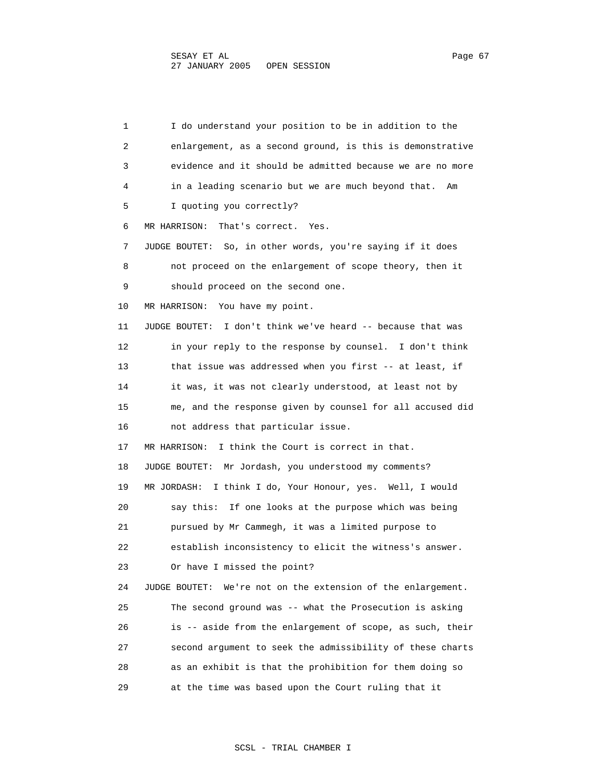1 I do understand your position to be in addition to the 2 enlargement, as a second ground, is this is demonstrative 3 evidence and it should be admitted because we are no more 4 in a leading scenario but we are much beyond that. Am 5 I quoting you correctly? 6 MR HARRISON: That's correct. Yes. 7 JUDGE BOUTET: So, in other words, you're saying if it does 8 not proceed on the enlargement of scope theory, then it 9 should proceed on the second one. 10 MR HARRISON: You have my point. 11 JUDGE BOUTET: I don't think we've heard -- because that was 12 in your reply to the response by counsel. I don't think 13 that issue was addressed when you first -- at least, if 14 it was, it was not clearly understood, at least not by 15 me, and the response given by counsel for all accused did 16 not address that particular issue. 17 MR HARRISON: I think the Court is correct in that. 18 JUDGE BOUTET: Mr Jordash, you understood my comments? 19 MR JORDASH: I think I do, Your Honour, yes. Well, I would 20 say this: If one looks at the purpose which was being 21 pursued by Mr Cammegh, it was a limited purpose to 22 establish inconsistency to elicit the witness's answer. 23 Or have I missed the point? 24 JUDGE BOUTET: We're not on the extension of the enlargement. 25 The second ground was -- what the Prosecution is asking 26 is -- aside from the enlargement of scope, as such, their 27 second argument to seek the admissibility of these charts 28 as an exhibit is that the prohibition for them doing so 29 at the time was based upon the Court ruling that it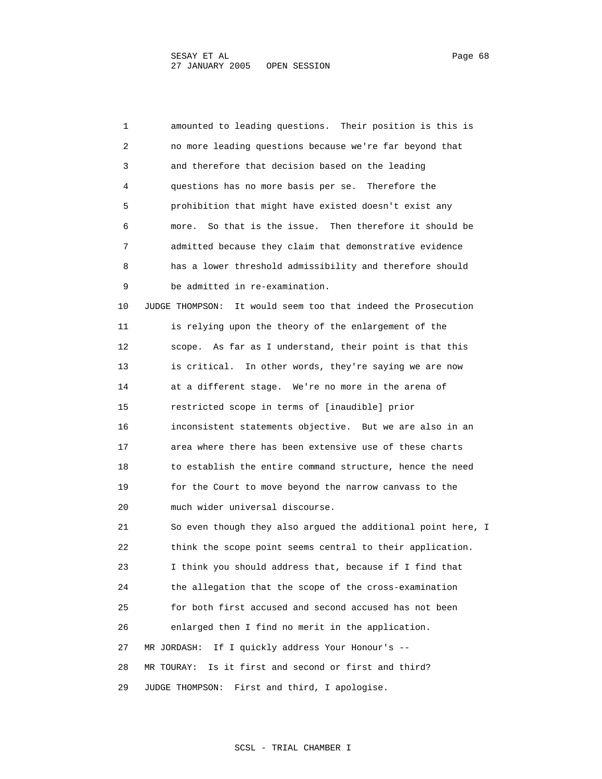1 amounted to leading questions. Their position is this is 2 no more leading questions because we're far beyond that 3 and therefore that decision based on the leading 4 questions has no more basis per se. Therefore the 5 prohibition that might have existed doesn't exist any 6 more. So that is the issue. Then therefore it should be 7 admitted because they claim that demonstrative evidence 8 has a lower threshold admissibility and therefore should 9 be admitted in re-examination. 10 JUDGE THOMPSON: It would seem too that indeed the Prosecution 11 is relying upon the theory of the enlargement of the 12 scope. As far as I understand, their point is that this 13 is critical. In other words, they're saying we are now 14 at a different stage. We're no more in the arena of 15 restricted scope in terms of [inaudible] prior 16 inconsistent statements objective. But we are also in an 17 area where there has been extensive use of these charts 18 to establish the entire command structure, hence the need 19 for the Court to move beyond the narrow canvass to the 20 much wider universal discourse. 21 So even though they also argued the additional point here, I 22 think the scope point seems central to their application. 23 I think you should address that, because if I find that 24 the allegation that the scope of the cross-examination 25 for both first accused and second accused has not been 26 enlarged then I find no merit in the application. 27 MR JORDASH: If I quickly address Your Honour's -- 28 MR TOURAY: Is it first and second or first and third? 29 JUDGE THOMPSON: First and third, I apologise.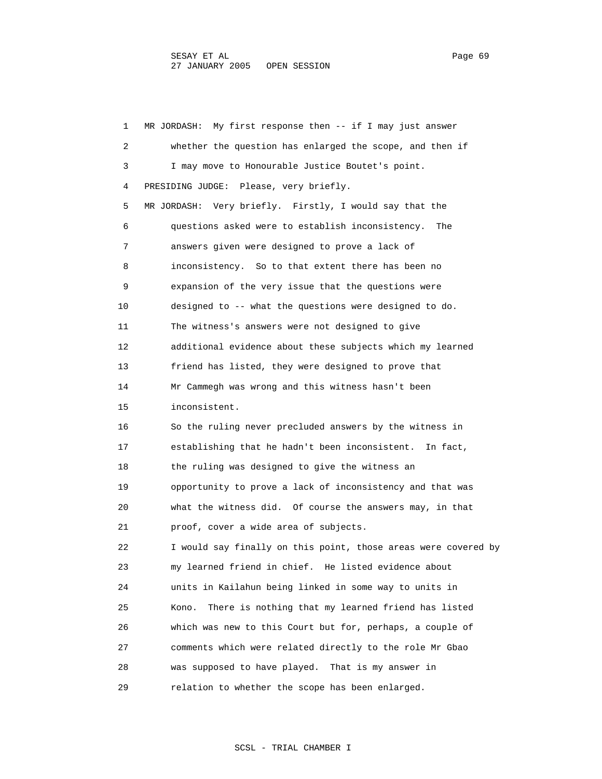| 1  | MR JORDASH: My first response then -- if I may just answer     |
|----|----------------------------------------------------------------|
| 2  | whether the question has enlarged the scope, and then if       |
| 3  | I may move to Honourable Justice Boutet's point.               |
| 4  | PRESIDING JUDGE: Please, very briefly.                         |
| 5  | MR JORDASH: Very briefly. Firstly, I would say that the        |
| 6  | questions asked were to establish inconsistency. The           |
| 7  | answers given were designed to prove a lack of                 |
| 8  | inconsistency. So to that extent there has been no             |
| 9  | expansion of the very issue that the questions were            |
| 10 | designed to -- what the questions were designed to do.         |
| 11 | The witness's answers were not designed to give                |
| 12 | additional evidence about these subjects which my learned      |
| 13 | friend has listed, they were designed to prove that            |
| 14 | Mr Cammegh was wrong and this witness hasn't been              |
| 15 | inconsistent.                                                  |
| 16 | So the ruling never precluded answers by the witness in        |
| 17 | establishing that he hadn't been inconsistent. In fact,        |
| 18 | the ruling was designed to give the witness an                 |
| 19 | opportunity to prove a lack of inconsistency and that was      |
| 20 | what the witness did. Of course the answers may, in that       |
| 21 | proof, cover a wide area of subjects.                          |
| 22 | I would say finally on this point, those areas were covered by |
| 23 | my learned friend in chief. He listed evidence about           |
| 24 | units in Kailahun being linked in some way to units in         |
| 25 | There is nothing that my learned friend has listed<br>Kono.    |
| 26 | which was new to this Court but for, perhaps, a couple of      |
| 27 | comments which were related directly to the role Mr Gbao       |
| 28 | was supposed to have played. That is my answer in              |
| 29 | relation to whether the scope has been enlarged.               |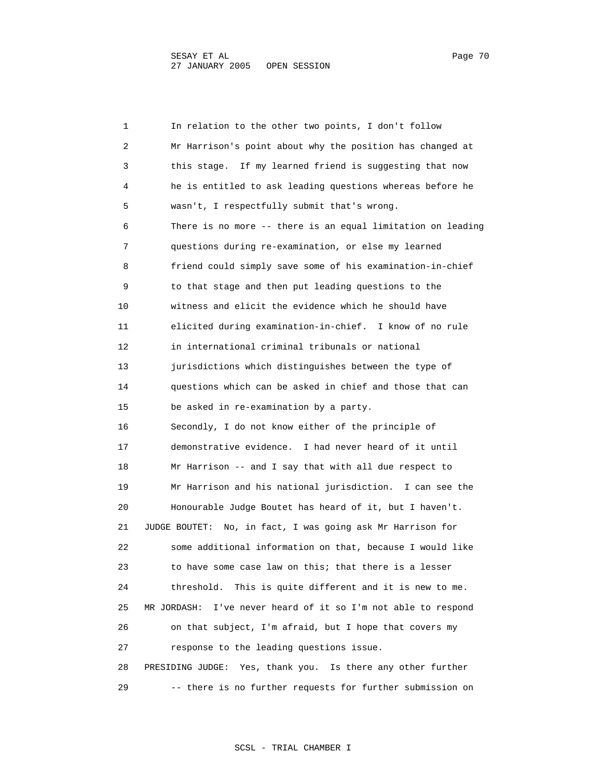1 In relation to the other two points, I don't follow 2 Mr Harrison's point about why the position has changed at 3 this stage. If my learned friend is suggesting that now 4 he is entitled to ask leading questions whereas before he 5 wasn't, I respectfully submit that's wrong. 6 There is no more -- there is an equal limitation on leading 7 questions during re-examination, or else my learned 8 friend could simply save some of his examination-in-chief 9 to that stage and then put leading questions to the 10 witness and elicit the evidence which he should have 11 elicited during examination-in-chief. I know of no rule 12 in international criminal tribunals or national 13 jurisdictions which distinguishes between the type of 14 questions which can be asked in chief and those that can 15 be asked in re-examination by a party. 16 Secondly, I do not know either of the principle of 17 demonstrative evidence. I had never heard of it until 18 Mr Harrison -- and I say that with all due respect to 19 Mr Harrison and his national jurisdiction. I can see the 20 Honourable Judge Boutet has heard of it, but I haven't. 21 JUDGE BOUTET: No, in fact, I was going ask Mr Harrison for 22 some additional information on that, because I would like 23 to have some case law on this; that there is a lesser 24 threshold. This is quite different and it is new to me. 25 MR JORDASH: I've never heard of it so I'm not able to respond 26 on that subject, I'm afraid, but I hope that covers my 27 response to the leading questions issue. 28 PRESIDING JUDGE: Yes, thank you. Is there any other further 29 -- there is no further requests for further submission on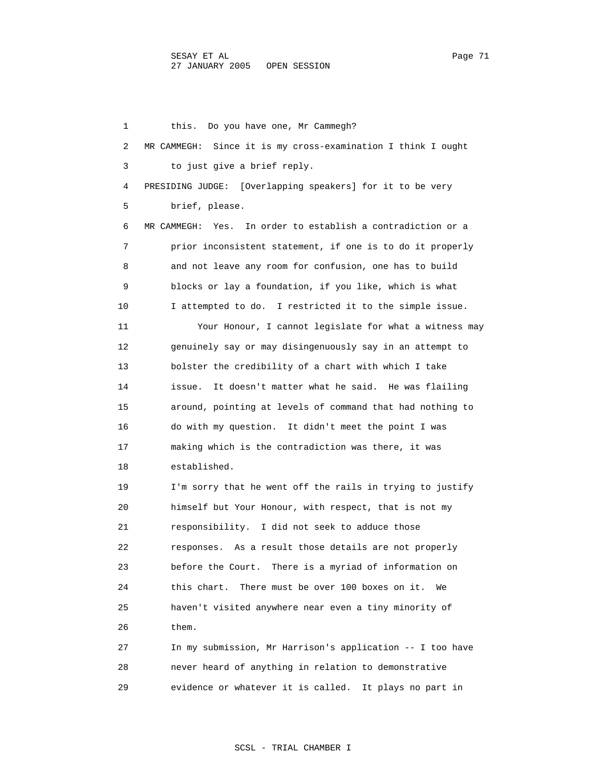1 this. Do you have one, Mr Cammegh? 2 MR CAMMEGH: Since it is my cross-examination I think I ought 3 to just give a brief reply. 4 PRESIDING JUDGE: [Overlapping speakers] for it to be very 5 brief, please. 6 MR CAMMEGH: Yes. In order to establish a contradiction or a 7 prior inconsistent statement, if one is to do it properly 8 and not leave any room for confusion, one has to build 9 blocks or lay a foundation, if you like, which is what 10 I attempted to do. I restricted it to the simple issue. 11 Your Honour, I cannot legislate for what a witness may 12 genuinely say or may disingenuously say in an attempt to 13 bolster the credibility of a chart with which I take 14 issue. It doesn't matter what he said. He was flailing 15 around, pointing at levels of command that had nothing to 16 do with my question. It didn't meet the point I was 17 making which is the contradiction was there, it was 18 established. 19 I'm sorry that he went off the rails in trying to justify 20 himself but Your Honour, with respect, that is not my 21 responsibility. I did not seek to adduce those 22 responses. As a result those details are not properly 23 before the Court. There is a myriad of information on 24 this chart. There must be over 100 boxes on it. We 25 haven't visited anywhere near even a tiny minority of 26 them. 27 In my submission, Mr Harrison's application -- I too have 28 never heard of anything in relation to demonstrative

29 evidence or whatever it is called. It plays no part in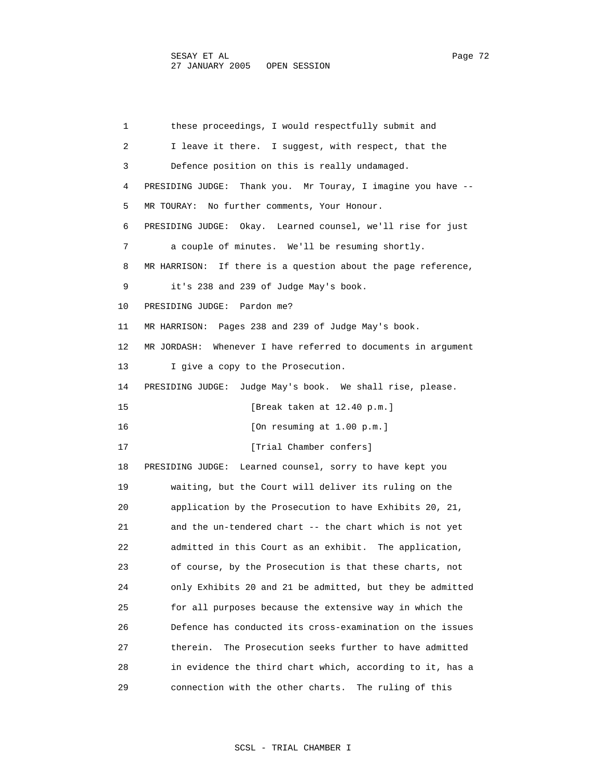1 these proceedings, I would respectfully submit and 2 I leave it there. I suggest, with respect, that the 3 Defence position on this is really undamaged. 4 PRESIDING JUDGE: Thank you. Mr Touray, I imagine you have -- 5 MR TOURAY: No further comments, Your Honour. 6 PRESIDING JUDGE: Okay. Learned counsel, we'll rise for just 7 a couple of minutes. We'll be resuming shortly. 8 MR HARRISON: If there is a question about the page reference, 9 it's 238 and 239 of Judge May's book. 10 PRESIDING JUDGE: Pardon me? 11 MR HARRISON: Pages 238 and 239 of Judge May's book. 12 MR JORDASH: Whenever I have referred to documents in argument 13 I give a copy to the Prosecution. 14 PRESIDING JUDGE: Judge May's book. We shall rise, please. 15 [Break taken at 12.40 p.m.] 16 [On resuming at 1.00 p.m.] 17 [Trial Chamber confers] 18 PRESIDING JUDGE: Learned counsel, sorry to have kept you 19 waiting, but the Court will deliver its ruling on the 20 application by the Prosecution to have Exhibits 20, 21, 21 and the un-tendered chart -- the chart which is not yet 22 admitted in this Court as an exhibit. The application, 23 of course, by the Prosecution is that these charts, not 24 only Exhibits 20 and 21 be admitted, but they be admitted 25 for all purposes because the extensive way in which the 26 Defence has conducted its cross-examination on the issues 27 therein. The Prosecution seeks further to have admitted 28 in evidence the third chart which, according to it, has a 29 connection with the other charts. The ruling of this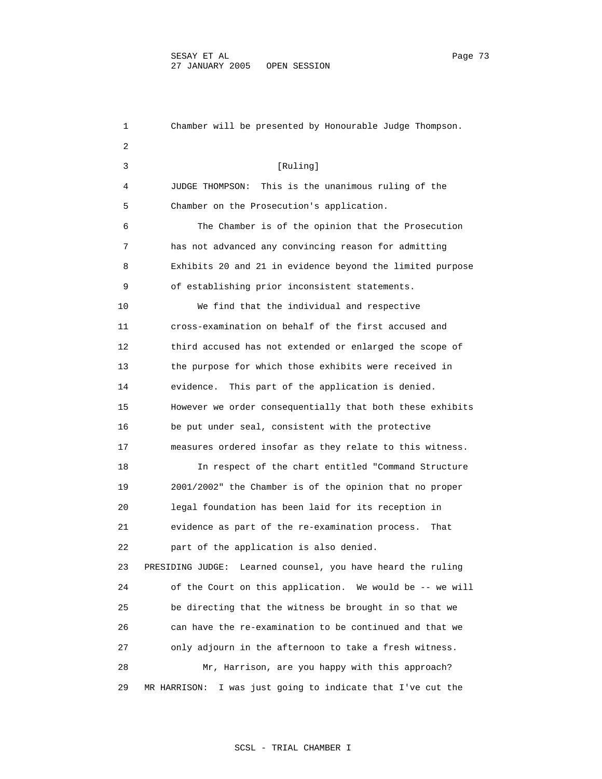1 Chamber will be presented by Honourable Judge Thompson. 2 3 [Ruling] 4 JUDGE THOMPSON: This is the unanimous ruling of the 5 Chamber on the Prosecution's application. 6 The Chamber is of the opinion that the Prosecution 7 has not advanced any convincing reason for admitting 8 Exhibits 20 and 21 in evidence beyond the limited purpose 9 of establishing prior inconsistent statements. 10 We find that the individual and respective 11 cross-examination on behalf of the first accused and 12 third accused has not extended or enlarged the scope of 13 the purpose for which those exhibits were received in 14 evidence. This part of the application is denied. 15 However we order consequentially that both these exhibits 16 be put under seal, consistent with the protective 17 measures ordered insofar as they relate to this witness. 18 In respect of the chart entitled "Command Structure 19 2001/2002" the Chamber is of the opinion that no proper 20 legal foundation has been laid for its reception in 21 evidence as part of the re-examination process. That 22 part of the application is also denied. 23 PRESIDING JUDGE: Learned counsel, you have heard the ruling 24 of the Court on this application. We would be -- we will 25 be directing that the witness be brought in so that we 26 can have the re-examination to be continued and that we 27 only adjourn in the afternoon to take a fresh witness. 28 Mr, Harrison, are you happy with this approach? 29 MR HARRISON: I was just going to indicate that I've cut the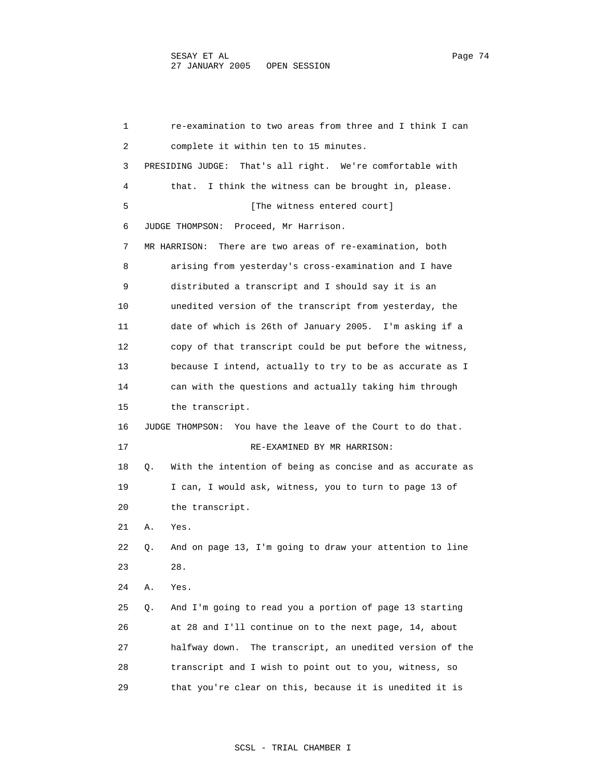1 re-examination to two areas from three and I think I can 2 complete it within ten to 15 minutes. 3 PRESIDING JUDGE: That's all right. We're comfortable with 4 that. I think the witness can be brought in, please. 5 [The witness entered court] 6 JUDGE THOMPSON: Proceed, Mr Harrison. 7 MR HARRISON: There are two areas of re-examination, both 8 arising from yesterday's cross-examination and I have 9 distributed a transcript and I should say it is an 10 unedited version of the transcript from yesterday, the 11 date of which is 26th of January 2005. I'm asking if a 12 copy of that transcript could be put before the witness, 13 because I intend, actually to try to be as accurate as I 14 can with the questions and actually taking him through 15 the transcript. 16 JUDGE THOMPSON: You have the leave of the Court to do that. 17 RE-EXAMINED BY MR HARRISON: 18 Q. With the intention of being as concise and as accurate as 19 I can, I would ask, witness, you to turn to page 13 of 20 the transcript. 21 A. Yes. 22 Q. And on page 13, I'm going to draw your attention to line 23 28. 24 A. Yes. 25 Q. And I'm going to read you a portion of page 13 starting 26 at 28 and I'll continue on to the next page, 14, about 27 halfway down. The transcript, an unedited version of the 28 transcript and I wish to point out to you, witness, so 29 that you're clear on this, because it is unedited it is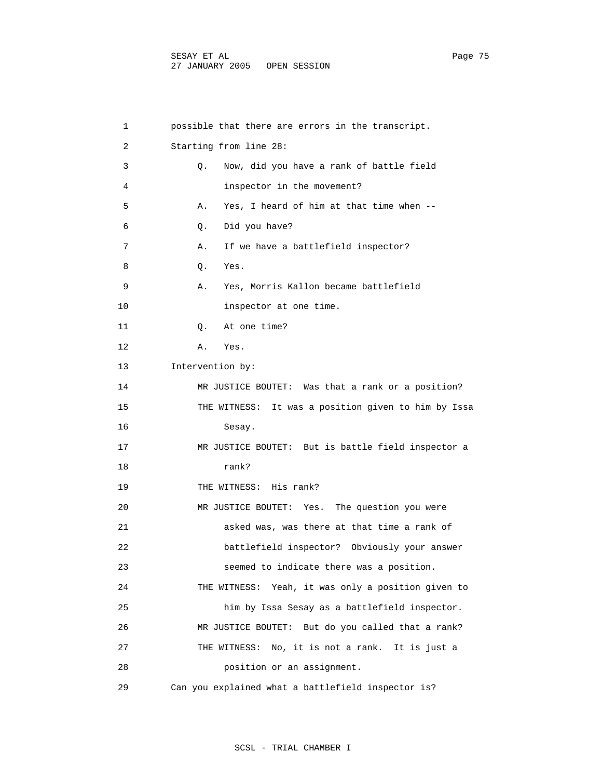| 1  | possible that there are errors in the transcript.    |
|----|------------------------------------------------------|
| 2  | Starting from line 28:                               |
| 3  | Now, did you have a rank of battle field<br>О.       |
| 4  | inspector in the movement?                           |
| 5  | Yes, I heard of him at that time when --<br>Α.       |
| 6  | Did you have?<br>Q.                                  |
| 7  | If we have a battlefield inspector?<br>Α.            |
| 8  | Yes.<br>Q.                                           |
| 9  | Α.<br>Yes, Morris Kallon became battlefield          |
| 10 | inspector at one time.                               |
| 11 | At one time?<br>Q.                                   |
| 12 | Yes.<br>A.                                           |
| 13 | Intervention by:                                     |
| 14 | MR JUSTICE BOUTET: Was that a rank or a position?    |
| 15 | THE WITNESS: It was a position given to him by Issa  |
| 16 | Sesay.                                               |
| 17 | MR JUSTICE BOUTET: But is battle field inspector a   |
| 18 | rank?                                                |
| 19 | THE WITNESS: His rank?                               |
| 20 | Yes. The question you were<br>MR JUSTICE BOUTET:     |
| 21 | asked was, was there at that time a rank of          |
| 22 | battlefield inspector? Obviously your answer         |
| 23 | seemed to indicate there was a position.             |
| 24 | THE WITNESS: Yeah, it was only a position given to   |
| 25 | him by Issa Sesay as a battlefield inspector.        |
| 26 | MR JUSTICE BOUTET:<br>But do you called that a rank? |
| 27 | THE WITNESS:<br>No, it is not a rank. It is just a   |
| 28 | position or an assignment.                           |
| 29 | Can you explained what a battlefield inspector is?   |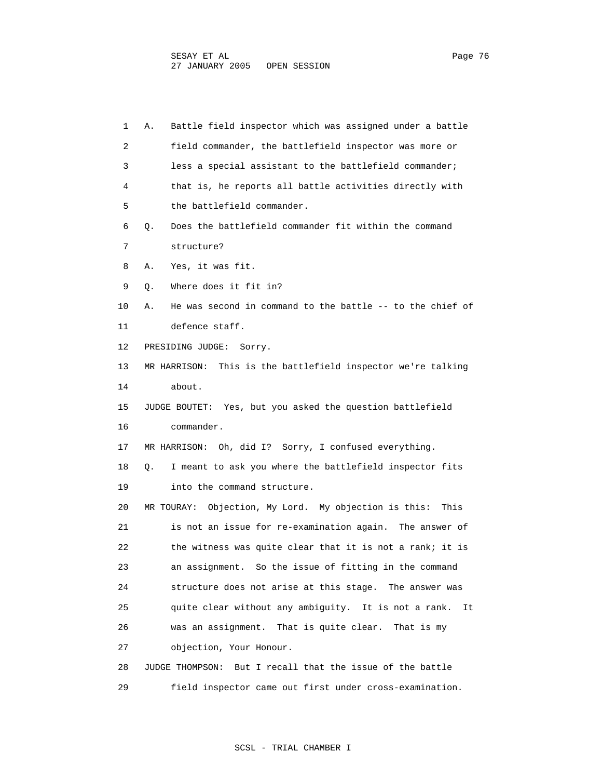| 1  | Battle field inspector which was assigned under a battle<br>Α.  |
|----|-----------------------------------------------------------------|
| 2  | field commander, the battlefield inspector was more or          |
| 3  | less a special assistant to the battlefield commander;          |
| 4  | that is, he reports all battle activities directly with         |
| 5  | the battlefield commander.                                      |
| 6  | Does the battlefield commander fit within the command<br>Q.     |
| 7  | structure?                                                      |
| 8  | Yes, it was fit.<br>Α.                                          |
| 9  | Where does it fit in?<br>Q.                                     |
| 10 | He was second in command to the battle -- to the chief of<br>Α. |
| 11 | defence staff.                                                  |
| 12 | PRESIDING JUDGE:<br>Sorry.                                      |
| 13 | This is the battlefield inspector we're talking<br>MR HARRISON: |
| 14 | about.                                                          |
| 15 | JUDGE BOUTET: Yes, but you asked the question battlefield       |
| 16 | commander.                                                      |
| 17 | MR HARRISON: Oh, did I? Sorry, I confused everything.           |
| 18 | I meant to ask you where the battlefield inspector fits<br>О.   |
| 19 | into the command structure.                                     |
| 20 | MR TOURAY: Objection, My Lord. My objection is this:<br>This    |
| 21 | is not an issue for re-examination again. The answer of         |
| 22 | the witness was quite clear that it is not a rank; it is        |
| 23 | an assignment. So the issue of fitting in the command           |
| 24 | structure does not arise at this stage. The answer was          |
| 25 | quite clear without any ambiguity. It is not a rank.<br>It      |
| 26 | was an assignment. That is quite clear.<br>That is my           |
| 27 | objection, Your Honour.                                         |
| 28 | But I recall that the issue of the battle<br>JUDGE THOMPSON:    |
| 29 | field inspector came out first under cross-examination.         |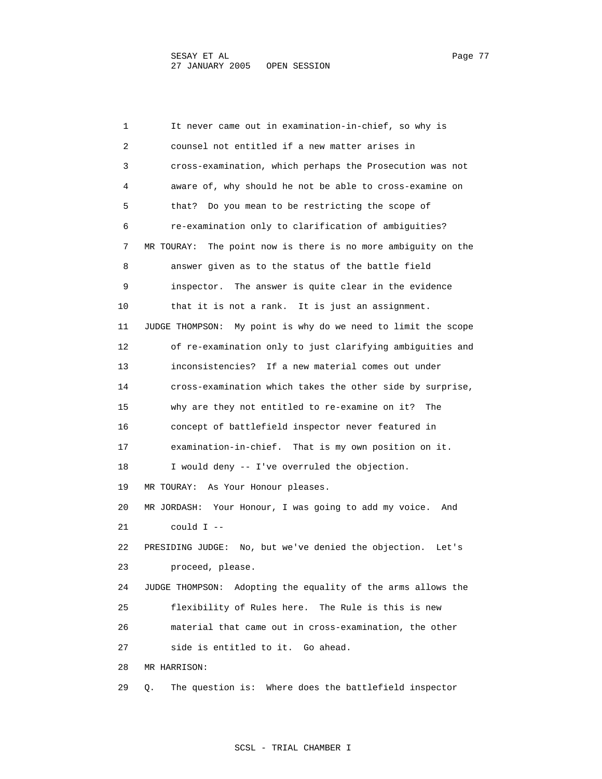1 It never came out in examination-in-chief, so why is 2 counsel not entitled if a new matter arises in 3 cross-examination, which perhaps the Prosecution was not 4 aware of, why should he not be able to cross-examine on 5 that? Do you mean to be restricting the scope of 6 re-examination only to clarification of ambiguities? 7 MR TOURAY: The point now is there is no more ambiguity on the 8 answer given as to the status of the battle field 9 inspector. The answer is quite clear in the evidence 10 that it is not a rank. It is just an assignment. 11 JUDGE THOMPSON: My point is why do we need to limit the scope 12 of re-examination only to just clarifying ambiguities and 13 inconsistencies? If a new material comes out under 14 cross-examination which takes the other side by surprise, 15 why are they not entitled to re-examine on it? The 16 concept of battlefield inspector never featured in 17 examination-in-chief. That is my own position on it. 18 I would deny -- I've overruled the objection. 19 MR TOURAY: As Your Honour pleases. 20 MR JORDASH: Your Honour, I was going to add my voice. And  $21$  could  $I$  -- 22 PRESIDING JUDGE: No, but we've denied the objection. Let's 23 proceed, please. 24 JUDGE THOMPSON: Adopting the equality of the arms allows the 25 flexibility of Rules here. The Rule is this is new 26 material that came out in cross-examination, the other 27 side is entitled to it. Go ahead. 28 MR HARRISON: 29 Q. The question is: Where does the battlefield inspector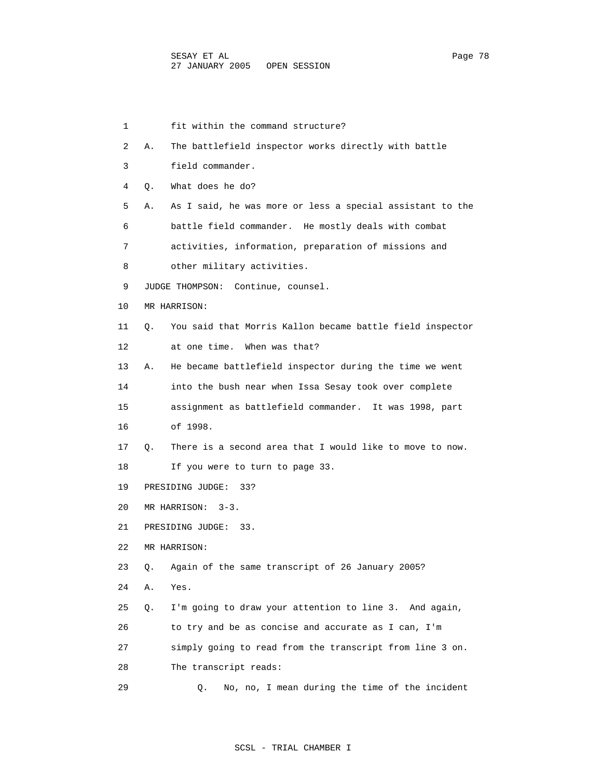1 fit within the command structure? 2 A. The battlefield inspector works directly with battle 3 field commander. 4 Q. What does he do? 5 A. As I said, he was more or less a special assistant to the 6 battle field commander. He mostly deals with combat 7 activities, information, preparation of missions and 8 other military activities. 9 JUDGE THOMPSON: Continue, counsel. 10 MR HARRISON: 11 Q. You said that Morris Kallon became battle field inspector 12 at one time. When was that? 13 A. He became battlefield inspector during the time we went 14 into the bush near when Issa Sesay took over complete 15 assignment as battlefield commander. It was 1998, part 16 of 1998. 17 Q. There is a second area that I would like to move to now. 18 If you were to turn to page 33. 19 PRESIDING JUDGE: 33? 20 MR HARRISON: 3-3. 21 PRESIDING JUDGE: 33. 22 MR HARRISON: 23 Q. Again of the same transcript of 26 January 2005? 24 A. Yes. 25 Q. I'm going to draw your attention to line 3. And again, 26 to try and be as concise and accurate as I can, I'm 27 simply going to read from the transcript from line 3 on. 28 The transcript reads: 29 Q. No, no, I mean during the time of the incident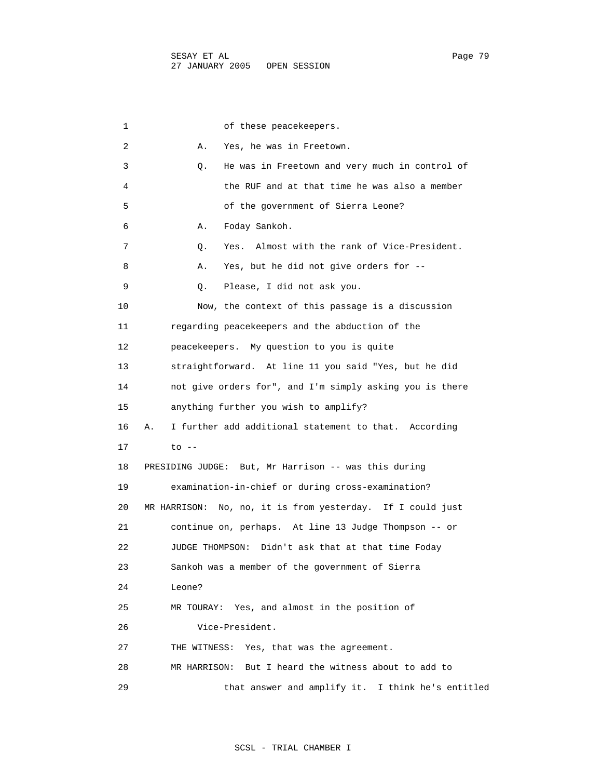| 1  | of these peacekeepers.                                      |
|----|-------------------------------------------------------------|
| 2  | Yes, he was in Freetown.<br>Α.                              |
| 3  | He was in Freetown and very much in control of<br>Q.        |
| 4  | the RUF and at that time he was also a member               |
| 5  | of the government of Sierra Leone?                          |
| 6  | Foday Sankoh.<br>Α.                                         |
| 7  | Yes. Almost with the rank of Vice-President.<br>Q.          |
| 8  | Yes, but he did not give orders for --<br>Α.                |
| 9  | Please, I did not ask you.<br>Q.                            |
| 10 | Now, the context of this passage is a discussion            |
| 11 | regarding peacekeepers and the abduction of the             |
| 12 | peacekeepers. My question to you is quite                   |
| 13 | straightforward. At line 11 you said "Yes, but he did       |
| 14 | not give orders for", and I'm simply asking you is there    |
| 15 | anything further you wish to amplify?                       |
| 16 | I further add additional statement to that. According<br>Α. |
| 17 | $to$ $-$                                                    |
| 18 | PRESIDING JUDGE: But, Mr Harrison -- was this during        |
| 19 | examination-in-chief or during cross-examination?           |
| 20 | MR HARRISON: No, no, it is from yesterday. If I could just  |
| 21 | continue on, perhaps. At line 13 Judge Thompson -- or       |
| 22 | Didn't ask that at that time Foday<br>JUDGE THOMPSON:       |
| 23 | Sankoh was a member of the government of Sierra             |
| 24 | Leone?                                                      |
| 25 | Yes, and almost in the position of<br>MR TOURAY:            |
| 26 | Vice-President.                                             |
| 27 | Yes, that was the agreement.<br>THE WITNESS:                |
| 28 | But I heard the witness about to add to<br>MR HARRISON:     |
| 29 | that answer and amplify it. I think he's entitled           |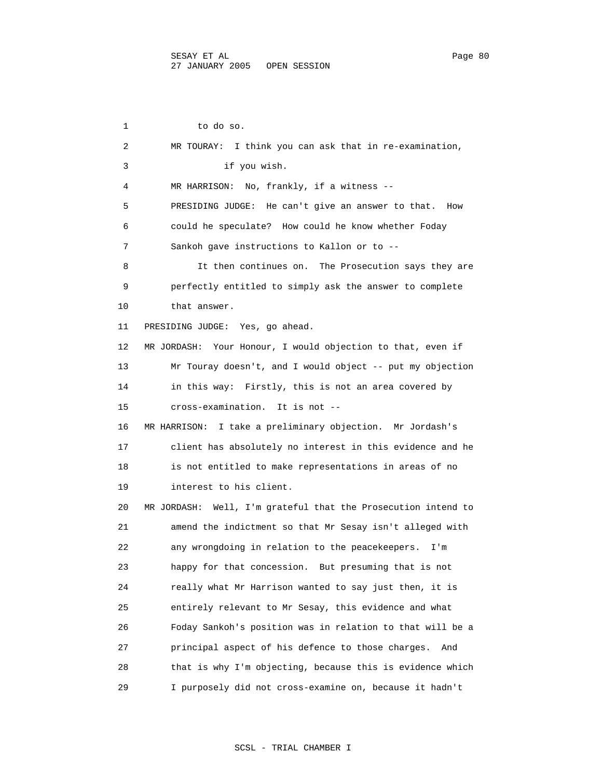1 to do so. 2 MR TOURAY: I think you can ask that in re-examination, 3 if you wish. 4 MR HARRISON: No, frankly, if a witness -- 5 PRESIDING JUDGE: He can't give an answer to that. How 6 could he speculate? How could he know whether Foday 7 Sankoh gave instructions to Kallon or to -- 8 It then continues on. The Prosecution says they are 9 perfectly entitled to simply ask the answer to complete 10 that answer. 11 PRESIDING JUDGE: Yes, go ahead. 12 MR JORDASH: Your Honour, I would objection to that, even if 13 Mr Touray doesn't, and I would object -- put my objection 14 in this way: Firstly, this is not an area covered by 15 cross-examination. It is not -- 16 MR HARRISON: I take a preliminary objection. Mr Jordash's 17 client has absolutely no interest in this evidence and he 18 is not entitled to make representations in areas of no 19 interest to his client. 20 MR JORDASH: Well, I'm grateful that the Prosecution intend to 21 amend the indictment so that Mr Sesay isn't alleged with 22 any wrongdoing in relation to the peacekeepers. I'm 23 happy for that concession. But presuming that is not 24 really what Mr Harrison wanted to say just then, it is 25 entirely relevant to Mr Sesay, this evidence and what 26 Foday Sankoh's position was in relation to that will be a 27 principal aspect of his defence to those charges. And 28 that is why I'm objecting, because this is evidence which 29 I purposely did not cross-examine on, because it hadn't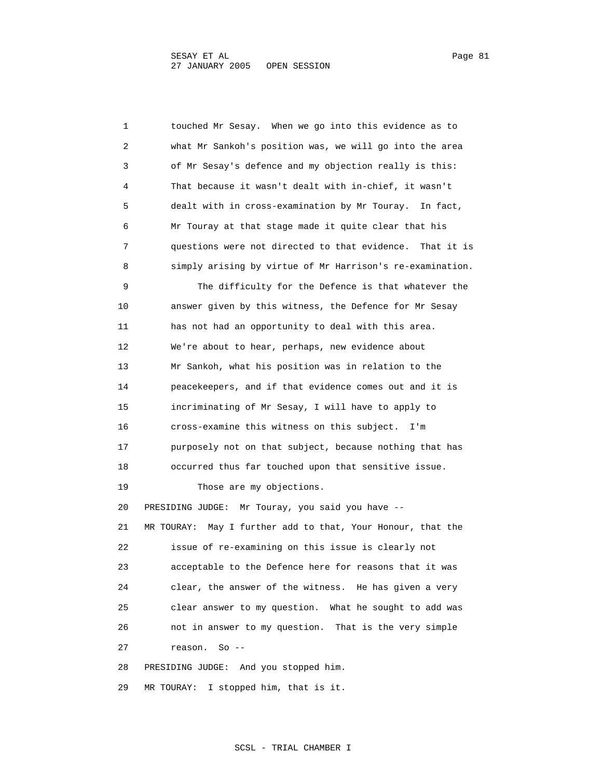1 touched Mr Sesay. When we go into this evidence as to 2 what Mr Sankoh's position was, we will go into the area 3 of Mr Sesay's defence and my objection really is this: 4 That because it wasn't dealt with in-chief, it wasn't 5 dealt with in cross-examination by Mr Touray. In fact, 6 Mr Touray at that stage made it quite clear that his 7 questions were not directed to that evidence. That it is 8 simply arising by virtue of Mr Harrison's re-examination. 9 The difficulty for the Defence is that whatever the 10 answer given by this witness, the Defence for Mr Sesay 11 has not had an opportunity to deal with this area. 12 We're about to hear, perhaps, new evidence about 13 Mr Sankoh, what his position was in relation to the 14 peacekeepers, and if that evidence comes out and it is 15 incriminating of Mr Sesay, I will have to apply to 16 cross-examine this witness on this subject. I'm 17 purposely not on that subject, because nothing that has 18 occurred thus far touched upon that sensitive issue. 19 Those are my objections. 20 PRESIDING JUDGE: Mr Touray, you said you have -- 21 MR TOURAY: May I further add to that, Your Honour, that the 22 issue of re-examining on this issue is clearly not 23 acceptable to the Defence here for reasons that it was 24 clear, the answer of the witness. He has given a very 25 clear answer to my question. What he sought to add was 26 not in answer to my question. That is the very simple 27 reason. So -- 28 PRESIDING JUDGE: And you stopped him.

29 MR TOURAY: I stopped him, that is it.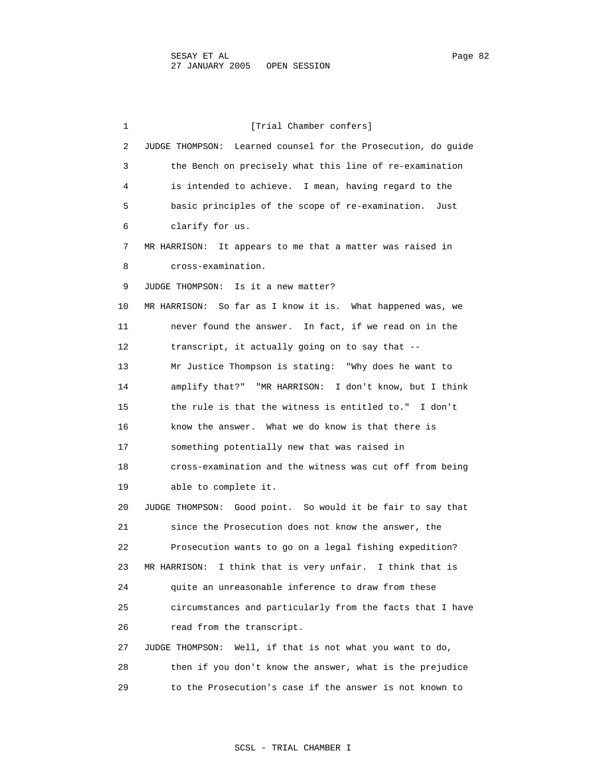1 [Trial Chamber confers] 2 JUDGE THOMPSON: Learned counsel for the Prosecution, do guide 3 the Bench on precisely what this line of re-examination 4 is intended to achieve. I mean, having regard to the 5 basic principles of the scope of re-examination. Just 6 clarify for us. 7 MR HARRISON: It appears to me that a matter was raised in 8 cross-examination. 9 JUDGE THOMPSON: Is it a new matter? 10 MR HARRISON: So far as I know it is. What happened was, we 11 never found the answer. In fact, if we read on in the 12 transcript, it actually going on to say that -- 13 Mr Justice Thompson is stating: "Why does he want to 14 amplify that?" "MR HARRISON: I don't know, but I think 15 the rule is that the witness is entitled to." I don't 16 know the answer. What we do know is that there is 17 something potentially new that was raised in 18 cross-examination and the witness was cut off from being 19 able to complete it. 20 JUDGE THOMPSON: Good point. So would it be fair to say that 21 since the Prosecution does not know the answer, the 22 Prosecution wants to go on a legal fishing expedition? 23 MR HARRISON: I think that is very unfair. I think that is 24 quite an unreasonable inference to draw from these 25 circumstances and particularly from the facts that I have 26 read from the transcript. 27 JUDGE THOMPSON: Well, if that is not what you want to do, 28 then if you don't know the answer, what is the prejudice 29 to the Prosecution's case if the answer is not known to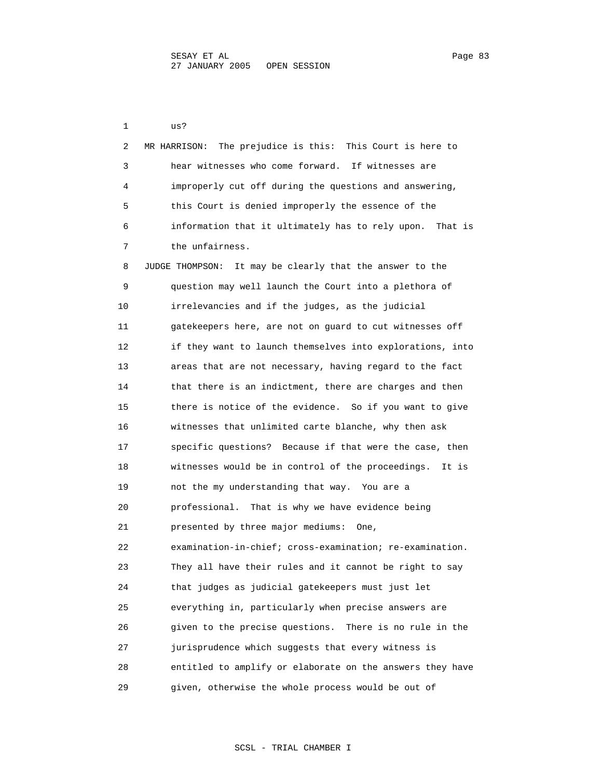1 us? 2 MR HARRISON: The prejudice is this: This Court is here to 3 hear witnesses who come forward. If witnesses are 4 improperly cut off during the questions and answering, 5 this Court is denied improperly the essence of the 6 information that it ultimately has to rely upon. That is 7 the unfairness. 8 JUDGE THOMPSON: It may be clearly that the answer to the 9 question may well launch the Court into a plethora of 10 irrelevancies and if the judges, as the judicial 11 gatekeepers here, are not on guard to cut witnesses off 12 if they want to launch themselves into explorations, into 13 areas that are not necessary, having regard to the fact 14 that there is an indictment, there are charges and then 15 there is notice of the evidence. So if you want to give 16 witnesses that unlimited carte blanche, why then ask 17 specific questions? Because if that were the case, then 18 witnesses would be in control of the proceedings. It is 19 not the my understanding that way. You are a 20 professional. That is why we have evidence being 21 presented by three major mediums: One, 22 examination-in-chief; cross-examination; re-examination. 23 They all have their rules and it cannot be right to say 24 that judges as judicial gatekeepers must just let 25 everything in, particularly when precise answers are 26 given to the precise questions. There is no rule in the 27 jurisprudence which suggests that every witness is 28 entitled to amplify or elaborate on the answers they have 29 given, otherwise the whole process would be out of

## SCSL - TRIAL CHAMBER I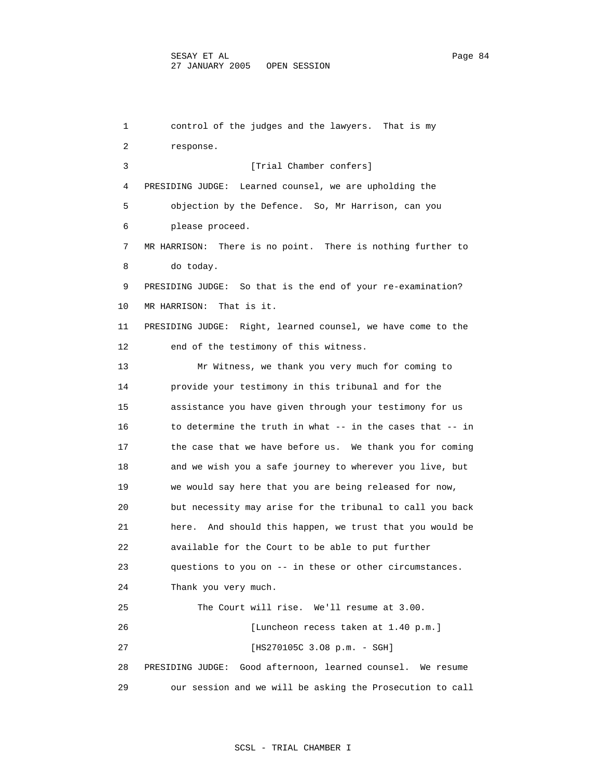1 control of the judges and the lawyers. That is my 2 response. 3 [Trial Chamber confers] 4 PRESIDING JUDGE: Learned counsel, we are upholding the 5 objection by the Defence. So, Mr Harrison, can you 6 please proceed. 7 MR HARRISON: There is no point. There is nothing further to 8 do today. 9 PRESIDING JUDGE: So that is the end of your re-examination? 10 MR HARRISON: That is it. 11 PRESIDING JUDGE: Right, learned counsel, we have come to the 12 end of the testimony of this witness. 13 Mr Witness, we thank you very much for coming to 14 provide your testimony in this tribunal and for the 15 assistance you have given through your testimony for us 16 to determine the truth in what -- in the cases that -- in 17 the case that we have before us. We thank you for coming 18 and we wish you a safe journey to wherever you live, but 19 we would say here that you are being released for now, 20 but necessity may arise for the tribunal to call you back 21 here. And should this happen, we trust that you would be 22 available for the Court to be able to put further 23 questions to you on -- in these or other circumstances. 24 Thank you very much. 25 The Court will rise. We'll resume at 3.00. 26 [Luncheon recess taken at 1.40 p.m.] 27 [HS270105C 3.O8 p.m. - SGH] 28 PRESIDING JUDGE: Good afternoon, learned counsel. We resume 29 our session and we will be asking the Prosecution to call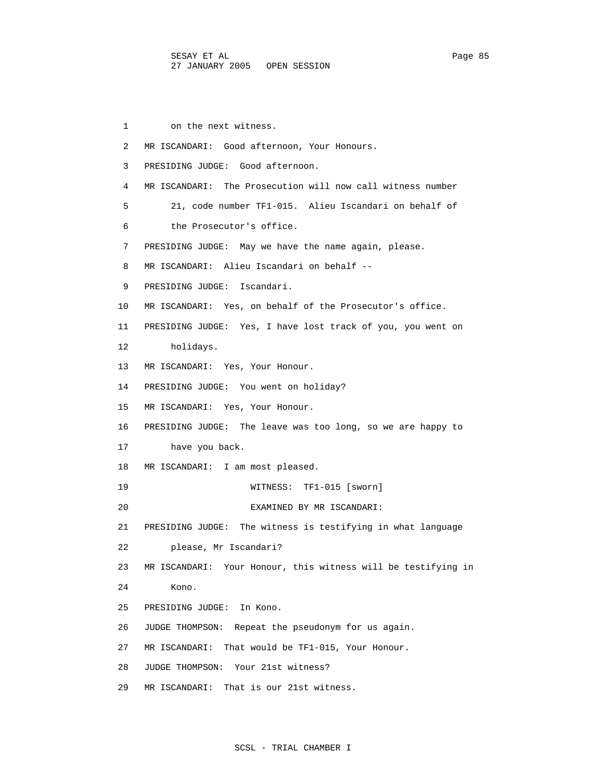1 on the next witness. 2 MR ISCANDARI: Good afternoon, Your Honours. 3 PRESIDING JUDGE: Good afternoon. 4 MR ISCANDARI: The Prosecution will now call witness number 5 21, code number TF1-015. Alieu Iscandari on behalf of 6 the Prosecutor's office. 7 PRESIDING JUDGE: May we have the name again, please. 8 MR ISCANDARI: Alieu Iscandari on behalf -- 9 PRESIDING JUDGE: Iscandari. 10 MR ISCANDARI: Yes, on behalf of the Prosecutor's office. 11 PRESIDING JUDGE: Yes, I have lost track of you, you went on 12 holidays. 13 MR ISCANDARI: Yes, Your Honour. 14 PRESIDING JUDGE: You went on holiday? 15 MR ISCANDARI: Yes, Your Honour. 16 PRESIDING JUDGE: The leave was too long, so we are happy to 17 have you back. 18 MR ISCANDARI: I am most pleased. 19 WITNESS: TF1-015 [sworn] 20 EXAMINED BY MR ISCANDARI: 21 PRESIDING JUDGE: The witness is testifying in what language 22 please, Mr Iscandari? 23 MR ISCANDARI: Your Honour, this witness will be testifying in 24 Kono. 25 PRESIDING JUDGE: In Kono. 26 JUDGE THOMPSON: Repeat the pseudonym for us again. 27 MR ISCANDARI: That would be TF1-015, Your Honour. 28 JUDGE THOMPSON: Your 21st witness? 29 MR ISCANDARI: That is our 21st witness.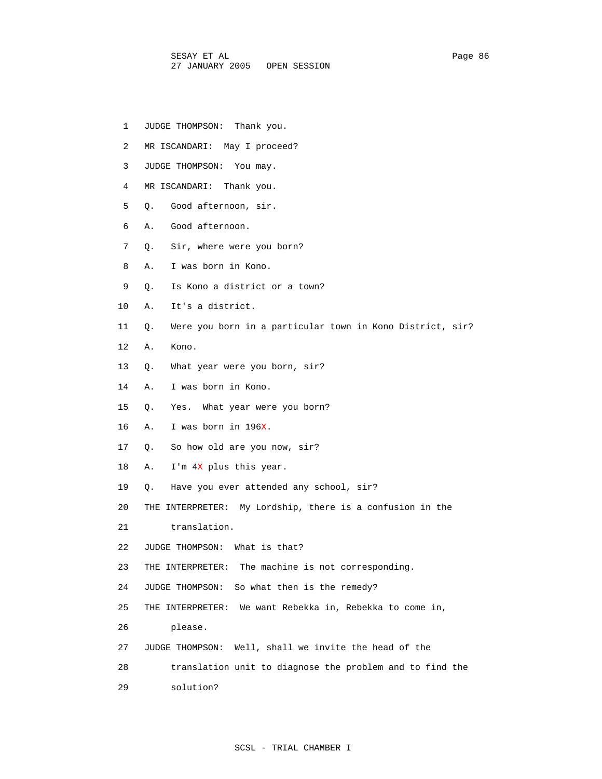- 1 JUDGE THOMPSON: Thank you.
- 2 MR ISCANDARI: May I proceed?
- 3 JUDGE THOMPSON: You may.
- 4 MR ISCANDARI: Thank you.
- 5 Q. Good afternoon, sir.
- 6 A. Good afternoon.
- 7 Q. Sir, where were you born?
- 8 A. I was born in Kono.
- 9 Q. Is Kono a district or a town?
- 10 A. It's a district.
- 11 Q. Were you born in a particular town in Kono District, sir?
- 12 A. Kono.
- 13 Q. What year were you born, sir?
- 14 A. I was born in Kono.
- 15 Q. Yes. What year were you born?
- 16 A. I was born in 196X.
- 17 Q. So how old are you now, sir?
- 18 A. I'm 4X plus this year.
- 19 Q. Have you ever attended any school, sir?
- 20 THE INTERPRETER: My Lordship, there is a confusion in the
- 21 translation.
- 22 JUDGE THOMPSON: What is that?
- 23 THE INTERPRETER: The machine is not corresponding.
- 24 JUDGE THOMPSON: So what then is the remedy?
- 25 THE INTERPRETER: We want Rebekka in, Rebekka to come in,
- 26 please.
- 27 JUDGE THOMPSON: Well, shall we invite the head of the
- 28 translation unit to diagnose the problem and to find the
- 29 solution?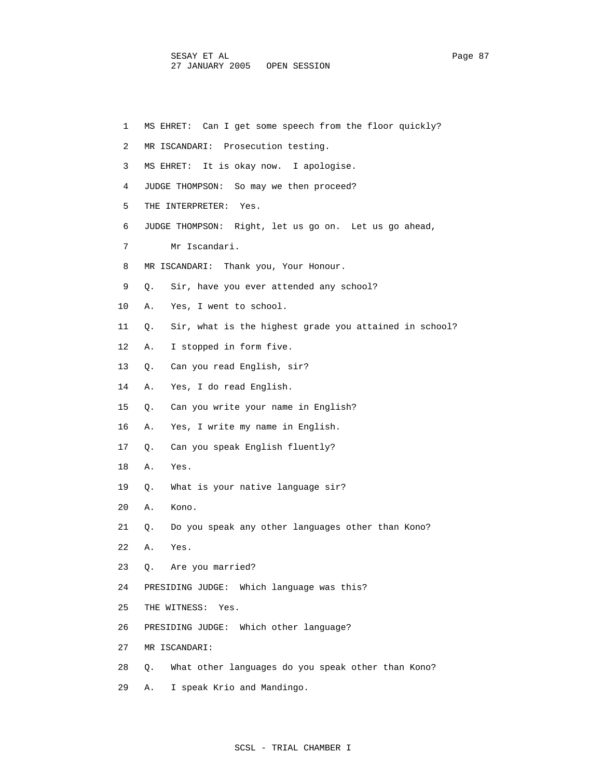| 1  | MS EHRET: Can I get some speech from the floor quickly?      |
|----|--------------------------------------------------------------|
| 2  | MR ISCANDARI: Prosecution testing.                           |
| 3  | It is okay now. I apologise.<br>MS EHRET:                    |
| 4  | JUDGE THOMPSON: So may we then proceed?                      |
| 5  | THE INTERPRETER:<br>Yes.                                     |
| 6  | JUDGE THOMPSON: Right, let us go on. Let us go ahead,        |
| 7  | Mr Iscandari.                                                |
| 8  | MR ISCANDARI:<br>Thank you, Your Honour.                     |
| 9  | Sir, have you ever attended any school?<br>О.                |
| 10 | Yes, I went to school.<br>Α.                                 |
| 11 | Sir, what is the highest grade you attained in school?<br>Q. |
| 12 | I stopped in form five.<br>Α.                                |
| 13 | Can you read English, sir?<br>Q.                             |
| 14 | Yes, I do read English.<br>Α.                                |
| 15 | Can you write your name in English?<br>Q.                    |
| 16 | Yes, I write my name in English.<br>Α.                       |
| 17 | Can you speak English fluently?<br>Q.                        |
| 18 | Yes.<br>Α.                                                   |
| 19 | What is your native language sir?<br>Q.                      |
| 20 | Kono.<br>Α.                                                  |
| 21 | Do you speak any other languages other than Kono?<br>Q.      |
| 22 | Α.<br>Yes.                                                   |
| 23 | Are you married?<br>Q.                                       |
| 24 | PRESIDING JUDGE: Which language was this?                    |
| 25 | THE WITNESS: Yes.                                            |
| 26 | Which other language?<br>PRESIDING JUDGE:                    |
| 27 | MR ISCANDARI:                                                |
| 28 | What other languages do you speak other than Kono?<br>Q.     |
| 29 | I speak Krio and Mandingo.<br>Α.                             |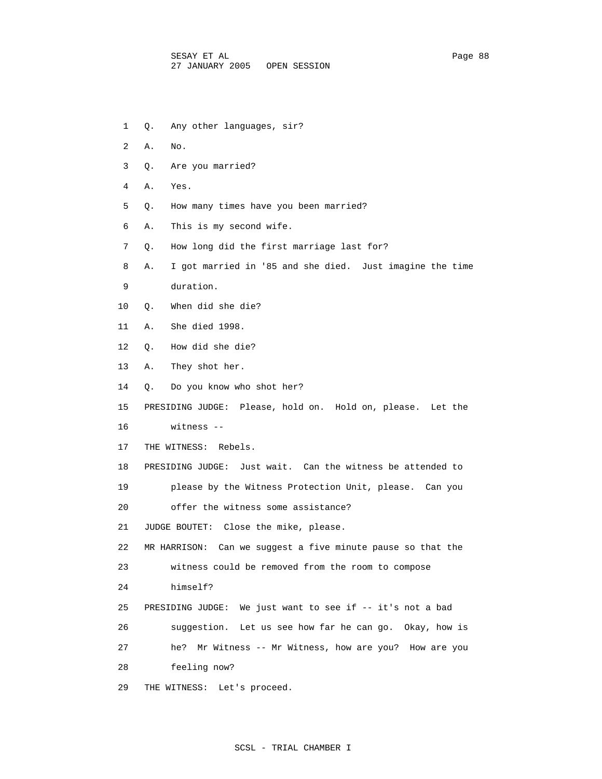- 1 Q. Any other languages, sir?
- 2 A. No.
- 3 Q. Are you married?
- 4 A. Yes.
- 5 Q. How many times have you been married?
- 6 A. This is my second wife.
- 7 Q. How long did the first marriage last for?
- 8 A. I got married in '85 and she died. Just imagine the time
- 9 duration.
- 10 Q. When did she die?
- 11 A. She died 1998.
- 12 Q. How did she die?
- 13 A. They shot her.
- 14 Q. Do you know who shot her?
- 15 PRESIDING JUDGE: Please, hold on. Hold on, please. Let the
- 16 witness --
- 17 THE WITNESS: Rebels.
- 18 PRESIDING JUDGE: Just wait. Can the witness be attended to
- 19 please by the Witness Protection Unit, please. Can you
- 20 offer the witness some assistance?
- 21 JUDGE BOUTET: Close the mike, please.
- 22 MR HARRISON: Can we suggest a five minute pause so that the
- 23 witness could be removed from the room to compose
- 24 himself?
- 25 PRESIDING JUDGE: We just want to see if -- it's not a bad
- 26 suggestion. Let us see how far he can go. Okay, how is
- 27 he? Mr Witness -- Mr Witness, how are you? How are you
- 28 feeling now?
- 29 THE WITNESS: Let's proceed.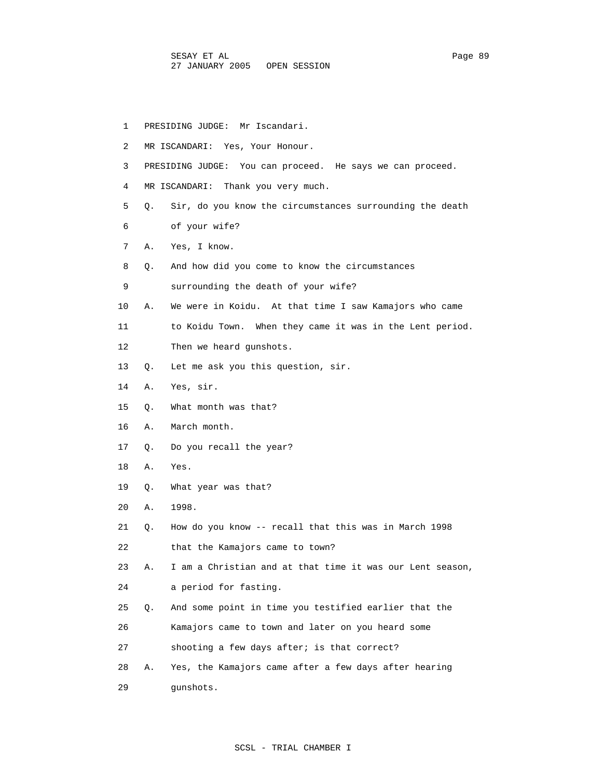| 1  |    | PRESIDING JUDGE: Mr Iscandari.                            |
|----|----|-----------------------------------------------------------|
| 2  |    | MR ISCANDARI: Yes, Your Honour.                           |
| 3  |    | PRESIDING JUDGE: You can proceed. He says we can proceed. |
| 4  |    | MR ISCANDARI: Thank you very much.                        |
| 5  | О. | Sir, do you know the circumstances surrounding the death  |
| 6  |    | of your wife?                                             |
| 7  | Α. | Yes, I know.                                              |
| 8  | Q. | And how did you come to know the circumstances            |
| 9  |    | surrounding the death of your wife?                       |
| 10 | А. | We were in Koidu. At that time I saw Kamajors who came    |
| 11 |    | to Koidu Town. When they came it was in the Lent period.  |
| 12 |    | Then we heard qunshots.                                   |
| 13 | О. | Let me ask you this question, sir.                        |
| 14 | Α. | Yes, sir.                                                 |
| 15 | Q. | What month was that?                                      |
| 16 | Α. | March month.                                              |
| 17 | О. | Do you recall the year?                                   |
| 18 | Α. | Yes.                                                      |
| 19 | О. | What year was that?                                       |
| 20 | Α. | 1998.                                                     |
| 21 | О. | How do you know -- recall that this was in March 1998     |
| 22 |    | that the Kamajors came to town?                           |
| 23 | Α. | I am a Christian and at that time it was our Lent season, |
| 24 |    | a period for fasting.                                     |
| 25 | Q. | And some point in time you testified earlier that the     |
| 26 |    | Kamajors came to town and later on you heard some         |
| 27 |    | shooting a few days after; is that correct?               |
| 28 | Α. | Yes, the Kamajors came after a few days after hearing     |
| 29 |    | qunshots.                                                 |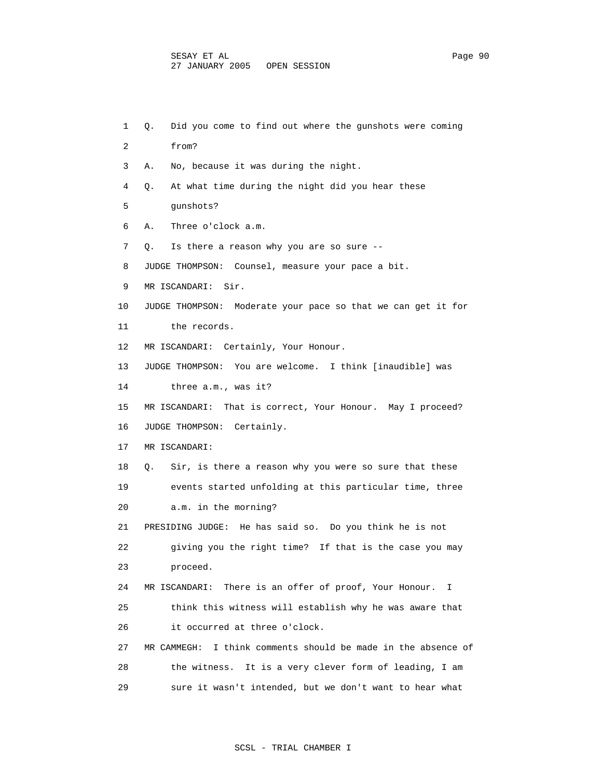1 Q. Did you come to find out where the gunshots were coming 2 from? 3 A. No, because it was during the night. 4 Q. At what time during the night did you hear these 5 gunshots? 6 A. Three o'clock a.m. 7 Q. Is there a reason why you are so sure -- 8 JUDGE THOMPSON: Counsel, measure your pace a bit. 9 MR ISCANDARI: Sir. 10 JUDGE THOMPSON: Moderate your pace so that we can get it for 11 the records. 12 MR ISCANDARI: Certainly, Your Honour. 13 JUDGE THOMPSON: You are welcome. I think [inaudible] was 14 three a.m., was it? 15 MR ISCANDARI: That is correct, Your Honour. May I proceed? 16 JUDGE THOMPSON: Certainly. 17 MR ISCANDARI: 18 Q. Sir, is there a reason why you were so sure that these 19 events started unfolding at this particular time, three 20 a.m. in the morning? 21 PRESIDING JUDGE: He has said so. Do you think he is not 22 giving you the right time? If that is the case you may 23 proceed. 24 MR ISCANDARI: There is an offer of proof, Your Honour. I 25 think this witness will establish why he was aware that 26 it occurred at three o'clock. 27 MR CAMMEGH: I think comments should be made in the absence of 28 the witness. It is a very clever form of leading, I am 29 sure it wasn't intended, but we don't want to hear what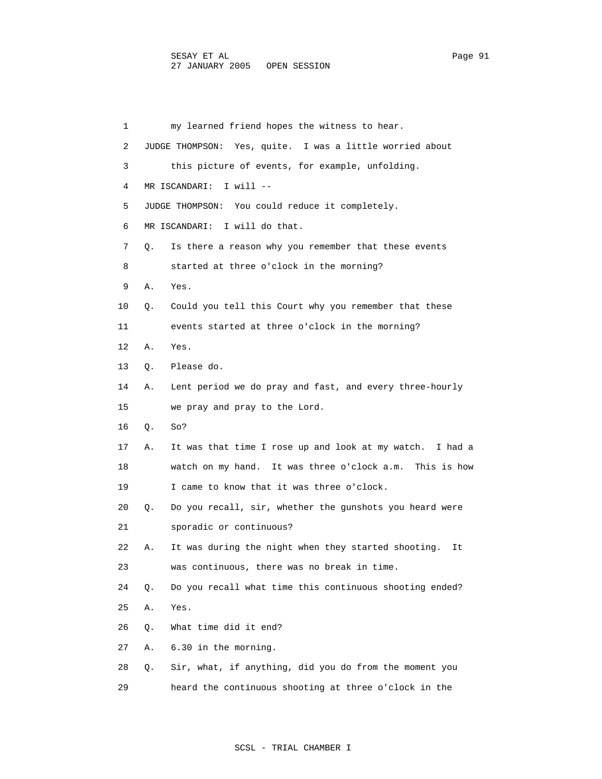1 my learned friend hopes the witness to hear. 2 JUDGE THOMPSON: Yes, quite. I was a little worried about 3 this picture of events, for example, unfolding. 4 MR ISCANDARI: I will -- 5 JUDGE THOMPSON: You could reduce it completely. 6 MR ISCANDARI: I will do that. 7 Q. Is there a reason why you remember that these events 8 started at three o'clock in the morning? 9 A. Yes. 10 Q. Could you tell this Court why you remember that these 11 events started at three o'clock in the morning? 12 A. Yes. 13 Q. Please do. 14 A. Lent period we do pray and fast, and every three-hourly 15 we pray and pray to the Lord. 16 Q. So? 17 A. It was that time I rose up and look at my watch. I had a 18 watch on my hand. It was three o'clock a.m. This is how 19 I came to know that it was three o'clock. 20 Q. Do you recall, sir, whether the gunshots you heard were 21 sporadic or continuous? 22 A. It was during the night when they started shooting. It 23 was continuous, there was no break in time. 24 Q. Do you recall what time this continuous shooting ended? 25 A. Yes. 26 Q. What time did it end? 27 A. 6.30 in the morning. 28 Q. Sir, what, if anything, did you do from the moment you 29 heard the continuous shooting at three o'clock in the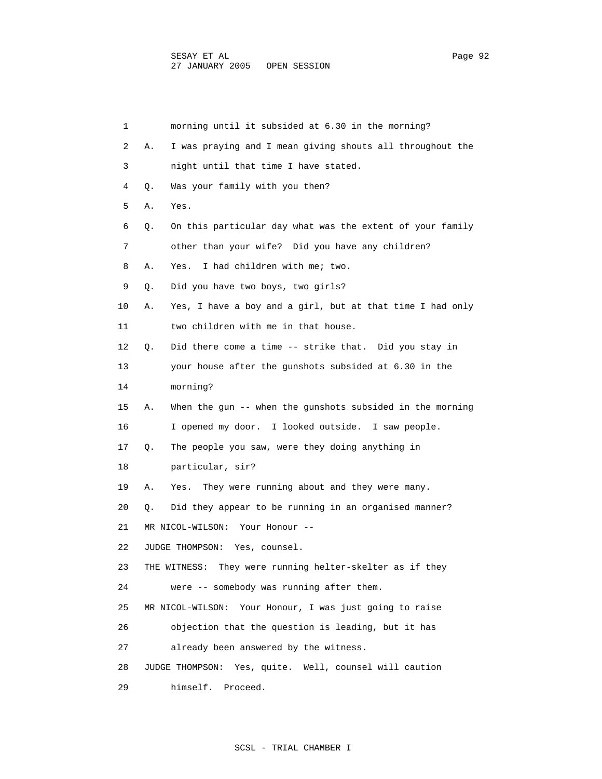| 1  |    | morning until it subsided at 6.30 in the morning?           |
|----|----|-------------------------------------------------------------|
| 2  | Α. | I was praying and I mean giving shouts all throughout the   |
| 3  |    | night until that time I have stated.                        |
| 4  | Q. | Was your family with you then?                              |
| 5  | Α. | Yes.                                                        |
| 6  | Q. | On this particular day what was the extent of your family   |
| 7  |    | other than your wife? Did you have any children?            |
| 8  | Α. | I had children with me; two.<br>Yes.                        |
| 9  | Q. | Did you have two boys, two girls?                           |
| 10 | Α. | Yes, I have a boy and a girl, but at that time I had only   |
| 11 |    | two children with me in that house.                         |
| 12 | О. | Did there come a time -- strike that. Did you stay in       |
| 13 |    | your house after the gunshots subsided at 6.30 in the       |
| 14 |    | morning?                                                    |
| 15 | Α. | When the gun -- when the gunshots subsided in the morning   |
| 16 |    | I opened my door. I looked outside. I saw people.           |
| 17 | Q. | The people you saw, were they doing anything in             |
| 18 |    | particular, sir?                                            |
| 19 | Α. | They were running about and they were many.<br>Yes.         |
| 20 | Q. | Did they appear to be running in an organised manner?       |
| 21 |    | MR NICOL-WILSON:<br>Your Honour --                          |
| 22 |    | JUDGE THOMPSON:<br>Yes, counsel.                            |
| 23 |    | They were running helter-skelter as if they<br>THE WITNESS: |
| 24 |    | were -- somebody was running after them.                    |
| 25 |    | Your Honour, I was just going to raise<br>MR NICOL-WILSON:  |
| 26 |    | objection that the question is leading, but it has          |
| 27 |    | already been answered by the witness.                       |
| 28 |    | JUDGE THOMPSON:<br>Yes, quite. Well, counsel will caution   |
| 29 |    | himself. Proceed.                                           |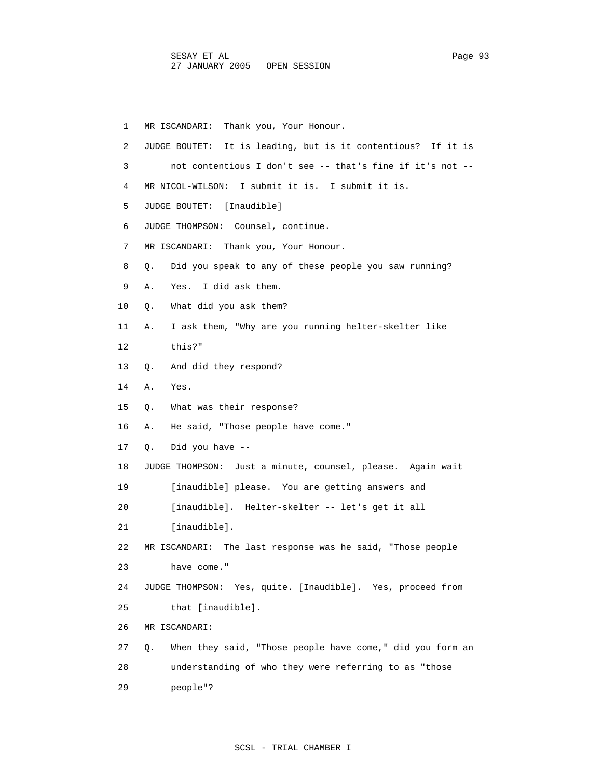1 MR ISCANDARI: Thank you, Your Honour. 2 JUDGE BOUTET: It is leading, but is it contentious? If it is 3 not contentious I don't see -- that's fine if it's not -- 4 MR NICOL-WILSON: I submit it is. I submit it is. 5 JUDGE BOUTET: [Inaudible] 6 JUDGE THOMPSON: Counsel, continue. 7 MR ISCANDARI: Thank you, Your Honour. 8 Q. Did you speak to any of these people you saw running? 9 A. Yes. I did ask them. 10 Q. What did you ask them? 11 A. I ask them, "Why are you running helter-skelter like 12 this?" 13 Q. And did they respond? 14 A. Yes. 15 Q. What was their response? 16 A. He said, "Those people have come." 17 Q. Did you have -- 18 JUDGE THOMPSON: Just a minute, counsel, please. Again wait 19 [inaudible] please. You are getting answers and 20 [inaudible]. Helter-skelter -- let's get it all 21 [inaudible]. 22 MR ISCANDARI: The last response was he said, "Those people 23 have come." 24 JUDGE THOMPSON: Yes, quite. [Inaudible]. Yes, proceed from 25 that [inaudible]. 26 MR ISCANDARI: 27 Q. When they said, "Those people have come," did you form an 28 understanding of who they were referring to as "those 29 people"?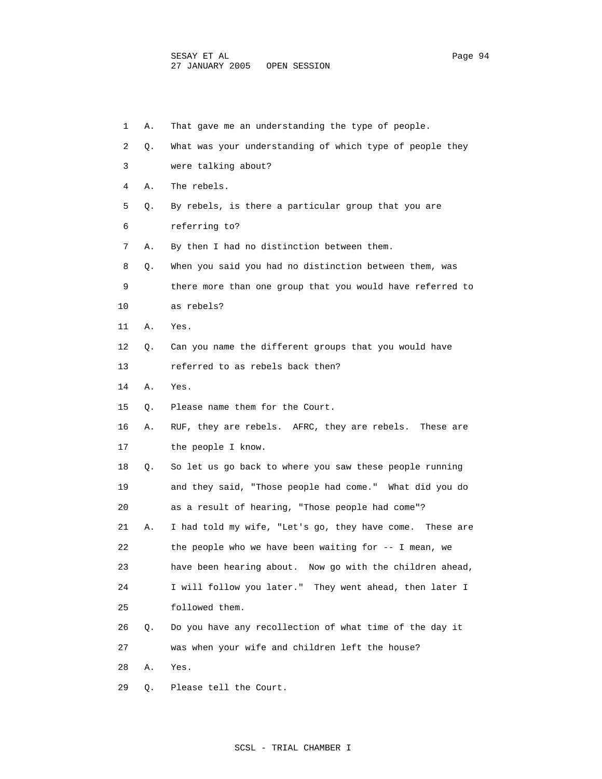| 1  | Α. | That gave me an understanding the type of people.         |
|----|----|-----------------------------------------------------------|
| 2  | Q. | What was your understanding of which type of people they  |
| 3  |    | were talking about?                                       |
| 4  | Α. | The rebels.                                               |
| 5  | Q. | By rebels, is there a particular group that you are       |
| 6  |    | referring to?                                             |
| 7  | Α. | By then I had no distinction between them.                |
| 8  | Q. | When you said you had no distinction between them, was    |
| 9  |    | there more than one group that you would have referred to |
| 10 |    | as rebels?                                                |
| 11 | Α. | Yes.                                                      |
| 12 | Q. | Can you name the different groups that you would have     |
| 13 |    | referred to as rebels back then?                          |
| 14 | Α. | Yes.                                                      |
| 15 | Q. | Please name them for the Court.                           |
| 16 | Α. | RUF, they are rebels. AFRC, they are rebels. These are    |
| 17 |    | the people I know.                                        |
| 18 | Q. | So let us go back to where you saw these people running   |
| 19 |    | and they said, "Those people had come." What did you do   |
| 20 |    | as a result of hearing, "Those people had come"?          |
| 21 | Α. | I had told my wife, "Let's go, they have come. These are  |
| 22 |    | the people who we have been waiting for $-$ - I mean, we  |
| 23 |    | have been hearing about. Now go with the children ahead,  |
| 24 |    | I will follow you later." They went ahead, then later I   |
| 25 |    | followed them.                                            |
| 26 | Q. | Do you have any recollection of what time of the day it   |
| 27 |    | was when your wife and children left the house?           |
| 28 | Α. | Yes.                                                      |
| 29 | Q. | Please tell the Court.                                    |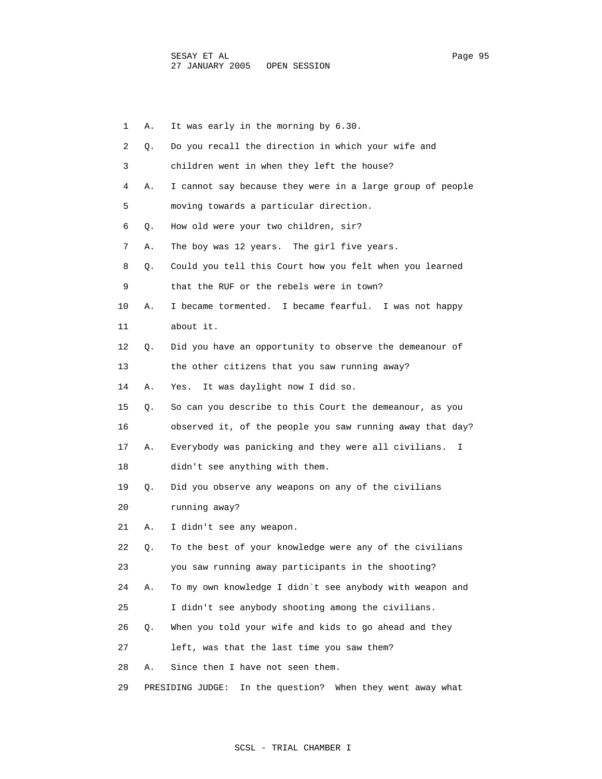| 1  | Α. | It was early in the morning by 6.30.                          |
|----|----|---------------------------------------------------------------|
| 2  | Q. | Do you recall the direction in which your wife and            |
| 3  |    | children went in when they left the house?                    |
| 4  | Α. | I cannot say because they were in a large group of people     |
| 5  |    | moving towards a particular direction.                        |
| 6  | Q. | How old were your two children, sir?                          |
| 7  | Α. | The boy was 12 years. The girl five years.                    |
| 8  | Q. | Could you tell this Court how you felt when you learned       |
| 9  |    | that the RUF or the rebels were in town?                      |
| 10 | Α. | I became tormented. I became fearful. I was not happy         |
| 11 |    | about it.                                                     |
| 12 | Q. | Did you have an opportunity to observe the demeanour of       |
| 13 |    | the other citizens that you saw running away?                 |
| 14 | Α. | It was daylight now I did so.<br>Yes.                         |
| 15 | Q. | So can you describe to this Court the demeanour, as you       |
| 16 |    | observed it, of the people you saw running away that day?     |
| 17 | Α. | Everybody was panicking and they were all civilians.<br>I.    |
| 18 |    | didn't see anything with them.                                |
| 19 | Q. | Did you observe any weapons on any of the civilians           |
| 20 |    | running away?                                                 |
| 21 | Α. | I didn't see any weapon.                                      |
| 22 | Q. | To the best of your knowledge were any of the civilians       |
| 23 |    | you saw running away participants in the shooting?            |
| 24 | Α. | To my own knowledge I didn't see anybody with weapon and      |
| 25 |    | I didn't see anybody shooting among the civilians.            |
| 26 | О. | When you told your wife and kids to go ahead and they         |
| 27 |    | left, was that the last time you saw them?                    |
| 28 | Α. | Since then I have not seen them.                              |
| 29 |    | PRESIDING JUDGE:<br>In the question? When they went away what |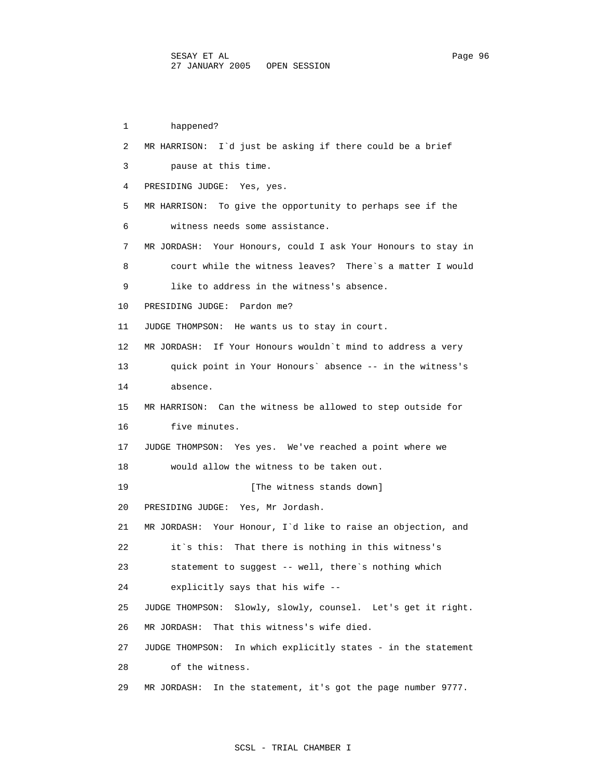1 happened? 2 MR HARRISON: I`d just be asking if there could be a brief 3 pause at this time. 4 PRESIDING JUDGE: Yes, yes. 5 MR HARRISON: To give the opportunity to perhaps see if the 6 witness needs some assistance. 7 MR JORDASH: Your Honours, could I ask Your Honours to stay in 8 court while the witness leaves? There`s a matter I would 9 like to address in the witness's absence. 10 PRESIDING JUDGE: Pardon me? 11 JUDGE THOMPSON: He wants us to stay in court. 12 MR JORDASH: If Your Honours wouldn`t mind to address a very 13 quick point in Your Honours` absence -- in the witness's 14 absence. 15 MR HARRISON: Can the witness be allowed to step outside for 16 five minutes. 17 JUDGE THOMPSON: Yes yes. We've reached a point where we 18 would allow the witness to be taken out. 19 **Interval** [The witness stands down] 20 PRESIDING JUDGE: Yes, Mr Jordash. 21 MR JORDASH: Your Honour, I`d like to raise an objection, and 22 it`s this: That there is nothing in this witness's 23 statement to suggest -- well, there`s nothing which 24 explicitly says that his wife -- 25 JUDGE THOMPSON: Slowly, slowly, counsel. Let's get it right. 26 MR JORDASH: That this witness's wife died. 27 JUDGE THOMPSON: In which explicitly states - in the statement 28 of the witness. 29 MR JORDASH: In the statement, it's got the page number 9777.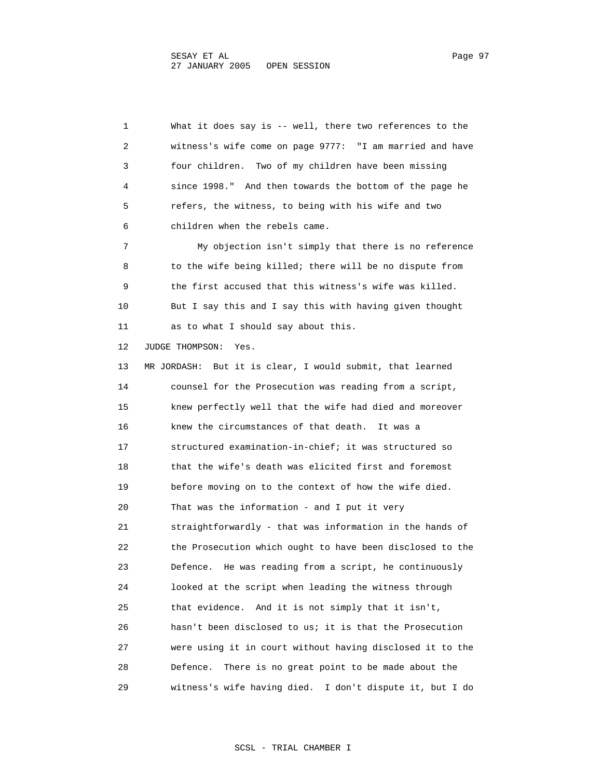1 What it does say is -- well, there two references to the 2 witness's wife come on page 9777: "I am married and have 3 four children. Two of my children have been missing 4 since 1998." And then towards the bottom of the page he 5 refers, the witness, to being with his wife and two 6 children when the rebels came. 7 My objection isn't simply that there is no reference 8 to the wife being killed; there will be no dispute from 9 the first accused that this witness's wife was killed. 10 But I say this and I say this with having given thought 11 as to what I should say about this. 12 JUDGE THOMPSON: Yes. 13 MR JORDASH: But it is clear, I would submit, that learned 14 counsel for the Prosecution was reading from a script, 15 knew perfectly well that the wife had died and moreover 16 knew the circumstances of that death. It was a 17 structured examination-in-chief; it was structured so 18 that the wife's death was elicited first and foremost 19 before moving on to the context of how the wife died. 20 That was the information - and I put it very 21 straightforwardly - that was information in the hands of 22 the Prosecution which ought to have been disclosed to the 23 Defence. He was reading from a script, he continuously 24 looked at the script when leading the witness through 25 that evidence. And it is not simply that it isn't, 26 hasn't been disclosed to us; it is that the Prosecution 27 were using it in court without having disclosed it to the 28 Defence. There is no great point to be made about the 29 witness's wife having died. I don't dispute it, but I do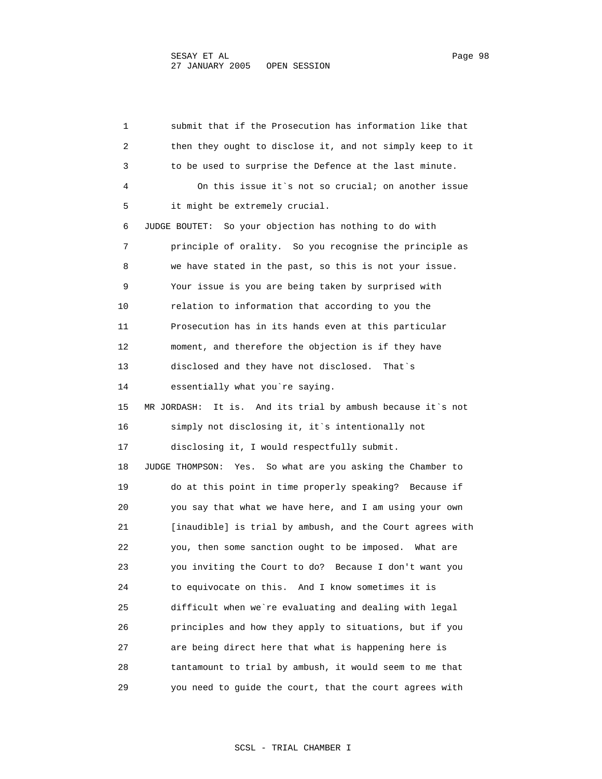1 submit that if the Prosecution has information like that 2 then they ought to disclose it, and not simply keep to it 3 to be used to surprise the Defence at the last minute. 4 On this issue it`s not so crucial; on another issue 5 it might be extremely crucial. 6 JUDGE BOUTET: So your objection has nothing to do with 7 principle of orality. So you recognise the principle as 8 we have stated in the past, so this is not your issue. 9 Your issue is you are being taken by surprised with 10 relation to information that according to you the 11 Prosecution has in its hands even at this particular 12 moment, and therefore the objection is if they have 13 disclosed and they have not disclosed. That`s 14 essentially what you`re saying. 15 MR JORDASH: It is. And its trial by ambush because it`s not 16 simply not disclosing it, it`s intentionally not 17 disclosing it, I would respectfully submit. 18 JUDGE THOMPSON: Yes. So what are you asking the Chamber to 19 do at this point in time properly speaking? Because if 20 you say that what we have here, and I am using your own 21 [inaudible] is trial by ambush, and the Court agrees with 22 you, then some sanction ought to be imposed. What are 23 you inviting the Court to do? Because I don't want you 24 to equivocate on this. And I know sometimes it is 25 difficult when we`re evaluating and dealing with legal 26 principles and how they apply to situations, but if you 27 are being direct here that what is happening here is 28 tantamount to trial by ambush, it would seem to me that 29 you need to guide the court, that the court agrees with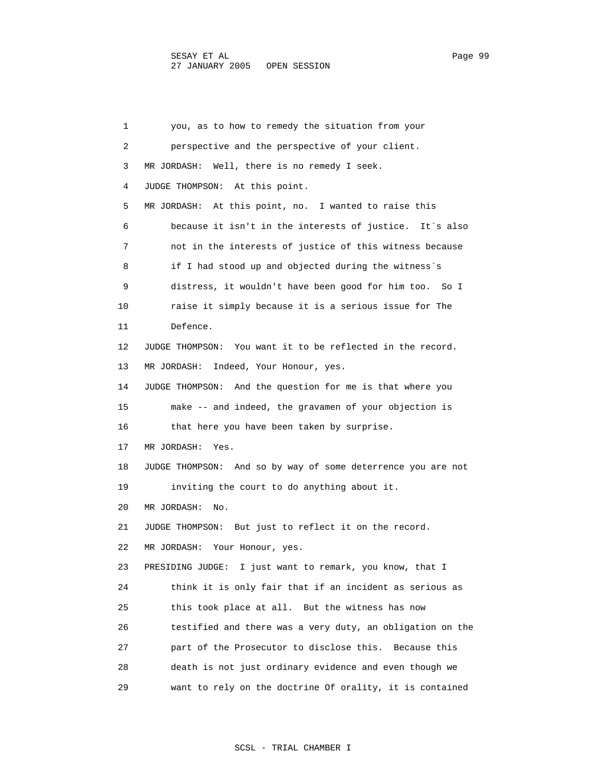1 you, as to how to remedy the situation from your 2 perspective and the perspective of your client. 3 MR JORDASH: Well, there is no remedy I seek. 4 JUDGE THOMPSON: At this point. 5 MR JORDASH: At this point, no. I wanted to raise this 6 because it isn't in the interests of justice. It`s also 7 not in the interests of justice of this witness because 8 if I had stood up and objected during the witness`s 9 distress, it wouldn't have been good for him too. So I 10 raise it simply because it is a serious issue for The 11 Defence. 12 JUDGE THOMPSON: You want it to be reflected in the record. 13 MR JORDASH: Indeed, Your Honour, yes. 14 JUDGE THOMPSON: And the question for me is that where you 15 make -- and indeed, the gravamen of your objection is 16 that here you have been taken by surprise. 17 MR JORDASH: Yes. 18 JUDGE THOMPSON: And so by way of some deterrence you are not 19 inviting the court to do anything about it. 20 MR JORDASH: No. 21 JUDGE THOMPSON: But just to reflect it on the record. 22 MR JORDASH: Your Honour, yes. 23 PRESIDING JUDGE: I just want to remark, you know, that I 24 think it is only fair that if an incident as serious as 25 this took place at all. But the witness has now 26 testified and there was a very duty, an obligation on the 27 part of the Prosecutor to disclose this. Because this 28 death is not just ordinary evidence and even though we 29 want to rely on the doctrine Of orality, it is contained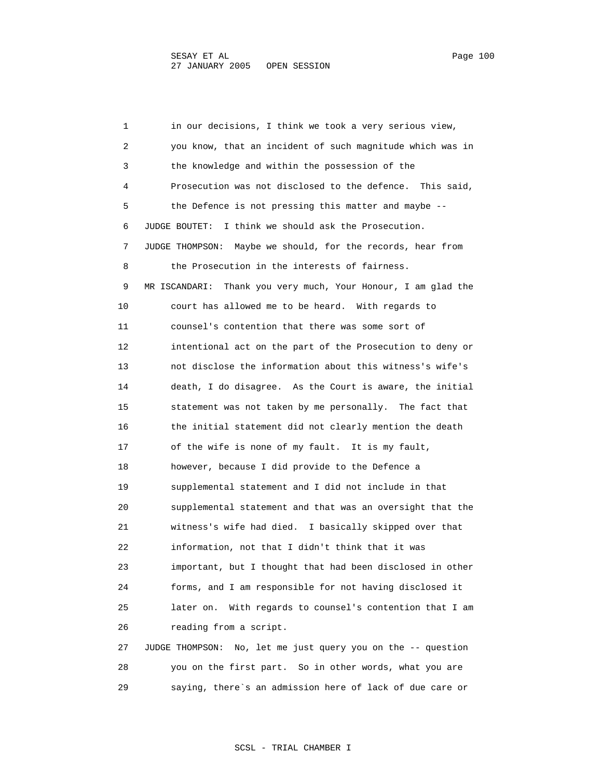1 in our decisions, I think we took a very serious view, 2 you know, that an incident of such magnitude which was in 3 the knowledge and within the possession of the 4 Prosecution was not disclosed to the defence. This said, 5 the Defence is not pressing this matter and maybe -- 6 JUDGE BOUTET: I think we should ask the Prosecution. 7 JUDGE THOMPSON: Maybe we should, for the records, hear from 8 the Prosecution in the interests of fairness. 9 MR ISCANDARI: Thank you very much, Your Honour, I am glad the 10 court has allowed me to be heard. With regards to 11 counsel's contention that there was some sort of 12 intentional act on the part of the Prosecution to deny or 13 not disclose the information about this witness's wife's 14 death, I do disagree. As the Court is aware, the initial 15 statement was not taken by me personally. The fact that 16 the initial statement did not clearly mention the death 17 of the wife is none of my fault. It is my fault, 18 however, because I did provide to the Defence a 19 supplemental statement and I did not include in that 20 supplemental statement and that was an oversight that the 21 witness's wife had died. I basically skipped over that 22 information, not that I didn't think that it was 23 important, but I thought that had been disclosed in other 24 forms, and I am responsible for not having disclosed it 25 later on. With regards to counsel's contention that I am 26 reading from a script. 27 JUDGE THOMPSON: No, let me just query you on the -- question

 28 you on the first part. So in other words, what you are 29 saying, there`s an admission here of lack of due care or

## SCSL - TRIAL CHAMBER I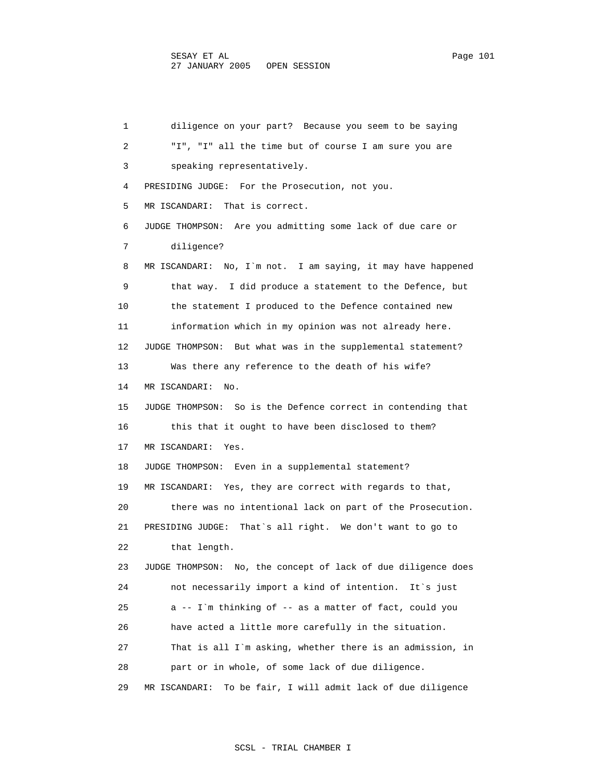1 diligence on your part? Because you seem to be saying 2 "I", "I" all the time but of course I am sure you are 3 speaking representatively. 4 PRESIDING JUDGE: For the Prosecution, not you. 5 MR ISCANDARI: That is correct. 6 JUDGE THOMPSON: Are you admitting some lack of due care or 7 diligence? 8 MR ISCANDARI: No, I`m not. I am saying, it may have happened 9 that way. I did produce a statement to the Defence, but 10 the statement I produced to the Defence contained new 11 information which in my opinion was not already here. 12 JUDGE THOMPSON: But what was in the supplemental statement? 13 Was there any reference to the death of his wife? 14 MR ISCANDARI: No. 15 JUDGE THOMPSON: So is the Defence correct in contending that 16 this that it ought to have been disclosed to them? 17 MR ISCANDARI: Yes. 18 JUDGE THOMPSON: Even in a supplemental statement? 19 MR ISCANDARI: Yes, they are correct with regards to that, 20 there was no intentional lack on part of the Prosecution. 21 PRESIDING JUDGE: That`s all right. We don't want to go to 22 that length. 23 JUDGE THOMPSON: No, the concept of lack of due diligence does 24 not necessarily import a kind of intention. It`s just 25 a -- I`m thinking of -- as a matter of fact, could you 26 have acted a little more carefully in the situation. 27 That is all I`m asking, whether there is an admission, in 28 part or in whole, of some lack of due diligence. 29 MR ISCANDARI: To be fair, I will admit lack of due diligence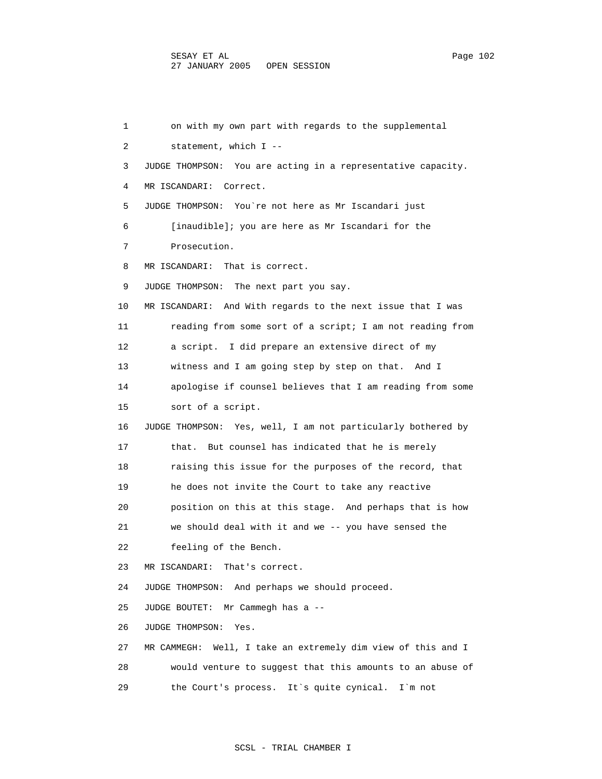1 on with my own part with regards to the supplemental 2 statement, which I -- 3 JUDGE THOMPSON: You are acting in a representative capacity. 4 MR ISCANDARI: Correct. 5 JUDGE THOMPSON: You`re not here as Mr Iscandari just 6 [inaudible]; you are here as Mr Iscandari for the 7 Prosecution. 8 MR ISCANDARI: That is correct. 9 JUDGE THOMPSON: The next part you say. 10 MR ISCANDARI: And With regards to the next issue that I was 11 reading from some sort of a script; I am not reading from 12 a script. I did prepare an extensive direct of my 13 witness and I am going step by step on that. And I 14 apologise if counsel believes that I am reading from some 15 sort of a script. 16 JUDGE THOMPSON: Yes, well, I am not particularly bothered by 17 that. But counsel has indicated that he is merely 18 raising this issue for the purposes of the record, that 19 he does not invite the Court to take any reactive 20 position on this at this stage. And perhaps that is how 21 we should deal with it and we -- you have sensed the 22 feeling of the Bench. 23 MR ISCANDARI: That's correct. 24 JUDGE THOMPSON: And perhaps we should proceed. 25 JUDGE BOUTET: Mr Cammegh has a -- 26 JUDGE THOMPSON: Yes. 27 MR CAMMEGH: Well, I take an extremely dim view of this and I 28 would venture to suggest that this amounts to an abuse of 29 the Court's process. It`s quite cynical. I`m not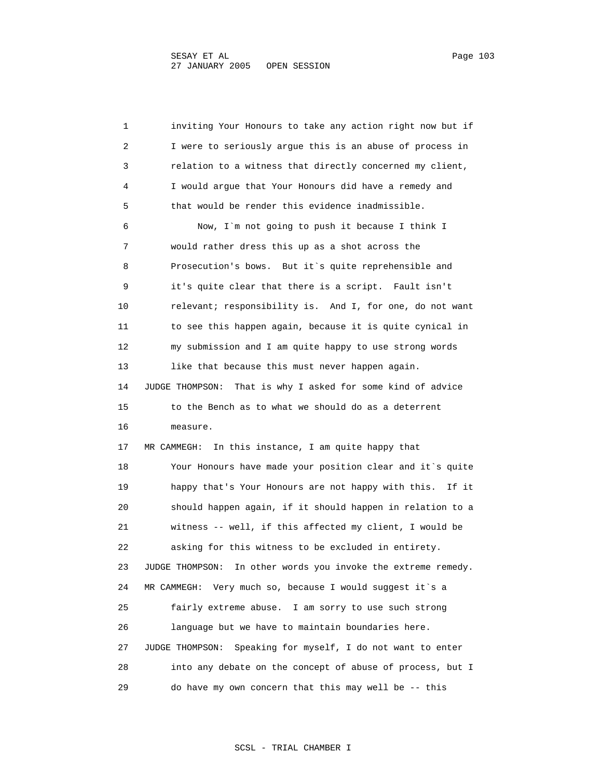1 inviting Your Honours to take any action right now but if 2 I were to seriously argue this is an abuse of process in 3 relation to a witness that directly concerned my client, 4 I would argue that Your Honours did have a remedy and 5 that would be render this evidence inadmissible. 6 Now, I`m not going to push it because I think I 7 would rather dress this up as a shot across the 8 Prosecution's bows. But it`s quite reprehensible and 9 it's quite clear that there is a script. Fault isn't 10 relevant; responsibility is. And I, for one, do not want 11 to see this happen again, because it is quite cynical in 12 my submission and I am quite happy to use strong words 13 like that because this must never happen again. 14 JUDGE THOMPSON: That is why I asked for some kind of advice 15 to the Bench as to what we should do as a deterrent 16 measure. 17 MR CAMMEGH: In this instance, I am quite happy that 18 Your Honours have made your position clear and it`s quite 19 happy that's Your Honours are not happy with this. If it 20 should happen again, if it should happen in relation to a 21 witness -- well, if this affected my client, I would be 22 asking for this witness to be excluded in entirety. 23 JUDGE THOMPSON: In other words you invoke the extreme remedy. 24 MR CAMMEGH: Very much so, because I would suggest it`s a 25 fairly extreme abuse. I am sorry to use such strong 26 language but we have to maintain boundaries here. 27 JUDGE THOMPSON: Speaking for myself, I do not want to enter 28 into any debate on the concept of abuse of process, but I 29 do have my own concern that this may well be -- this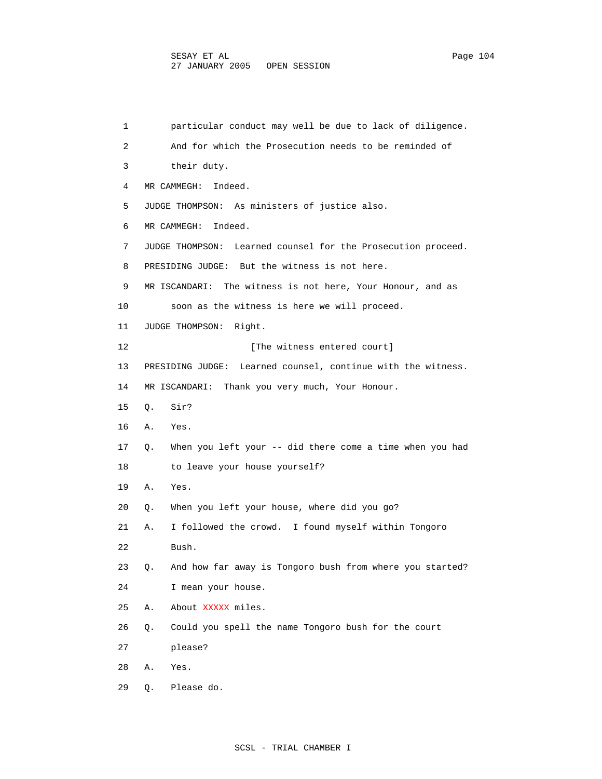1 particular conduct may well be due to lack of diligence. 2 And for which the Prosecution needs to be reminded of 3 their duty. 4 MR CAMMEGH: Indeed. 5 JUDGE THOMPSON: As ministers of justice also. 6 MR CAMMEGH: Indeed. 7 JUDGE THOMPSON: Learned counsel for the Prosecution proceed. 8 PRESIDING JUDGE: But the witness is not here. 9 MR ISCANDARI: The witness is not here, Your Honour, and as 10 soon as the witness is here we will proceed. 11 JUDGE THOMPSON: Right. 12 **I** [The witness entered court] 13 PRESIDING JUDGE: Learned counsel, continue with the witness. 14 MR ISCANDARI: Thank you very much, Your Honour. 15 Q. Sir? 16 A. Yes. 17 Q. When you left your -- did there come a time when you had 18 to leave your house yourself? 19 A. Yes. 20 Q. When you left your house, where did you go? 21 A. I followed the crowd. I found myself within Tongoro 22 Bush. 23 Q. And how far away is Tongoro bush from where you started? 24 I mean your house. 25 A. About XXXXX miles. 26 Q. Could you spell the name Tongoro bush for the court 27 please? 28 A. Yes. 29 Q. Please do.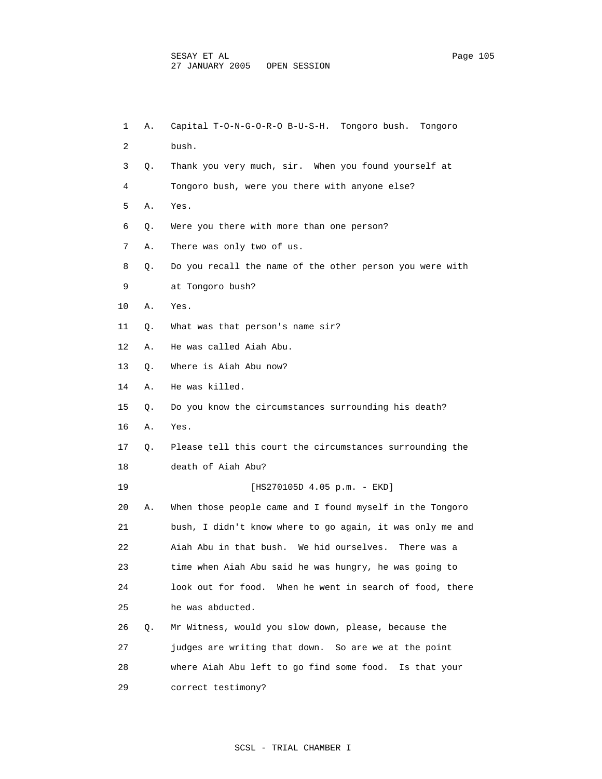1 A. Capital T-O-N-G-O-R-O B-U-S-H. Tongoro bush. Tongoro 2 bush. 3 Q. Thank you very much, sir. When you found yourself at 4 Tongoro bush, were you there with anyone else? 5 A. Yes. 6 Q. Were you there with more than one person? 7 A. There was only two of us. 8 Q. Do you recall the name of the other person you were with 9 at Tongoro bush? 10 A. Yes. 11 Q. What was that person's name sir? 12 A. He was called Aiah Abu. 13 Q. Where is Aiah Abu now? 14 A. He was killed. 15 Q. Do you know the circumstances surrounding his death? 16 A. Yes. 17 Q. Please tell this court the circumstances surrounding the 18 death of Aiah Abu? 19 [HS270105D 4.05 p.m. - EKD] 20 A. When those people came and I found myself in the Tongoro 21 bush, I didn't know where to go again, it was only me and 22 Aiah Abu in that bush. We hid ourselves. There was a 23 time when Aiah Abu said he was hungry, he was going to 24 look out for food. When he went in search of food, there 25 he was abducted. 26 Q. Mr Witness, would you slow down, please, because the 27 judges are writing that down. So are we at the point 28 where Aiah Abu left to go find some food. Is that your 29 correct testimony?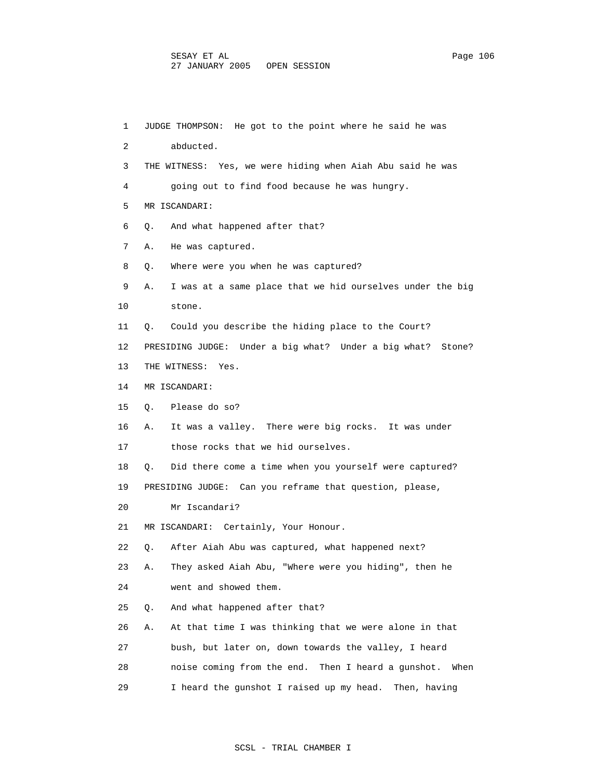1 JUDGE THOMPSON: He got to the point where he said he was 2 abducted. 3 THE WITNESS: Yes, we were hiding when Aiah Abu said he was 4 going out to find food because he was hungry. 5 MR ISCANDARI: 6 Q. And what happened after that? 7 A. He was captured. 8 Q. Where were you when he was captured? 9 A. I was at a same place that we hid ourselves under the big 10 stone. 11 Q. Could you describe the hiding place to the Court? 12 PRESIDING JUDGE: Under a big what? Under a big what? Stone? 13 THE WITNESS: Yes. 14 MR ISCANDARI: 15 Q. Please do so? 16 A. It was a valley. There were big rocks. It was under 17 those rocks that we hid ourselves. 18 Q. Did there come a time when you yourself were captured? 19 PRESIDING JUDGE: Can you reframe that question, please, 20 Mr Iscandari? 21 MR ISCANDARI: Certainly, Your Honour. 22 Q. After Aiah Abu was captured, what happened next? 23 A. They asked Aiah Abu, "Where were you hiding", then he 24 went and showed them. 25 Q. And what happened after that? 26 A. At that time I was thinking that we were alone in that 27 bush, but later on, down towards the valley, I heard 28 noise coming from the end. Then I heard a gunshot. When 29 I heard the gunshot I raised up my head. Then, having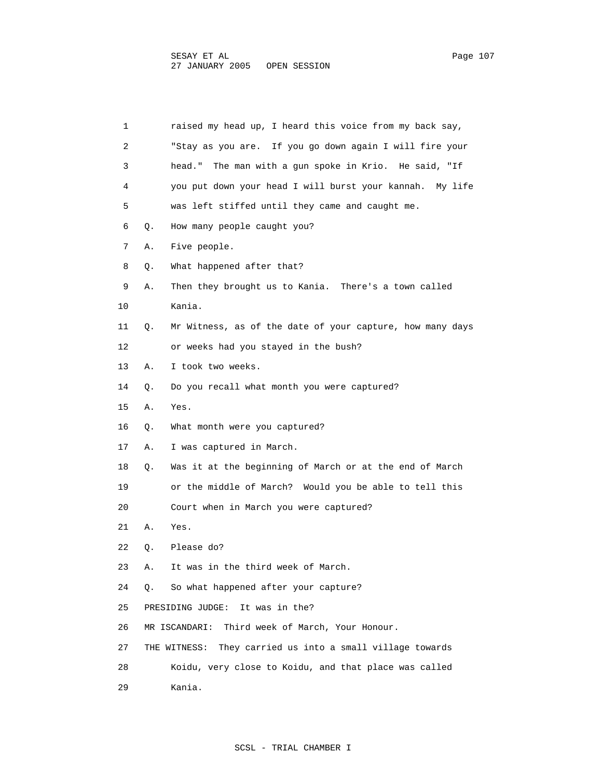| 1  |    | raised my head up, I heard this voice from my back say,   |
|----|----|-----------------------------------------------------------|
| 2  |    | "Stay as you are. If you go down again I will fire your   |
| 3  |    | head." The man with a gun spoke in Krio. He said, "If     |
| 4  |    | you put down your head I will burst your kannah. My life  |
| 5  |    | was left stiffed until they came and caught me.           |
| 6  | Q. | How many people caught you?                               |
| 7  | Α. | Five people.                                              |
| 8  | Q. | What happened after that?                                 |
| 9  | Α. | Then they brought us to Kania. There's a town called      |
| 10 |    | Kania.                                                    |
| 11 | Q. | Mr Witness, as of the date of your capture, how many days |
| 12 |    | or weeks had you stayed in the bush?                      |
| 13 | Α. | I took two weeks.                                         |
| 14 | О. | Do you recall what month you were captured?               |
| 15 | Α. | Yes.                                                      |
| 16 | Q. | What month were you captured?                             |
| 17 | Α. | I was captured in March.                                  |
| 18 | Q. | Was it at the beginning of March or at the end of March   |
| 19 |    | or the middle of March? Would you be able to tell this    |
| 20 |    | Court when in March you were captured?                    |
| 21 | Α. | Yes.                                                      |
| 22 | Q. | Please do?                                                |
| 23 | Α. | It was in the third week of March.                        |
| 24 | Q. | So what happened after your capture?                      |
| 25 |    | PRESIDING JUDGE:<br>It was in the?                        |

- 26 MR ISCANDARI: Third week of March, Your Honour.
- 27 THE WITNESS: They carried us into a small village towards

28 Koidu, very close to Koidu, and that place was called

29 Kania.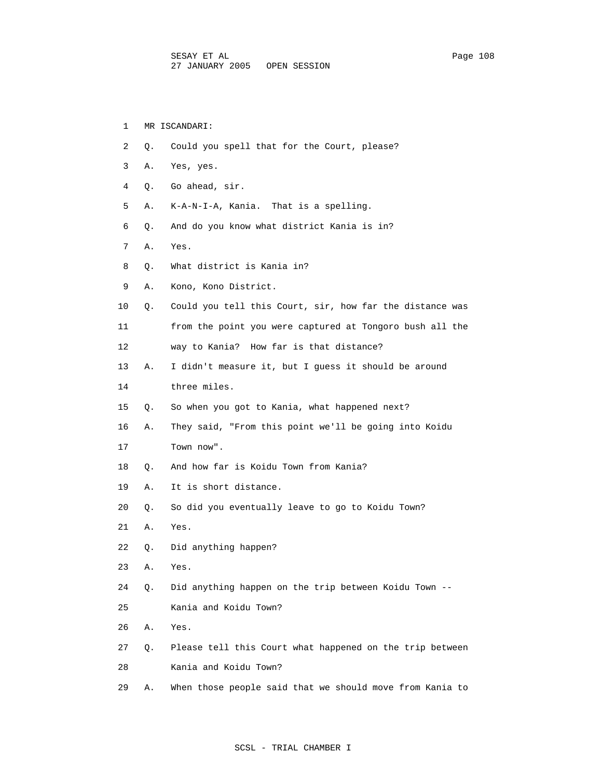| 1  |    | MR ISCANDARI:                                            |
|----|----|----------------------------------------------------------|
| 2  | О. | Could you spell that for the Court, please?              |
| 3  | Α. | Yes, yes.                                                |
| 4  | Q. | Go ahead, sir.                                           |
| 5  | Α. | K-A-N-I-A, Kania. That is a spelling.                    |
| 6  | Q. | And do you know what district Kania is in?               |
| 7  | Α. | Yes.                                                     |
| 8  | Q. | What district is Kania in?                               |
| 9  | Α. | Kono, Kono District.                                     |
| 10 | Q. | Could you tell this Court, sir, how far the distance was |
| 11 |    | from the point you were captured at Tongoro bush all the |
| 12 |    | way to Kania? How far is that distance?                  |
| 13 | Α. | I didn't measure it, but I quess it should be around     |
| 14 |    | three miles.                                             |
| 15 | Q. | So when you got to Kania, what happened next?            |
| 16 | Α. | They said, "From this point we'll be going into Koidu    |
| 17 |    | Town now".                                               |
| 18 | Q. | And how far is Koidu Town from Kania?                    |
| 19 | Α. | It is short distance.                                    |
| 20 | Q. | So did you eventually leave to go to Koidu Town?         |
| 21 | Α. | Yes.                                                     |
| 22 | Q. | Did anything happen?                                     |
| 23 | Α. | Yes.                                                     |
| 24 | Q. | Did anything happen on the trip between Koidu Town --    |
| 25 |    | Kania and Koidu Town?                                    |
| 26 | Α. | Yes.                                                     |
| 27 | Q. | Please tell this Court what happened on the trip between |
| 28 |    | Kania and Koidu Town?                                    |
| 29 | Α. | When those people said that we should move from Kania to |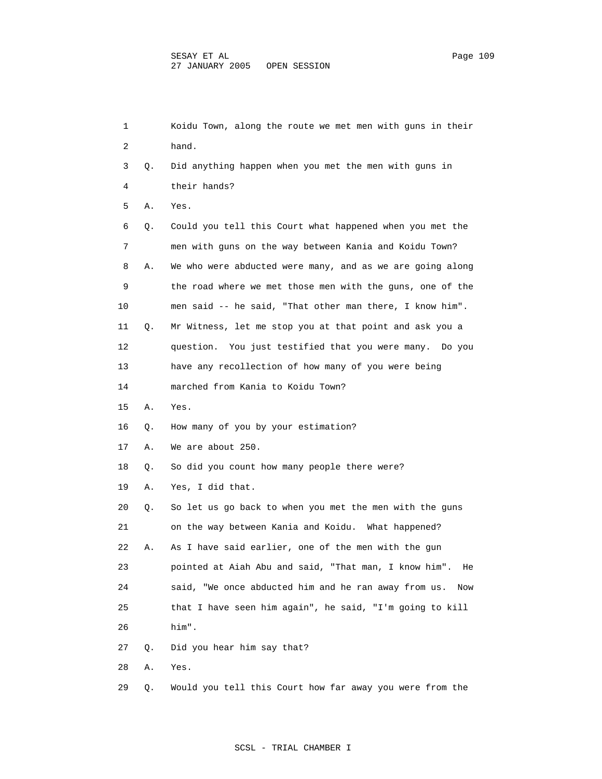1 Koidu Town, along the route we met men with guns in their 2 hand. 3 Q. Did anything happen when you met the men with guns in 4 their hands? 5 A. Yes. 6 Q. Could you tell this Court what happened when you met the 7 men with guns on the way between Kania and Koidu Town? 8 A. We who were abducted were many, and as we are going along 9 the road where we met those men with the guns, one of the 10 men said -- he said, "That other man there, I know him". 11 Q. Mr Witness, let me stop you at that point and ask you a 12 question. You just testified that you were many. Do you 13 have any recollection of how many of you were being 14 marched from Kania to Koidu Town? 15 A. Yes. 16 Q. How many of you by your estimation? 17 A. We are about 250. 18 Q. So did you count how many people there were? 19 A. Yes, I did that. 20 Q. So let us go back to when you met the men with the guns 21 on the way between Kania and Koidu. What happened? 22 A. As I have said earlier, one of the men with the gun 23 pointed at Aiah Abu and said, "That man, I know him". He 24 said, "We once abducted him and he ran away from us. Now 25 that I have seen him again", he said, "I'm going to kill 26 him". 27 Q. Did you hear him say that? 28 A. Yes. 29 Q. Would you tell this Court how far away you were from the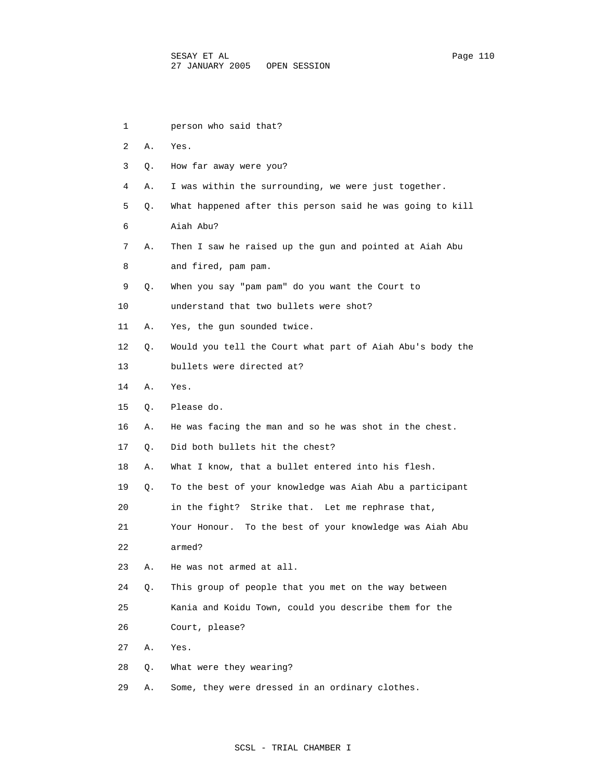| 1  |    | person who said that?                                      |
|----|----|------------------------------------------------------------|
| 2  | Α. | Yes.                                                       |
| 3  | Q. | How far away were you?                                     |
| 4  | Α. | I was within the surrounding, we were just together.       |
| 5  | Q. | What happened after this person said he was going to kill  |
| 6  |    | Aiah Abu?                                                  |
| 7  | Α. | Then I saw he raised up the gun and pointed at Aiah Abu    |
| 8  |    | and fired, pam pam.                                        |
| 9  | Q. | When you say "pam pam" do you want the Court to            |
| 10 |    | understand that two bullets were shot?                     |
| 11 | Α. | Yes, the gun sounded twice.                                |
| 12 | Q. | Would you tell the Court what part of Aiah Abu's body the  |
| 13 |    | bullets were directed at?                                  |
| 14 | Α. | Yes.                                                       |
| 15 | Q. | Please do.                                                 |
| 16 | Α. | He was facing the man and so he was shot in the chest.     |
| 17 | Q. | Did both bullets hit the chest?                            |
| 18 | Α. | What I know, that a bullet entered into his flesh.         |
| 19 | Q. | To the best of your knowledge was Aiah Abu a participant   |
| 20 |    | in the fight? Strike that. Let me rephrase that,           |
| 21 |    | To the best of your knowledge was Aiah Abu<br>Your Honour. |
| 22 |    | armed?                                                     |
| 23 | Α. | He was not armed at all.                                   |
| 24 | Q. | This group of people that you met on the way between       |
| 25 |    | Kania and Koidu Town, could you describe them for the      |
| 26 |    | Court, please?                                             |
| 27 | Α. | Yes.                                                       |
| 28 | Q. | What were they wearing?                                    |
| 29 | Α. | Some, they were dressed in an ordinary clothes.            |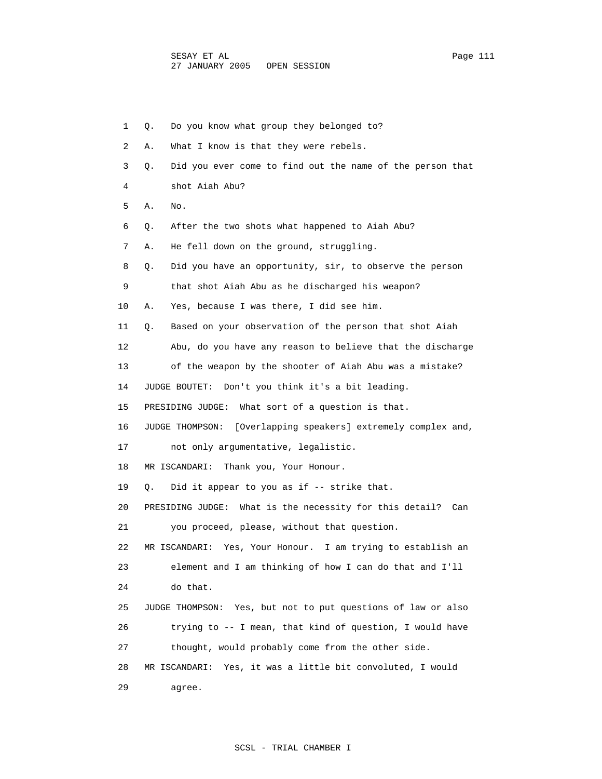1 Q. Do you know what group they belonged to? 2 A. What I know is that they were rebels. 3 Q. Did you ever come to find out the name of the person that 4 shot Aiah Abu? 5 A. No. 6 Q. After the two shots what happened to Aiah Abu? 7 A. He fell down on the ground, struggling. 8 Q. Did you have an opportunity, sir, to observe the person 9 that shot Aiah Abu as he discharged his weapon? 10 A. Yes, because I was there, I did see him. 11 Q. Based on your observation of the person that shot Aiah 12 Abu, do you have any reason to believe that the discharge 13 of the weapon by the shooter of Aiah Abu was a mistake? 14 JUDGE BOUTET: Don't you think it's a bit leading. 15 PRESIDING JUDGE: What sort of a question is that. 16 JUDGE THOMPSON: [Overlapping speakers] extremely complex and, 17 not only argumentative, legalistic. 18 MR ISCANDARI: Thank you, Your Honour. 19 Q. Did it appear to you as if -- strike that. 20 PRESIDING JUDGE: What is the necessity for this detail? Can 21 you proceed, please, without that question. 22 MR ISCANDARI: Yes, Your Honour. I am trying to establish an 23 element and I am thinking of how I can do that and I'll 24 do that. 25 JUDGE THOMPSON: Yes, but not to put questions of law or also 26 trying to -- I mean, that kind of question, I would have 27 thought, would probably come from the other side. 28 MR ISCANDARI: Yes, it was a little bit convoluted, I would 29 agree.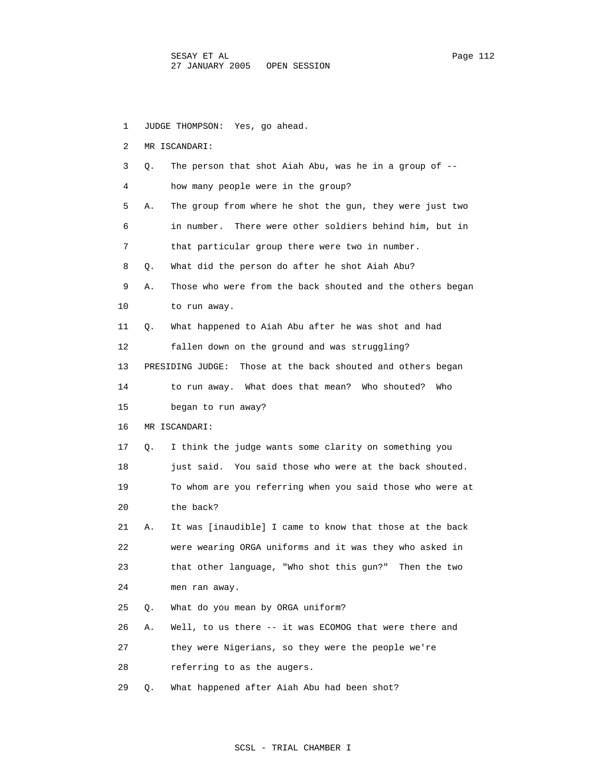1 JUDGE THOMPSON: Yes, go ahead. 2 MR ISCANDARI: 3 Q. The person that shot Aiah Abu, was he in a group of -- 4 how many people were in the group? 5 A. The group from where he shot the gun, they were just two 6 in number. There were other soldiers behind him, but in 7 that particular group there were two in number. 8 Q. What did the person do after he shot Aiah Abu? 9 A. Those who were from the back shouted and the others began 10 to run away. 11 Q. What happened to Aiah Abu after he was shot and had 12 fallen down on the ground and was struggling? 13 PRESIDING JUDGE: Those at the back shouted and others began 14 to run away. What does that mean? Who shouted? Who 15 began to run away? 16 MR ISCANDARI: 17 Q. I think the judge wants some clarity on something you 18 just said. You said those who were at the back shouted. 19 To whom are you referring when you said those who were at 20 the back? 21 A. It was [inaudible] I came to know that those at the back 22 were wearing ORGA uniforms and it was they who asked in 23 that other language, "Who shot this gun?" Then the two 24 men ran away. 25 Q. What do you mean by ORGA uniform? 26 A. Well, to us there -- it was ECOMOG that were there and 27 they were Nigerians, so they were the people we're 28 referring to as the augers. 29 Q. What happened after Aiah Abu had been shot?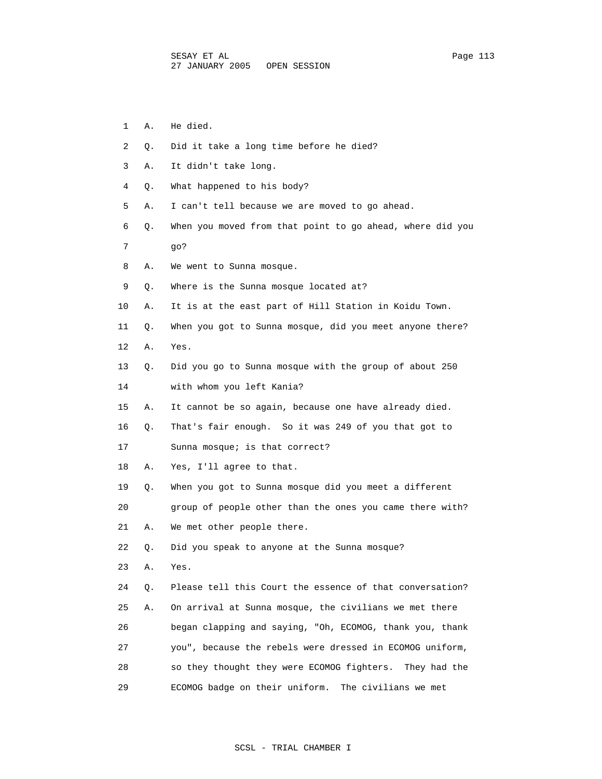- 2 Q. Did it take a long time before he died? 3 A. It didn't take long. 4 Q. What happened to his body? 5 A. I can't tell because we are moved to go ahead. 7 go? 8 A. We went to Sunna mosque. 9 Q. Where is the Sunna mosque located at? 10 A. It is at the east part of Hill Station in Koidu Town. 14 with whom you left Kania? 15 A. It cannot be so again, because one have already died. 16 Q. That's fair enough. So it was 249 of you that got to
- 
- 19 Q. When you got to Sunna mosque did you meet a different

20 group of people other than the ones you came there with?

21 A. We met other people there.

22 Q. Did you speak to anyone at the Sunna mosque?

23 A. Yes.

 24 Q. Please tell this Court the essence of that conversation? 25 A. On arrival at Sunna mosque, the civilians we met there 26 began clapping and saying, "Oh, ECOMOG, thank you, thank 27 you", because the rebels were dressed in ECOMOG uniform, 28 so they thought they were ECOMOG fighters. They had the 29 ECOMOG badge on their uniform. The civilians we met

- 1 A. He died.
	-
- 
- 
- 
- 6 Q. When you moved from that point to go ahead, where did you
- 
- 
- 
- 
- 11 Q. When you got to Sunna mosque, did you meet anyone there?
- 12 A. Yes.
- 13 Q. Did you go to Sunna mosque with the group of about 250
- 
- 
- 
- 17 Sunna mosque; is that correct?
- 18 A. Yes, I'll agree to that.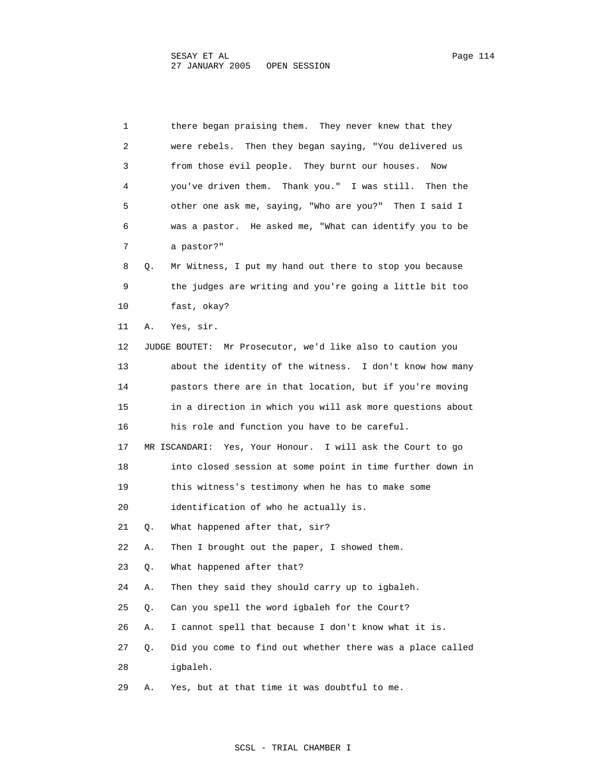1 there began praising them. They never knew that they 2 were rebels. Then they began saying, "You delivered us 3 from those evil people. They burnt our houses. Now 4 you've driven them. Thank you." I was still. Then the 5 other one ask me, saying, "Who are you?" Then I said I 6 was a pastor. He asked me, "What can identify you to be 7 a pastor?" 8 Q. Mr Witness, I put my hand out there to stop you because 9 the judges are writing and you're going a little bit too 10 fast, okay? 11 A. Yes, sir. 12 JUDGE BOUTET: Mr Prosecutor, we'd like also to caution you 13 about the identity of the witness. I don't know how many 14 pastors there are in that location, but if you're moving 15 in a direction in which you will ask more questions about 16 his role and function you have to be careful. 17 MR ISCANDARI: Yes, Your Honour. I will ask the Court to go 18 into closed session at some point in time further down in 19 this witness's testimony when he has to make some 20 identification of who he actually is. 21 Q. What happened after that, sir? 22 A. Then I brought out the paper, I showed them. 23 Q. What happened after that? 24 A. Then they said they should carry up to igbaleh. 25 Q. Can you spell the word igbaleh for the Court? 26 A. I cannot spell that because I don't know what it is. 27 Q. Did you come to find out whether there was a place called 28 igbaleh.

29 A. Yes, but at that time it was doubtful to me.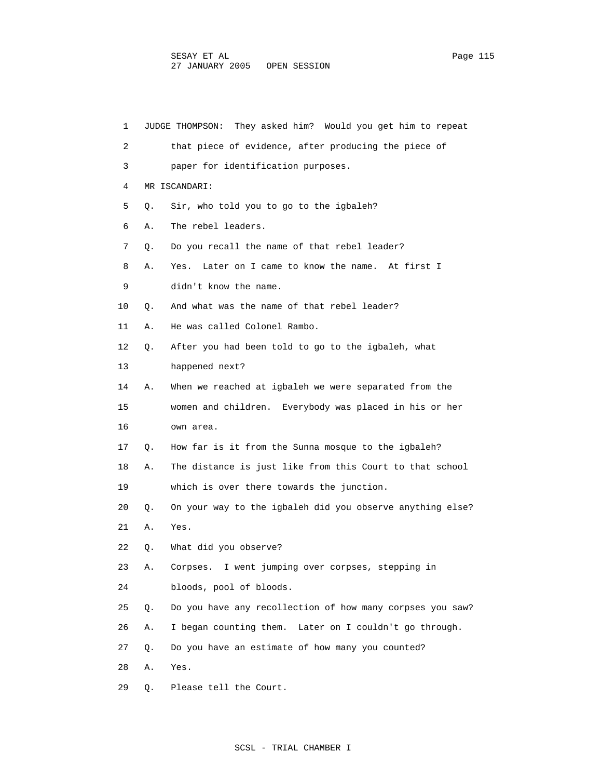| 1  |    | JUDGE THOMPSON: They asked him? Would you get him to repeat |
|----|----|-------------------------------------------------------------|
| 2  |    | that piece of evidence, after producing the piece of        |
| 3  |    | paper for identification purposes.                          |
| 4  |    | MR ISCANDARI:                                               |
| 5  | О. | Sir, who told you to go to the igbaleh?                     |
| 6  | Α. | The rebel leaders.                                          |
| 7  | Q. | Do you recall the name of that rebel leader?                |
| 8  | Α. | Yes.<br>Later on I came to know the name. At first I        |
| 9  |    | didn't know the name.                                       |
| 10 | Q. | And what was the name of that rebel leader?                 |
| 11 | Α. | He was called Colonel Rambo.                                |
| 12 | Q. | After you had been told to go to the igbaleh, what          |
| 13 |    | happened next?                                              |
| 14 | Α. | When we reached at igbaleh we were separated from the       |
| 15 |    | women and children. Everybody was placed in his or her      |
| 16 |    | own area.                                                   |
| 17 | Q. | How far is it from the Sunna mosque to the igbaleh?         |
| 18 | Α. | The distance is just like from this Court to that school    |
| 19 |    | which is over there towards the junction.                   |
| 20 | Q. | On your way to the igbaleh did you observe anything else?   |
| 21 | Α. | Yes.                                                        |
| 22 | Q. | What did you observe?                                       |
| 23 | Α. | I went jumping over corpses, stepping in<br>Corpses.        |
| 24 |    | bloods, pool of bloods.                                     |
| 25 | Q. | Do you have any recollection of how many corpses you saw?   |
| 26 | Α. | I began counting them. Later on I couldn't go through.      |
| 27 | Q. | Do you have an estimate of how many you counted?            |
| 28 | Α. | Yes.                                                        |
| 29 | Q. | Please tell the Court.                                      |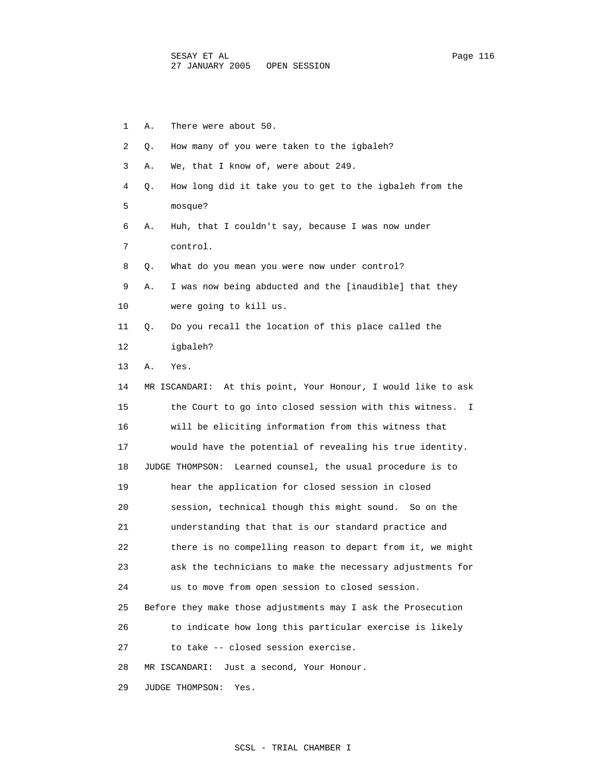| 1  | There were about 50.<br>Α.                                    |
|----|---------------------------------------------------------------|
| 2  | How many of you were taken to the igbaleh?<br>Q.              |
| 3  | We, that I know of, were about 249.<br>Α.                     |
| 4  | How long did it take you to get to the igbaleh from the<br>Q. |
| 5  | mosque?                                                       |
| 6  | Huh, that I couldn't say, because I was now under<br>Α.       |
| 7  | control.                                                      |
| 8  | What do you mean you were now under control?<br>О.            |
| 9  | I was now being abducted and the [inaudible] that they<br>Α.  |
| 10 | were going to kill us.                                        |
| 11 | Do you recall the location of this place called the<br>Q.     |
| 12 | igbaleh?                                                      |
| 13 | Yes.<br>Α.                                                    |
| 14 | MR ISCANDARI: At this point, Your Honour, I would like to ask |
| 15 | the Court to go into closed session with this witness.<br>I.  |
| 16 | will be eliciting information from this witness that          |
| 17 | would have the potential of revealing his true identity.      |
| 18 | Learned counsel, the usual procedure is to<br>JUDGE THOMPSON: |
| 19 | hear the application for closed session in closed             |
| 20 | session, technical though this might sound. So on the         |
| 21 | understanding that that is our standard practice and          |
| 22 | there is no compelling reason to depart from it, we might     |
| 23 | ask the technicians to make the necessary adjustments for     |
| 24 | us to move from open session to closed session.               |
| 25 | Before they make those adjustments may I ask the Prosecution  |
| 26 | to indicate how long this particular exercise is likely       |
| 27 | to take -- closed session exercise.                           |
| 28 | MR ISCANDARI:<br>Just a second, Your Honour.                  |
| 29 | JUDGE THOMPSON:<br>Yes.                                       |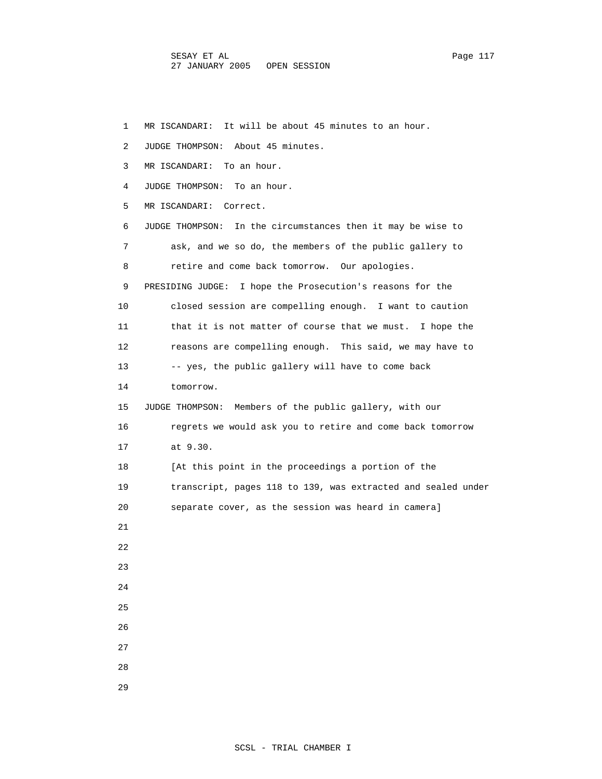1 MR ISCANDARI: It will be about 45 minutes to an hour. 2 JUDGE THOMPSON: About 45 minutes. 3 MR ISCANDARI: To an hour. 4 JUDGE THOMPSON: To an hour. 5 MR ISCANDARI: Correct. 6 JUDGE THOMPSON: In the circumstances then it may be wise to 7 ask, and we so do, the members of the public gallery to 8 retire and come back tomorrow. Our apologies. 9 PRESIDING JUDGE: I hope the Prosecution's reasons for the 10 closed session are compelling enough. I want to caution 11 that it is not matter of course that we must. I hope the 12 reasons are compelling enough. This said, we may have to 13 -- yes, the public gallery will have to come back 14 tomorrow. 15 JUDGE THOMPSON: Members of the public gallery, with our 16 regrets we would ask you to retire and come back tomorrow 17 at 9.30. 18 [At this point in the proceedings a portion of the 19 transcript, pages 118 to 139, was extracted and sealed under 20 separate cover, as the session was heard in camera] 21 22 23 24 25 26 27 28 29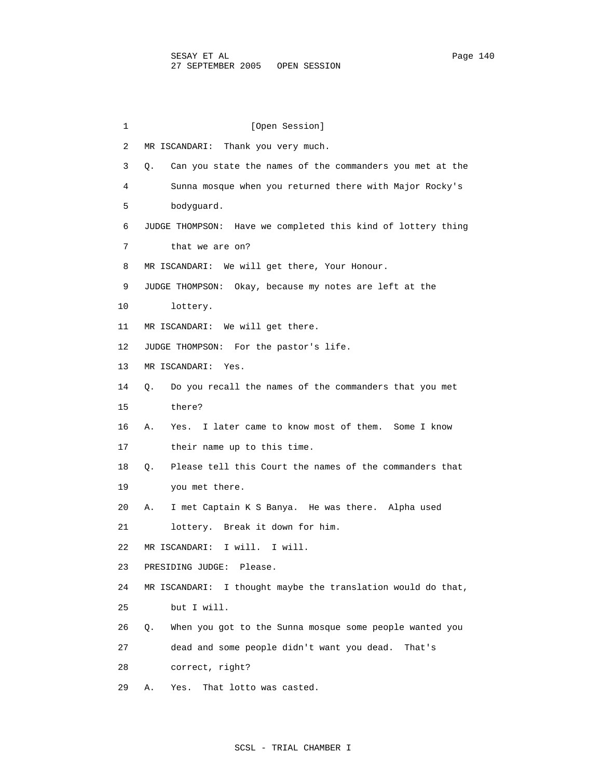1 [Open Session] 2 MR ISCANDARI: Thank you very much. 3 Q. Can you state the names of the commanders you met at the 4 Sunna mosque when you returned there with Major Rocky's 5 bodyguard. 6 JUDGE THOMPSON: Have we completed this kind of lottery thing 7 that we are on? 8 MR ISCANDARI: We will get there, Your Honour. 9 JUDGE THOMPSON: Okay, because my notes are left at the 10 lottery. 11 MR ISCANDARI: We will get there. 12 JUDGE THOMPSON: For the pastor's life. 13 MR ISCANDARI: Yes. 14 Q. Do you recall the names of the commanders that you met 15 there? 16 A. Yes. I later came to know most of them. Some I know 17 their name up to this time. 18 Q. Please tell this Court the names of the commanders that 19 you met there. 20 A. I met Captain K S Banya. He was there. Alpha used 21 lottery. Break it down for him. 22 MR ISCANDARI: I will. I will. 23 PRESIDING JUDGE: Please. 24 MR ISCANDARI: I thought maybe the translation would do that, 25 but I will. 26 Q. When you got to the Sunna mosque some people wanted you 27 dead and some people didn't want you dead. That's 28 correct, right? 29 A. Yes. That lotto was casted.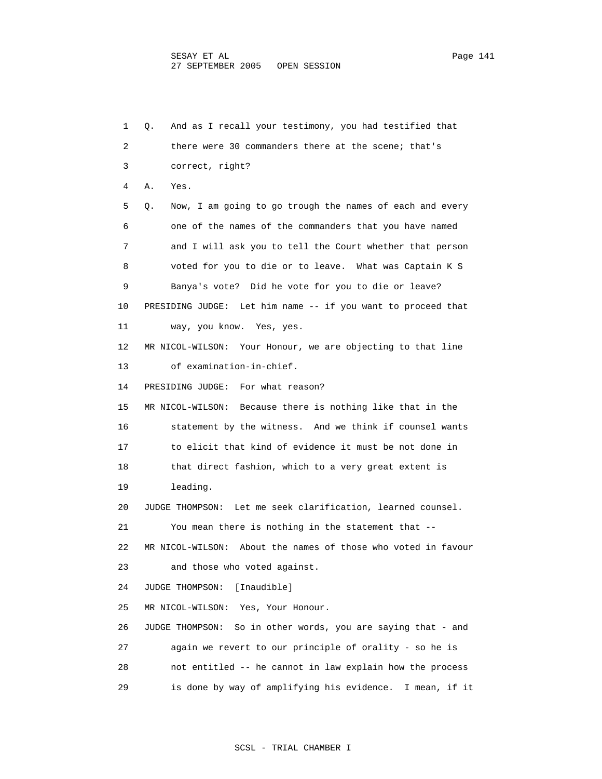1 Q. And as I recall your testimony, you had testified that 2 there were 30 commanders there at the scene; that's 3 correct, right? 4 A. Yes. 5 Q. Now, I am going to go trough the names of each and every 6 one of the names of the commanders that you have named 7 and I will ask you to tell the Court whether that person 8 voted for you to die or to leave. What was Captain K S 9 Banya's vote? Did he vote for you to die or leave? 10 PRESIDING JUDGE: Let him name -- if you want to proceed that 11 way, you know. Yes, yes. 12 MR NICOL-WILSON: Your Honour, we are objecting to that line 13 of examination-in-chief. 14 PRESIDING JUDGE: For what reason? 15 MR NICOL-WILSON: Because there is nothing like that in the 16 statement by the witness. And we think if counsel wants 17 to elicit that kind of evidence it must be not done in 18 that direct fashion, which to a very great extent is 19 leading. 20 JUDGE THOMPSON: Let me seek clarification, learned counsel. 21 You mean there is nothing in the statement that -- 22 MR NICOL-WILSON: About the names of those who voted in favour 23 and those who voted against. 24 JUDGE THOMPSON: [Inaudible] 25 MR NICOL-WILSON: Yes, Your Honour. 26 JUDGE THOMPSON: So in other words, you are saying that - and 27 again we revert to our principle of orality - so he is 28 not entitled -- he cannot in law explain how the process 29 is done by way of amplifying his evidence. I mean, if it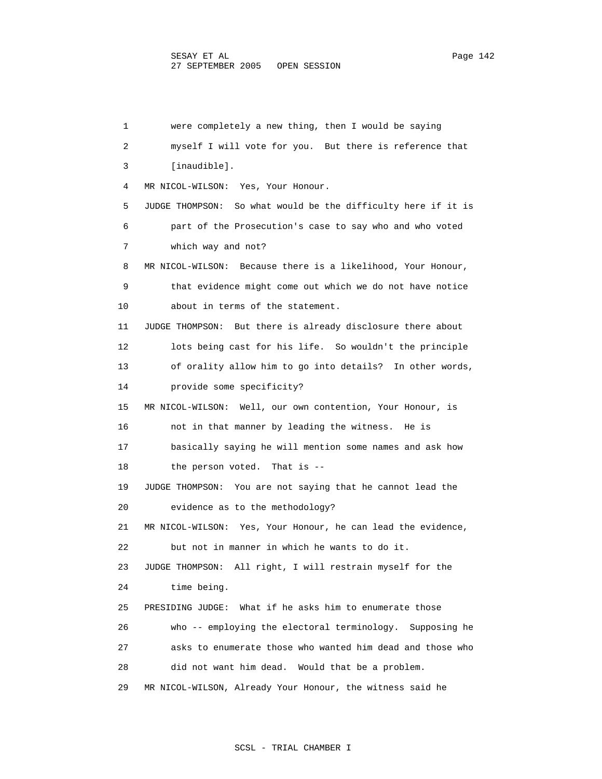1 were completely a new thing, then I would be saying 2 myself I will vote for you. But there is reference that 3 [inaudible]. 4 MR NICOL-WILSON: Yes, Your Honour. 5 JUDGE THOMPSON: So what would be the difficulty here if it is 6 part of the Prosecution's case to say who and who voted 7 which way and not? 8 MR NICOL-WILSON: Because there is a likelihood, Your Honour, 9 that evidence might come out which we do not have notice 10 about in terms of the statement. 11 JUDGE THOMPSON: But there is already disclosure there about 12 lots being cast for his life. So wouldn't the principle 13 of orality allow him to go into details? In other words, 14 provide some specificity? 15 MR NICOL-WILSON: Well, our own contention, Your Honour, is 16 not in that manner by leading the witness. He is 17 basically saying he will mention some names and ask how 18 the person voted. That is -- 19 JUDGE THOMPSON: You are not saying that he cannot lead the 20 evidence as to the methodology? 21 MR NICOL-WILSON: Yes, Your Honour, he can lead the evidence, 22 but not in manner in which he wants to do it. 23 JUDGE THOMPSON: All right, I will restrain myself for the 24 time being. 25 PRESIDING JUDGE: What if he asks him to enumerate those 26 who -- employing the electoral terminology. Supposing he 27 asks to enumerate those who wanted him dead and those who 28 did not want him dead. Would that be a problem. 29 MR NICOL-WILSON, Already Your Honour, the witness said he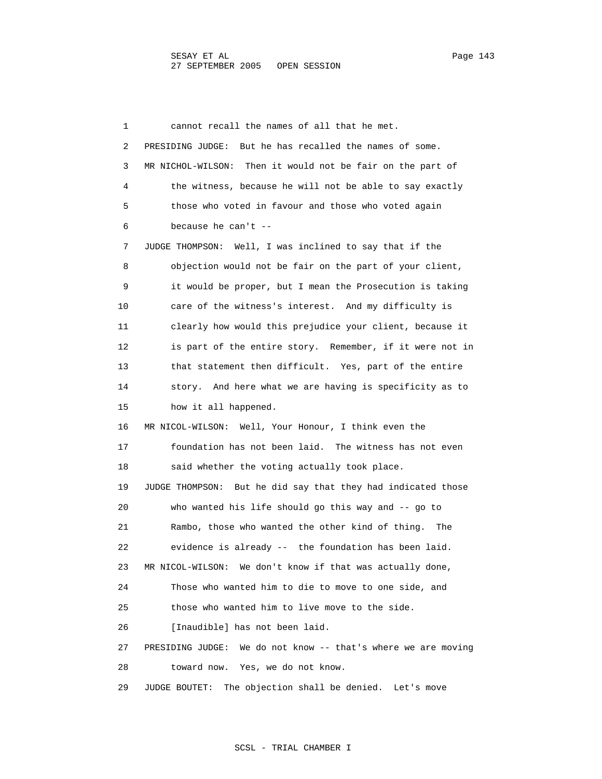1 cannot recall the names of all that he met. 2 PRESIDING JUDGE: But he has recalled the names of some. 3 MR NICHOL-WILSON: Then it would not be fair on the part of 4 the witness, because he will not be able to say exactly 5 those who voted in favour and those who voted again 6 because he can't -- 7 JUDGE THOMPSON: Well, I was inclined to say that if the 8 objection would not be fair on the part of your client, 9 it would be proper, but I mean the Prosecution is taking 10 care of the witness's interest. And my difficulty is 11 clearly how would this prejudice your client, because it 12 is part of the entire story. Remember, if it were not in 13 that statement then difficult. Yes, part of the entire 14 story. And here what we are having is specificity as to 15 how it all happened. 16 MR NICOL-WILSON: Well, Your Honour, I think even the 17 foundation has not been laid. The witness has not even 18 said whether the voting actually took place. 19 JUDGE THOMPSON: But he did say that they had indicated those 20 who wanted his life should go this way and -- go to 21 Rambo, those who wanted the other kind of thing. The 22 evidence is already -- the foundation has been laid. 23 MR NICOL-WILSON: We don't know if that was actually done, 24 Those who wanted him to die to move to one side, and 25 those who wanted him to live move to the side. 26 [Inaudible] has not been laid. 27 PRESIDING JUDGE: We do not know -- that's where we are moving 28 toward now. Yes, we do not know. 29 JUDGE BOUTET: The objection shall be denied. Let's move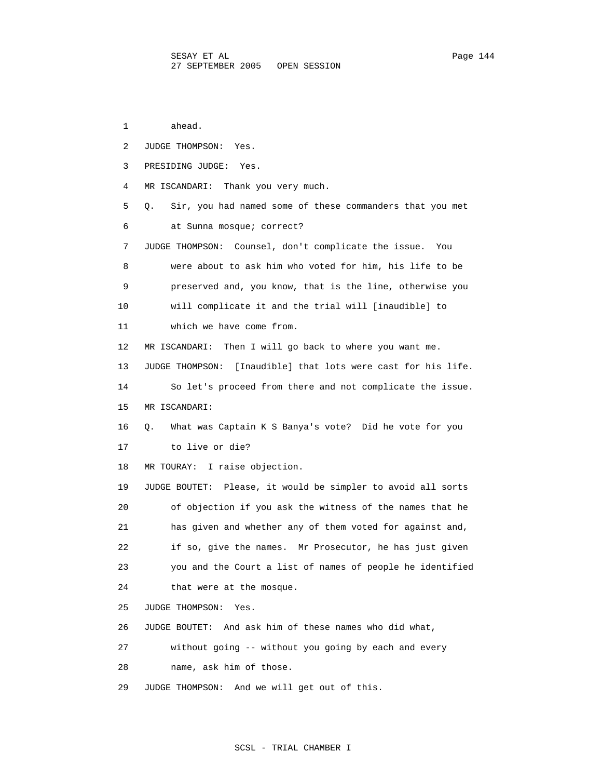1 ahead. 2 JUDGE THOMPSON: Yes. 3 PRESIDING JUDGE: Yes. 4 MR ISCANDARI: Thank you very much. 5 Q. Sir, you had named some of these commanders that you met 6 at Sunna mosque; correct? 7 JUDGE THOMPSON: Counsel, don't complicate the issue. You 8 were about to ask him who voted for him, his life to be 9 preserved and, you know, that is the line, otherwise you 10 will complicate it and the trial will [inaudible] to 11 which we have come from. 12 MR ISCANDARI: Then I will go back to where you want me. 13 JUDGE THOMPSON: [Inaudible] that lots were cast for his life. 14 So let's proceed from there and not complicate the issue. 15 MR ISCANDARI: 16 Q. What was Captain K S Banya's vote? Did he vote for you 17 to live or die? 18 MR TOURAY: I raise objection. 19 JUDGE BOUTET: Please, it would be simpler to avoid all sorts 20 of objection if you ask the witness of the names that he 21 has given and whether any of them voted for against and, 22 if so, give the names. Mr Prosecutor, he has just given 23 you and the Court a list of names of people he identified 24 that were at the mosque. 25 JUDGE THOMPSON: Yes. 26 JUDGE BOUTET: And ask him of these names who did what, 27 without going -- without you going by each and every 28 name, ask him of those. 29 JUDGE THOMPSON: And we will get out of this.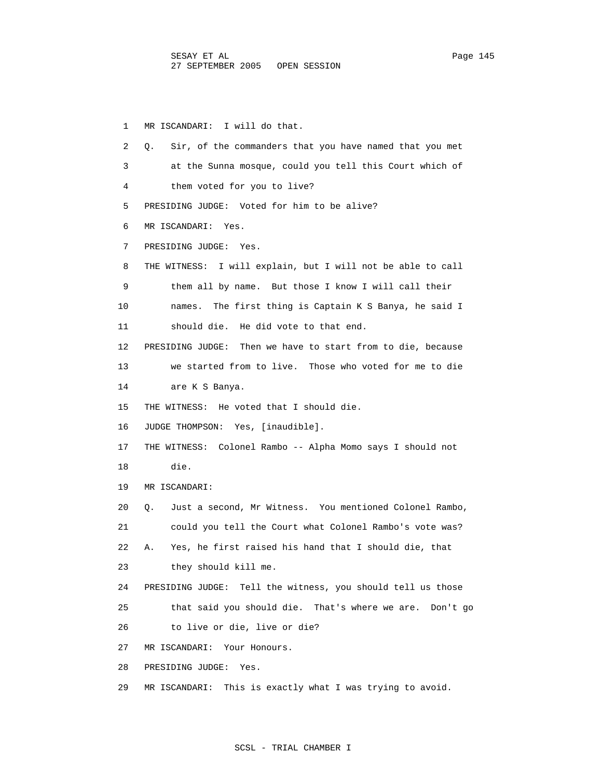1 MR ISCANDARI: I will do that. 2 Q. Sir, of the commanders that you have named that you met 3 at the Sunna mosque, could you tell this Court which of 4 them voted for you to live? 5 PRESIDING JUDGE: Voted for him to be alive? 6 MR ISCANDARI: Yes. 7 PRESIDING JUDGE: Yes. 8 THE WITNESS: I will explain, but I will not be able to call 9 them all by name. But those I know I will call their 10 names. The first thing is Captain K S Banya, he said I 11 should die. He did vote to that end. 12 PRESIDING JUDGE: Then we have to start from to die, because 13 we started from to live. Those who voted for me to die 14 are K S Banya. 15 THE WITNESS: He voted that I should die. 16 JUDGE THOMPSON: Yes, [inaudible]. 17 THE WITNESS: Colonel Rambo -- Alpha Momo says I should not 18 die. 19 MR ISCANDARI: 20 Q. Just a second, Mr Witness. You mentioned Colonel Rambo, 21 could you tell the Court what Colonel Rambo's vote was? 22 A. Yes, he first raised his hand that I should die, that 23 they should kill me. 24 PRESIDING JUDGE: Tell the witness, you should tell us those 25 that said you should die. That's where we are. Don't go 26 to live or die, live or die? 27 MR ISCANDARI: Your Honours. 28 PRESIDING JUDGE: Yes. 29 MR ISCANDARI: This is exactly what I was trying to avoid.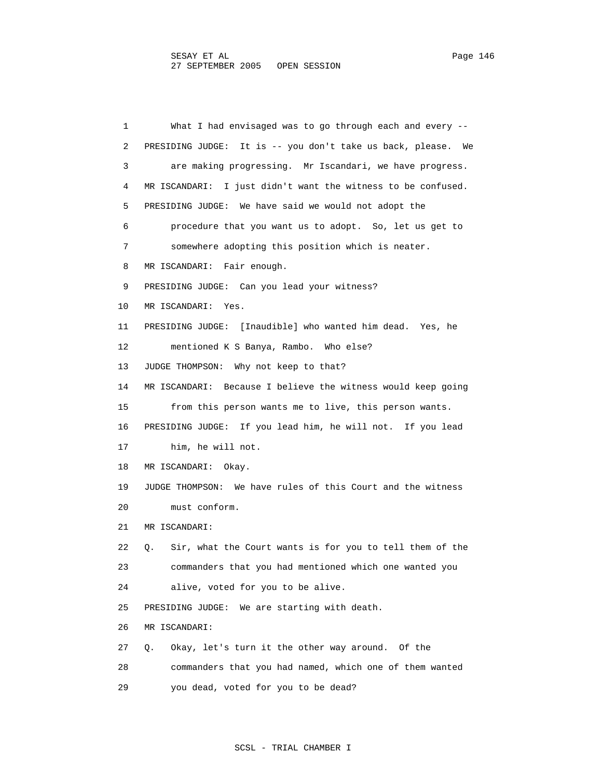1 What I had envisaged was to go through each and every -- 2 PRESIDING JUDGE: It is -- you don't take us back, please. We 3 are making progressing. Mr Iscandari, we have progress. 4 MR ISCANDARI: I just didn't want the witness to be confused. 5 PRESIDING JUDGE: We have said we would not adopt the 6 procedure that you want us to adopt. So, let us get to 7 somewhere adopting this position which is neater. 8 MR ISCANDARI: Fair enough. 9 PRESIDING JUDGE: Can you lead your witness? 10 MR ISCANDARI: Yes. 11 PRESIDING JUDGE: [Inaudible] who wanted him dead. Yes, he 12 mentioned K S Banya, Rambo. Who else? 13 JUDGE THOMPSON: Why not keep to that? 14 MR ISCANDARI: Because I believe the witness would keep going 15 from this person wants me to live, this person wants. 16 PRESIDING JUDGE: If you lead him, he will not. If you lead 17 him, he will not. 18 MR ISCANDARI: Okay. 19 JUDGE THOMPSON: We have rules of this Court and the witness 20 must conform. 21 MR ISCANDARI: 22 Q. Sir, what the Court wants is for you to tell them of the 23 commanders that you had mentioned which one wanted you 24 alive, voted for you to be alive. 25 PRESIDING JUDGE: We are starting with death. 26 MR ISCANDARI: 27 Q. Okay, let's turn it the other way around. Of the 28 commanders that you had named, which one of them wanted 29 you dead, voted for you to be dead?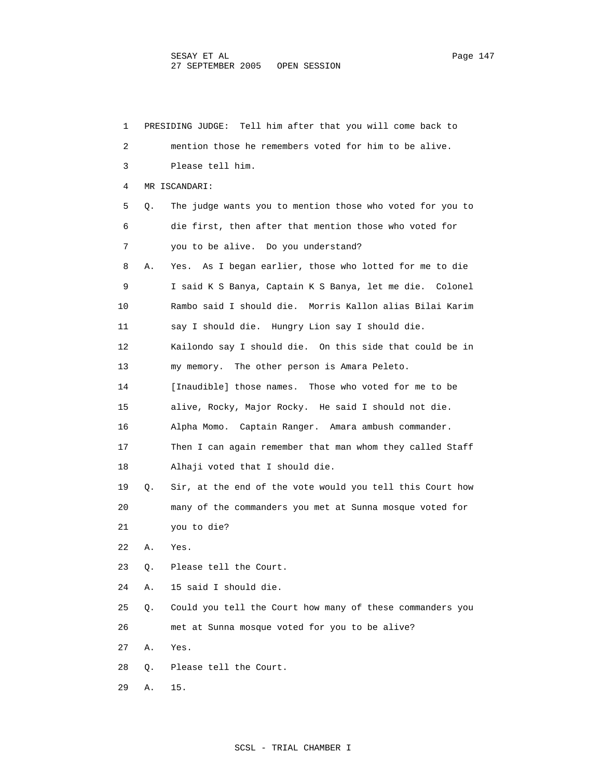1 PRESIDING JUDGE: Tell him after that you will come back to 2 mention those he remembers voted for him to be alive. 3 Please tell him. 4 MR ISCANDARI: 5 Q. The judge wants you to mention those who voted for you to 6 die first, then after that mention those who voted for 7 you to be alive. Do you understand? 8 A. Yes. As I began earlier, those who lotted for me to die 9 I said K S Banya, Captain K S Banya, let me die. Colonel 10 Rambo said I should die. Morris Kallon alias Bilai Karim 11 say I should die. Hungry Lion say I should die. 12 Kailondo say I should die. On this side that could be in 13 my memory. The other person is Amara Peleto. 14 [Inaudible] those names. Those who voted for me to be 15 alive, Rocky, Major Rocky. He said I should not die. 16 Alpha Momo. Captain Ranger. Amara ambush commander. 17 Then I can again remember that man whom they called Staff 18 Alhaji voted that I should die. 19 Q. Sir, at the end of the vote would you tell this Court how 20 many of the commanders you met at Sunna mosque voted for 21 you to die? 22 A. Yes. 23 Q. Please tell the Court. 24 A. 15 said I should die. 25 Q. Could you tell the Court how many of these commanders you 26 met at Sunna mosque voted for you to be alive? 27 A. Yes. 28 Q. Please tell the Court. 29 A. 15.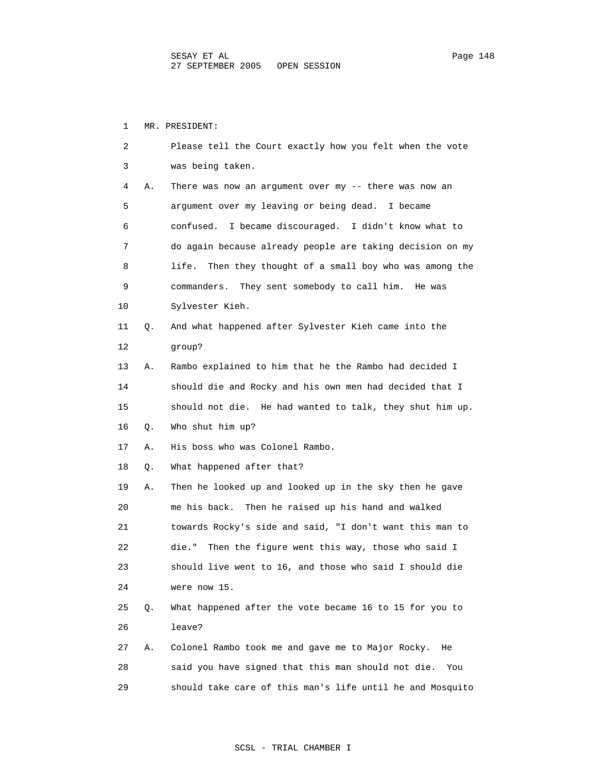1 MR. PRESIDENT:

| 2  |    | Please tell the Court exactly how you felt when the vote    |
|----|----|-------------------------------------------------------------|
| 3  |    | was being taken.                                            |
| 4  | Α. | There was now an argument over my $-$ there was now an      |
| 5  |    | argument over my leaving or being dead. I became            |
| 6  |    | confused.<br>I became discouraged. I didn't know what to    |
| 7  |    | do again because already people are taking decision on my   |
| 8  |    | Then they thought of a small boy who was among the<br>life. |
| 9  |    | commanders. They sent somebody to call him. He was          |
| 10 |    | Sylvester Kieh.                                             |
| 11 | Q. | And what happened after Sylvester Kieh came into the        |
| 12 |    | qroup?                                                      |
| 13 | Α. | Rambo explained to him that he the Rambo had decided I      |
| 14 |    | should die and Rocky and his own men had decided that I     |
| 15 |    | should not die. He had wanted to talk, they shut him up.    |
| 16 | Q. | Who shut him up?                                            |
| 17 | Α. | His boss who was Colonel Rambo.                             |
| 18 | Q. | What happened after that?                                   |
| 19 | Α. | Then he looked up and looked up in the sky then he gave     |
| 20 |    | me his back. Then he raised up his hand and walked          |
| 21 |    | towards Rocky's side and said, "I don't want this man to    |
| 22 |    | die." Then the figure went this way, those who said I       |
| 23 |    | should live went to 16, and those who said I should die     |
| 24 |    | were now 15.                                                |
| 25 | Q. | What happened after the vote became 16 to 15 for you to     |
| 26 |    | leave?                                                      |
| 27 | Α. | Colonel Rambo took me and gave me to Major Rocky.<br>He     |
| 28 |    | said you have signed that this man should not die.<br>You   |
| 29 |    | should take care of this man's life until he and Mosquito   |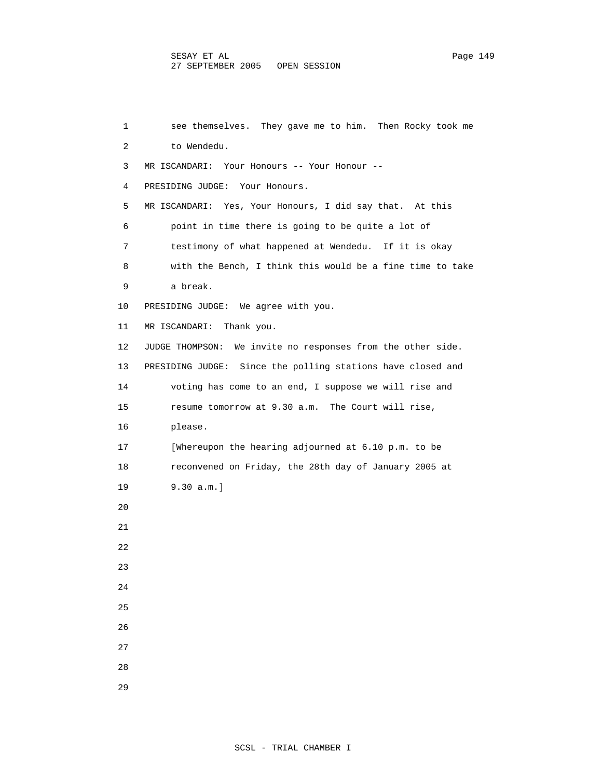1 see themselves. They gave me to him. Then Rocky took me 2 to Wendedu. 3 MR ISCANDARI: Your Honours -- Your Honour -- 4 PRESIDING JUDGE: Your Honours. 5 MR ISCANDARI: Yes, Your Honours, I did say that. At this 6 point in time there is going to be quite a lot of 7 testimony of what happened at Wendedu. If it is okay 8 with the Bench, I think this would be a fine time to take 9 a break. 10 PRESIDING JUDGE: We agree with you. 11 MR ISCANDARI: Thank you. 12 JUDGE THOMPSON: We invite no responses from the other side. 13 PRESIDING JUDGE: Since the polling stations have closed and 14 voting has come to an end, I suppose we will rise and 15 resume tomorrow at 9.30 a.m. The Court will rise, 16 please. 17 [Whereupon the hearing adjourned at 6.10 p.m. to be 18 reconvened on Friday, the 28th day of January 2005 at 19 9.30 a.m.] 20 21 22 23 24 25 26 27 28 29